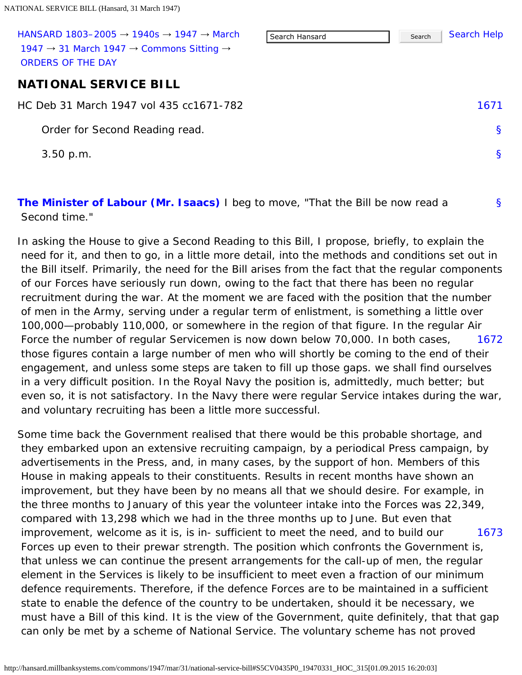<span id="page-0-1"></span><span id="page-0-0"></span>

| HANSARD 1803-2005 $\rightarrow$ 1940s $\rightarrow$ 1947 $\rightarrow$ March<br>1947 $\rightarrow$ 31 March 1947 $\rightarrow$ Commons Sitting $\rightarrow$<br>ORDERS OF THE DAY | Search Hansard | Search | <b>Search Help</b> |
|-----------------------------------------------------------------------------------------------------------------------------------------------------------------------------------|----------------|--------|--------------------|
| <b>NATIONAL SERVICE BILL</b>                                                                                                                                                      |                |        |                    |
| HC Deb 31 March 1947 vol 435 cc1671-782                                                                                                                                           |                |        | 1671               |
| Order for Second Reading read.                                                                                                                                                    |                |        | <sub>S</sub>       |
| $3.50$ p.m.                                                                                                                                                                       |                |        | <sup>S</sup>       |
|                                                                                                                                                                                   |                |        |                    |
|                                                                                                                                                                                   |                |        |                    |

[§](#page-0-2)

<span id="page-0-2"></span>**[The Minister of Labour \(Mr. Isaacs\)](http://hansard.millbanksystems.com/people/mr-george-isaacs)** I beg to move, "That the Bill be now read a Second time."

[1672](#page-0-3) In asking the House to give a Second Reading to this Bill, I propose, briefly, to explain the need for it, and then to go, in a little more detail, into the methods and conditions set out in the Bill itself. Primarily, the need for the Bill arises from the fact that the regular components of our Forces have seriously run down, owing to the fact that there has been no regular recruitment during the war. At the moment we are faced with the position that the number of men in the Army, serving under a regular term of enlistment, is something a little over 100,000—probably 110,000, or somewhere in the region of that figure. In the regular Air Force the number of regular Servicemen is now down below 70,000. In both cases, those figures contain a large number of men who will shortly be coming to the end of their engagement, and unless some steps are taken to fill up those gaps. we shall find ourselves in a very difficult position. In the Royal Navy the position is, admittedly, much better; but even so, it is not satisfactory. In the Navy there were regular Service intakes during the war, and voluntary recruiting has been a little more successful.

<span id="page-0-4"></span><span id="page-0-3"></span>[1673](#page-0-4) Some time back the Government realised that there would be this probable shortage, and they embarked upon an extensive recruiting campaign, by a periodical Press campaign, by advertisements in the Press, and, in many cases, by the support of hon. Members of this House in making appeals to their constituents. Results in recent months have shown an improvement, but they have been by no means all that we should desire. For example, in the three months to January of this year the volunteer intake into the Forces was 22,349, compared with 13,298 which we had in the three months up to June. But even that improvement, welcome as it is, is in- sufficient to meet the need, and to build our Forces up even to their prewar strength. The position which confronts the Government is, that unless we can continue the present arrangements for the call-up of men, the regular element in the Services is likely to be insufficient to meet even a fraction of our minimum defence requirements. Therefore, if the defence Forces are to be maintained in a sufficient state to enable the defence of the country to be undertaken, should it be necessary, we must have a Bill of this kind. It is the view of the Government, quite definitely, that that gap can only be met by a scheme of National Service. The voluntary scheme has not proved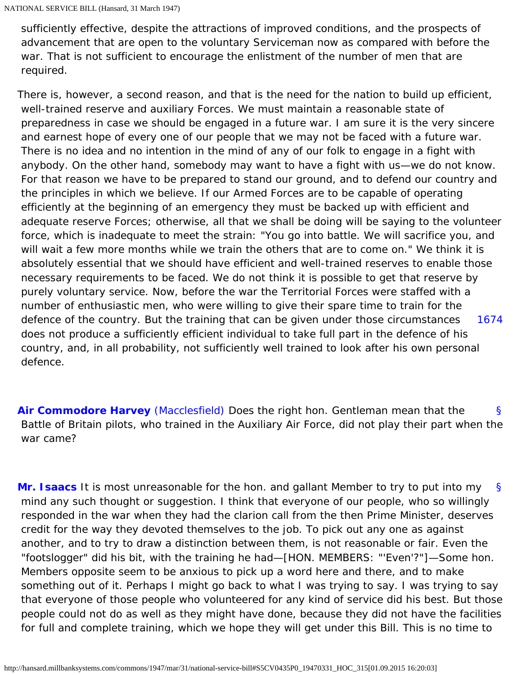sufficiently effective, despite the attractions of improved conditions, and the prospects of advancement that are open to the voluntary Serviceman now as compared with before the war. That is not sufficient to encourage the enlistment of the number of men that are required.

[1674](#page-1-0) There is, however, a second reason, and that is the need for the nation to build up efficient, well-trained reserve and auxiliary Forces. We must maintain a reasonable state of preparedness in case we should be engaged in a future war. I am sure it is the very sincere and earnest hope of every one of our people that we may not be faced with a future war. There is no idea and no intention in the mind of any of our folk to engage in a fight with anybody. On the other hand, somebody may want to have a fight with us—we do not know. For that reason we have to be prepared to stand our ground, and to defend our country and the principles in which we believe. If our Armed Forces are to be capable of operating efficiently at the beginning of an emergency they must be backed up with efficient and adequate reserve Forces; otherwise, all that we shall be doing will be saying to the volunteer force, which is inadequate to meet the strain: "You go into battle. We will sacrifice you, and will wait a few more months while we train the others that are to come on." We think it is absolutely essential that we should have efficient and well-trained reserves to enable those necessary requirements to be faced. We do not think it is possible to get that reserve by purely voluntary service. Now, before the war the Territorial Forces were staffed with a number of enthusiastic men, who were willing to give their spare time to train for the defence of the country. But the training that can be given under those circumstances does not produce a sufficiently efficient individual to take full part in the defence of his country, and, in all probability, not sufficiently well trained to look after his own personal defence.

<span id="page-1-1"></span><span id="page-1-0"></span>[§](#page-1-1) **[Air Commodore Harvey](http://hansard.millbanksystems.com/people/sir-arthur-harvey)** [\(Macclesfield\)](http://hansard.millbanksystems.com/constituencies/macclesfield) Does the right hon. Gentleman mean that the Battle of Britain pilots, who trained in the Auxiliary Air Force, did not play their part when the war came?

<span id="page-1-2"></span>[§](#page-1-2) **[Mr. Isaacs](http://hansard.millbanksystems.com/people/mr-george-isaacs)** It is most unreasonable for the hon. and gallant Member to try to put into my mind any such thought or suggestion. I think that everyone of our people, who so willingly responded in the war when they had the clarion call from the then Prime Minister, deserves credit for the way they devoted themselves to the job. To pick out any one as against another, and to try to draw a distinction between them, is not reasonable or fair. Even the "footslogger" did his bit, with the training he had—[HON. MEMBERS: "'Even'?"]—Some hon. Members opposite seem to be anxious to pick up a word here and there, and to make something out of it. Perhaps I might go back to what I was trying to say. I was trying to say that everyone of those people who volunteered for any kind of service did his best. But those people could not do as well as they might have done, because they did not have the facilities for full and complete training, which we hope they will get under this Bill. This is no time to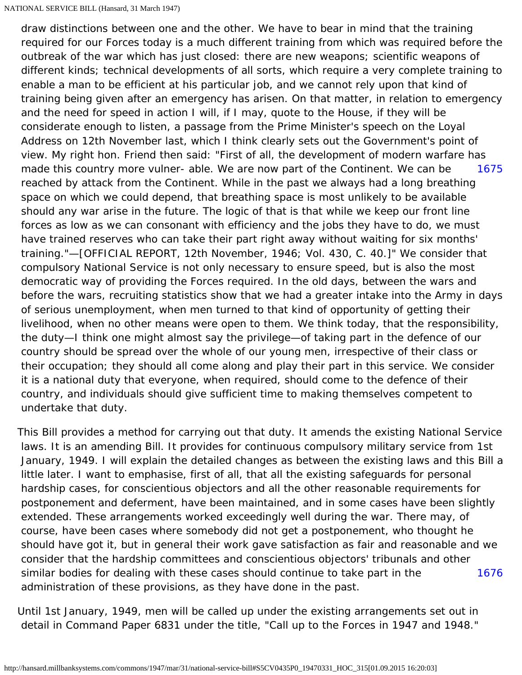<span id="page-2-0"></span>[1675](#page-2-0) draw distinctions between one and the other. We have to bear in mind that the training required for our Forces today is a much different training from which was required before the outbreak of the war which has just closed: there are new weapons; scientific weapons of different kinds; technical developments of all sorts, which require a very complete training to enable a man to be efficient at his particular job, and we cannot rely upon that kind of training being given after an emergency has arisen. On that matter, in relation to emergency and the need for speed in action I will, if I may, quote to the House, if they will be considerate enough to listen, a passage from the Prime Minister's speech on the Loyal Address on 12th November last, which I think clearly sets out the Government's point of view. My right hon. Friend then said: "First of all, the development of modern warfare has made this country more vulner- able. We are now part of the Continent. We can be reached by attack from the Continent. While in the past we always had a long breathing space on which we could depend, that breathing space is most unlikely to be available should any war arise in the future. The logic of that is that while we keep our front line forces as low as we can consonant with efficiency and the jobs they have to do, we must have trained reserves who can take their part right away without waiting for six months' training."—[OFFICIAL REPORT, 12th November, 1946; Vol. 430, C. 40.]" We consider that compulsory National Service is not only necessary to ensure speed, but is also the most democratic way of providing the Forces required. In the old days, between the wars and before the wars, recruiting statistics show that we had a greater intake into the Army in days of serious unemployment, when men turned to that kind of opportunity of getting their livelihood, when no other means were open to them. We think today, that the responsibility, the duty—I think one might almost say the privilege—of taking part in the defence of our country should be spread over the whole of our young men, irrespective of their class or their occupation; they should all come along and play their part in this service. We consider it is a national duty that everyone, when required, should come to the defence of their country, and individuals should give sufficient time to making themselves competent to undertake that duty.

[1676](#page-2-1) This Bill provides a method for carrying out that duty. It amends the existing National Service laws. It is an amending Bill. It provides for continuous compulsory military service from 1st January, 1949. I will explain the detailed changes as between the existing laws and this Bill a little later. I want to emphasise, first of all, that all the existing safeguards for personal hardship cases, for conscientious objectors and all the other reasonable requirements for postponement and deferment, have been maintained, and in some cases have been slightly extended. These arrangements worked exceedingly well during the war. There may, of course, have been cases where somebody did not get a postponement, who thought he should have got it, but in general their work gave satisfaction as fair and reasonable and we consider that the hardship committees and conscientious objectors' tribunals and other similar bodies for dealing with these cases should continue to take part in the administration of these provisions, as they have done in the past.

<span id="page-2-1"></span>Until 1st January, 1949, men will be called up under the existing arrangements set out in detail in Command Paper 6831 under the title, "Call up to the Forces in 1947 and 1948."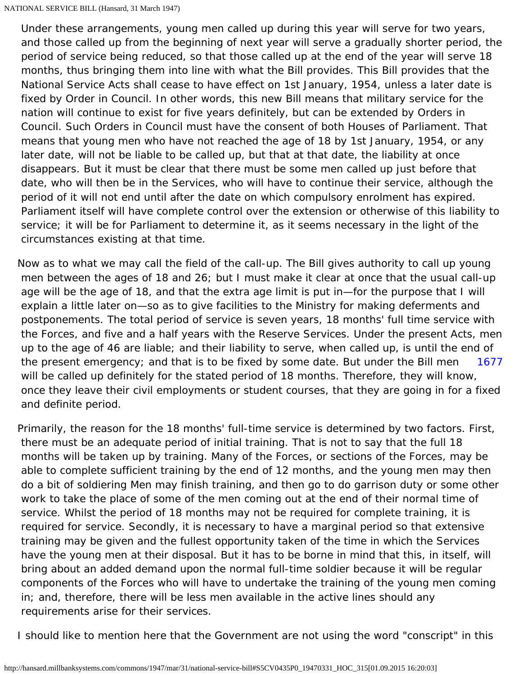Under these arrangements, young men called up during this year will serve for two years, and those called up from the beginning of next year will serve a gradually shorter period, the period of service being reduced, so that those called up at the end of the year will serve 18 months, thus bringing them into line with what the Bill provides. This Bill provides that the National Service Acts shall cease to have effect on 1st January, 1954, unless a later date is fixed by Order in Council. In other words, this new Bill means that military service for the nation will continue to exist for five years definitely, but can be extended by Orders in Council. Such Orders in Council must have the consent of both Houses of Parliament. That means that young men who have not reached the age of 18 by 1st January, 1954, or any later date, will not be liable to be called up, but that at that date, the liability at once disappears. But it must be clear that there must be some men called up just before that date, who will then be in the Services, who will have to continue their service, although the period of it will not end until after the date on which compulsory enrolment has expired. Parliament itself will have complete control over the extension or otherwise of this liability to service; it will be for Parliament to determine it, as it seems necessary in the light of the circumstances existing at that time.

[1677](#page-3-0) Now as to what we may call the field of the call-up. The Bill gives authority to call up young men between the ages of 18 and 26; but I must make it clear at once that the usual call-up age will be the age of 18, and that the extra age limit is put in—for the purpose that I will explain a little later on—so as to give facilities to the Ministry for making deferments and postponements. The total period of service is seven years, 18 months' full time service with the Forces, and five and a half years with the Reserve Services. Under the present Acts, men up to the age of 46 are liable; and their liability to serve, when called up, is until the end of the present emergency; and that is to be fixed by some date. But under the Bill men will be called up definitely for the stated period of 18 months. Therefore, they will know, once they leave their civil employments or student courses, that they are going in for a fixed and definite period.

<span id="page-3-0"></span>Primarily, the reason for the 18 months' full-time service is determined by two factors. First, there must be an adequate period of initial training. That is not to say that the full 18 months will be taken up by training. Many of the Forces, or sections of the Forces, may be able to complete sufficient training by the end of 12 months, and the young men may then do a bit of soldiering Men may finish training, and then go to do garrison duty or some other work to take the place of some of the men coming out at the end of their normal time of service. Whilst the period of 18 months may not be required for complete training, it is required for service. Secondly, it is necessary to have a marginal period so that extensive training may be given and the fullest opportunity taken of the time in which the Services have the young men at their disposal. But it has to be borne in mind that this, in itself, will bring about an added demand upon the normal full-time soldier because it will be regular components of the Forces who will have to undertake the training of the young men coming in; and, therefore, there will be less men available in the active lines should any requirements arise for their services.

I should like to mention here that the Government are not using the word "conscript" in this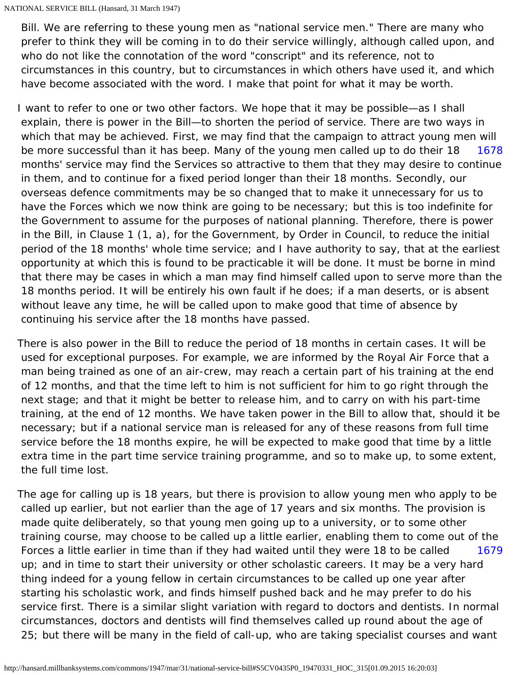Bill. We are referring to these young men as "national service men." There are many who prefer to think they will be coming in to do their service willingly, although called upon, and who do not like the connotation of the word "conscript" and its reference, not to circumstances in this country, but to circumstances in which others have used it, and which have become associated with the word. I make that point for what it may be worth.

<span id="page-4-0"></span>[1678](#page-4-0) I want to refer to one or two other factors. We hope that it may be possible—as I shall explain, there is power in the Bill—to shorten the period of service. There are two ways in which that may be achieved. First, we may find that the campaign to attract young men will be more successful than it has beep. Many of the young men called up to do their 18 months' service may find the Services so attractive to them that they may desire to continue in them, and to continue for a fixed period longer than their 18 months. Secondly, our overseas defence commitments may be so changed that to make it unnecessary for us to have the Forces which we now think are going to be necessary; but this is too indefinite for the Government to assume for the purposes of national planning. Therefore, there is power in the Bill, in Clause 1 (1, a), for the Government, by Order in Council, to reduce the initial period of the 18 months' whole time service; and I have authority to say, that at the earliest opportunity at which this is found to be practicable it will be done. It must be borne in mind that there may be cases in which a man may find himself called upon to serve more than the 18 months period. It will be entirely his own fault if he does; if a man deserts, or is absent without leave any time, he will be called upon to make good that time of absence by continuing his service after the 18 months have passed.

There is also power in the Bill to reduce the period of 18 months in certain cases. It will be used for exceptional purposes. For example, we are informed by the Royal Air Force that a man being trained as one of an air-crew, may reach a certain part of his training at the end of 12 months, and that the time left to him is not sufficient for him to go right through the next stage; and that it might be better to release him, and to carry on with his part-time training, at the end of 12 months. We have taken power in the Bill to allow that, should it be necessary; but if a national service man is released for any of these reasons from full time service before the 18 months expire, he will be expected to make good that time by a little extra time in the part time service training programme, and so to make up, to some extent, the full time lost.

<span id="page-4-1"></span>[1679](#page-4-1) The age for calling up is 18 years, but there is provision to allow young men who apply to be called up earlier, but not earlier than the age of 17 years and six months. The provision is made quite deliberately, so that young men going up to a university, or to some other training course, may choose to be called up a little earlier, enabling them to come out of the Forces a little earlier in time than if they had waited until they were 18 to be called up; and in time to start their university or other scholastic careers. It may be a very hard thing indeed for a young fellow in certain circumstances to be called up one year after starting his scholastic work, and finds himself pushed back and he may prefer to do his service first. There is a similar slight variation with regard to doctors and dentists. In normal circumstances, doctors and dentists will find themselves called up round about the age of 25; but there will be many in the field of call-up, who are taking specialist courses and want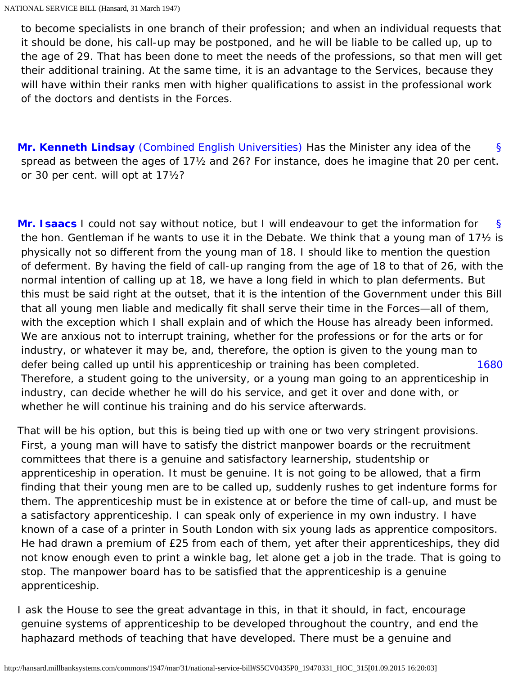to become specialists in one branch of their profession; and when an individual requests that it should be done, his call-up may be postponed, and he will be liable to be called up, up to the age of 29. That has been done to meet the needs of the professions, so that men will get their additional training. At the same time, it is an advantage to the Services, because they will have within their ranks men with higher qualifications to assist in the professional work of the doctors and dentists in the Forces.

<span id="page-5-0"></span>[§](#page-5-0) **[Mr. Kenneth Lindsay](http://hansard.millbanksystems.com/people/mr-kenneth-lindsay)** [\(Combined English Universities\)](http://hansard.millbanksystems.com/constituencies/combined-english-universities) Has the Minister any idea of the spread as between the ages of 17½ and 26? For instance, does he imagine that 20 per cent. or 30 per cent. will opt at 17½?

<span id="page-5-1"></span>[§](#page-5-1) [1680](#page-5-2) **[Mr. Isaacs](http://hansard.millbanksystems.com/people/mr-george-isaacs)** I could not say without notice, but I will endeavour to get the information for the hon. Gentleman if he wants to use it in the Debate. We think that a young man of 17½ is physically not so different from the young man of 18. I should like to mention the question of deferment. By having the field of call-up ranging from the age of 18 to that of 26, with the normal intention of calling up at 18, we have a long field in which to plan deferments. But this must be said right at the outset, that it is the intention of the Government under this Bill that all young men liable and medically fit shall serve their time in the Forces—all of them, with the exception which I shall explain and of which the House has already been informed. We are anxious not to interrupt training, whether for the professions or for the arts or for industry, or whatever it may be, and, therefore, the option is given to the young man to defer being called up until his apprenticeship or training has been completed. Therefore, a student going to the university, or a young man going to an apprenticeship in industry, can decide whether he will do his service, and get it over and done with, or whether he will continue his training and do his service afterwards.

<span id="page-5-2"></span>That will be his option, but this is being tied up with one or two very stringent provisions. First, a young man will have to satisfy the district manpower boards or the recruitment committees that there is a genuine and satisfactory learnership, studentship or apprenticeship in operation. It must be genuine. It is not going to be allowed, that a firm finding that their young men are to be called up, suddenly rushes to get indenture forms for them. The apprenticeship must be in existence at or before the time of call-up, and must be a satisfactory apprenticeship. I can speak only of experience in my own industry. I have known of a case of a printer in South London with six young lads as apprentice compositors. He had drawn a premium of £25 from each of them, yet after their apprenticeships, they did not know enough even to print a winkle bag, let alone get a job in the trade. That is going to stop. The manpower board has to be satisfied that the apprenticeship is a genuine apprenticeship.

I ask the House to see the great advantage in this, in that it should, in fact, encourage genuine systems of apprenticeship to be developed throughout the country, and end the haphazard methods of teaching that have developed. There must be a genuine and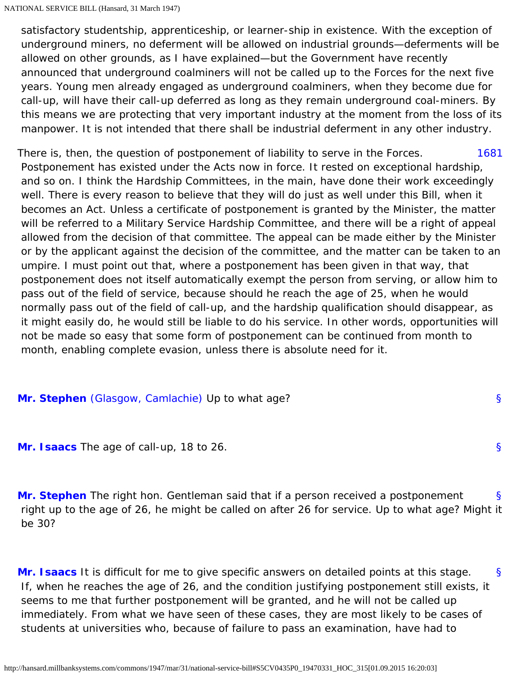satisfactory studentship, apprenticeship, or learner-ship in existence. With the exception of underground miners, no deferment will be allowed on industrial grounds—deferments will be allowed on other grounds, as I have explained—but the Government have recently announced that underground coalminers will not be called up to the Forces for the next five years. Young men already engaged as underground coalminers, when they become due for call-up, will have their call-up deferred as long as they remain underground coal-miners. By this means we are protecting that very important industry at the moment from the loss of its manpower. It is not intended that there shall be industrial deferment in any other industry.

<span id="page-6-0"></span>[1681](#page-6-0) There is, then, the question of postponement of liability to serve in the Forces. Postponement has existed under the Acts now in force. It rested on exceptional hardship, and so on. I think the Hardship Committees, in the main, have done their work exceedingly well. There is every reason to believe that they will do just as well under this Bill, when it becomes an Act. Unless a certificate of postponement is granted by the Minister, the matter will be referred to a Military Service Hardship Committee, and there will be a right of appeal allowed from the decision of that committee. The appeal can be made either by the Minister or by the applicant against the decision of the committee, and the matter can be taken to an umpire. I must point out that, where a postponement has been given in that way, that postponement does not itself automatically exempt the person from serving, or allow him to pass out of the field of service, because should he reach the age of 25, when he would normally pass out of the field of call-up, and the hardship qualification should disappear, as it might easily do, he would still be liable to do his service. In other words, opportunities will not be made so easy that some form of postponement can be continued from month to month, enabling complete evasion, unless there is absolute need for it.

## <span id="page-6-2"></span><span id="page-6-1"></span>**[Mr. Stephen](http://hansard.millbanksystems.com/people/mr-campbell-stephen)** [\(Glasgow, Camlachie\)](http://hansard.millbanksystems.com/constituencies/glasgow-camlachie) Up to what age?

<span id="page-6-3"></span>**[Mr. Isaacs](http://hansard.millbanksystems.com/people/mr-george-isaacs)** The age of call-up, 18 to 26.

[§](#page-6-3) **[Mr. Stephen](http://hansard.millbanksystems.com/people/mr-campbell-stephen)** The right hon. Gentleman said that if a person received a postponement right up to the age of 26, he might be called on after 26 for service. Up to what age? Might it be 30?

[§](#page-6-1)

[§](#page-6-2)

<span id="page-6-4"></span>[§](#page-6-4) **[Mr. Isaacs](http://hansard.millbanksystems.com/people/mr-george-isaacs)** It is difficult for me to give specific answers on detailed points at this stage. If, when he reaches the age of 26, and the condition justifying postponement still exists, it seems to me that further postponement will be granted, and he will not be called up immediately. From what we have seen of these cases, they are most likely to be cases of students at universities who, because of failure to pass an examination, have had to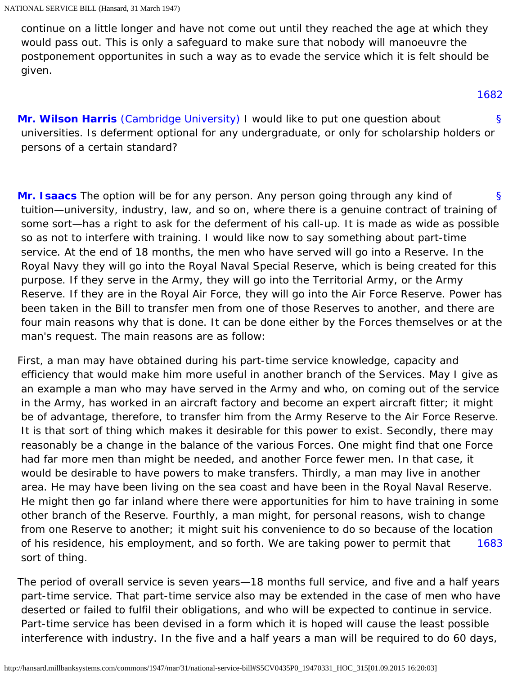continue on a little longer and have not come out until they reached the age at which they would pass out. This is only a safeguard to make sure that nobody will manoeuvre the postponement opportunites in such a way as to evade the service which it is felt should be given.

#### [1682](#page-7-3)

<span id="page-7-3"></span><span id="page-7-0"></span>[§](#page-7-0) **[Mr. Wilson Harris](http://hansard.millbanksystems.com/people/mr-henry-harris)** [\(Cambridge University\)](http://hansard.millbanksystems.com/constituencies/cambridge-university) I would like to put one question about universities. Is deferment optional for any undergraduate, or only for scholarship holders or persons of a certain standard?

<span id="page-7-1"></span>[§](#page-7-1) **[Mr. Isaacs](http://hansard.millbanksystems.com/people/mr-george-isaacs)** The option will be for any person. Any person going through any kind of tuition—university, industry, law, and so on, where there is a genuine contract of training of some sort—has a right to ask for the deferment of his call-up. It is made as wide as possible so as not to interfere with training. I would like now to say something about part-time service. At the end of 18 months, the men who have served will go into a Reserve. In the Royal Navy they will go into the Royal Naval Special Reserve, which is being created for this purpose. If they serve in the Army, they will go into the Territorial Army, or the Army Reserve. If they are in the Royal Air Force, they will go into the Air Force Reserve. Power has been taken in the Bill to transfer men from one of those Reserves to another, and there are four main reasons why that is done. It can be done either by the Forces themselves or at the man's request. The main reasons are as follow:

[1683](#page-7-2) First, a man may have obtained during his part-time service knowledge, capacity and efficiency that would make him more useful in another branch of the Services. May I give as an example a man who may have served in the Army and who, on coming out of the service in the Army, has worked in an aircraft factory and become an expert aircraft fitter; it might be of advantage, therefore, to transfer him from the Army Reserve to the Air Force Reserve. It is that sort of thing which makes it desirable for this power to exist. Secondly, there may reasonably be a change in the balance of the various Forces. One might find that one Force had far more men than might be needed, and another Force fewer men. In that case, it would be desirable to have powers to make transfers. Thirdly, a man may live in another area. He may have been living on the sea coast and have been in the Royal Naval Reserve. He might then go far inland where there were apportunities for him to have training in some other branch of the Reserve. Fourthly, a man might, for personal reasons, wish to change from one Reserve to another; it might suit his convenience to do so because of the location of his residence, his employment, and so forth. We are taking power to permit that sort of thing.

<span id="page-7-2"></span>The period of overall service is seven years—18 months full service, and five and a half years part-time service. That part-time service also may be extended in the case of men who have deserted or failed to fulfil their obligations, and who will be expected to continue in service. Part-time service has been devised in a form which it is hoped will cause the least possible interference with industry. In the five and a half years a man will be required to do 60 days,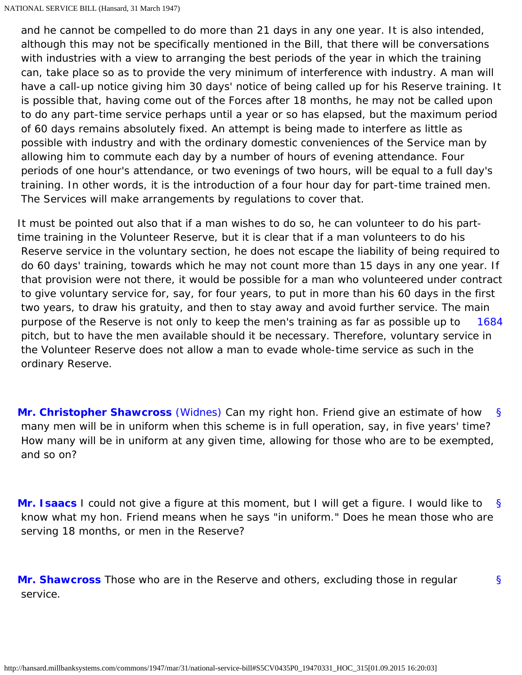and he cannot be compelled to do more than 21 days in any one year. It is also intended, although this may not be specifically mentioned in the Bill, that there will be conversations with industries with a view to arranging the best periods of the year in which the training can, take place so as to provide the very minimum of interference with industry. A man will have a call-up notice giving him 30 days' notice of being called up for his Reserve training. It is possible that, having come out of the Forces after 18 months, he may not be called upon to do any part-time service perhaps until a year or so has elapsed, but the maximum period of 60 days remains absolutely fixed. An attempt is being made to interfere as little as possible with industry and with the ordinary domestic conveniences of the Service man by allowing him to commute each day by a number of hours of evening attendance. Four periods of one hour's attendance, or two evenings of two hours, will be equal to a full day's training. In other words, it is the introduction of a four hour day for part-time trained men. The Services will make arrangements by regulations to cover that.

[1684](#page-8-0) It must be pointed out also that if a man wishes to do so, he can volunteer to do his parttime training in the Volunteer Reserve, but it is clear that if a man volunteers to do his Reserve service in the voluntary section, he does not escape the liability of being required to do 60 days' training, towards which he may not count more than 15 days in any one year. If that provision were not there, it would be possible for a man who volunteered under contract to give voluntary service for, say, for four years, to put in more than his 60 days in the first two years, to draw his gratuity, and then to stay away and avoid further service. The main purpose of the Reserve is not only to keep the men's training as far as possible up to pitch, but to have the men available should it be necessary. Therefore, voluntary service in the Volunteer Reserve does not allow a man to evade whole-time service as such in the ordinary Reserve.

<span id="page-8-1"></span><span id="page-8-0"></span>[§](#page-8-1) **[Mr. Christopher Shawcross](http://hansard.millbanksystems.com/people/mr-christopher-shawcross)** [\(Widnes\)](http://hansard.millbanksystems.com/constituencies/widnes) Can my right hon. Friend give an estimate of how many men will be in uniform when this scheme is in full operation, say, in five years' time? How many will be in uniform at any given time, allowing for those who are to be exempted, and so on?

<span id="page-8-2"></span>[§](#page-8-2) **[Mr. Isaacs](http://hansard.millbanksystems.com/people/mr-george-isaacs)** I could not give a figure at this moment, but I will get a figure. I would like to know what my hon. Friend means when he says "in uniform." Does he mean those who are serving 18 months, or men in the Reserve?

[§](#page-8-3)

<span id="page-8-4"></span><span id="page-8-3"></span>**[Mr. Shawcross](http://hansard.millbanksystems.com/people/mr-christopher-shawcross)** Those who are in the Reserve and others, excluding those in regular service.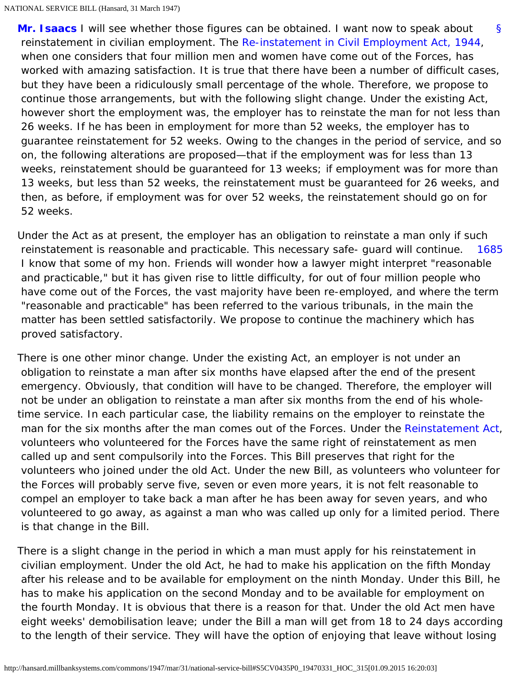[§](#page-8-4) **[Mr. Isaacs](http://hansard.millbanksystems.com/people/mr-george-isaacs)** I will see whether those figures can be obtained. I want now to speak about reinstatement in civilian employment. The [Re-instatement in Civil Employment Act, 1944](http://hansard.millbanksystems.com/acts/re-instatement-in-civil-employment-act-1944), when one considers that four million men and women have come out of the Forces, has worked with amazing satisfaction. It is true that there have been a number of difficult cases, but they have been a ridiculously small percentage of the whole. Therefore, we propose to continue those arrangements, but with the following slight change. Under the existing Act, however short the employment was, the employer has to reinstate the man for not less than 26 weeks. If he has been in employment for more than 52 weeks, the employer has to guarantee reinstatement for 52 weeks. Owing to the changes in the period of service, and so on, the following alterations are proposed—that if the employment was for less than 13 weeks, reinstatement should be guaranteed for 13 weeks; if employment was for more than 13 weeks, but less than 52 weeks, the reinstatement must be guaranteed for 26 weeks, and then, as before, if employment was for over 52 weeks, the reinstatement should go on for 52 weeks.

<span id="page-9-0"></span>[1685](#page-9-0) Under the Act as at present, the employer has an obligation to reinstate a man only if such reinstatement is reasonable and practicable. This necessary safe- guard will continue. I know that some of my hon. Friends will wonder how a lawyer might interpret "reasonable and practicable," but it has given rise to little difficulty, for out of four million people who have come out of the Forces, the vast majority have been re-employed, and where the term "reasonable and practicable" has been referred to the various tribunals, in the main the matter has been settled satisfactorily. We propose to continue the machinery which has proved satisfactory.

There is one other minor change. Under the existing Act, an employer is not under an obligation to reinstate a man after six months have elapsed after the end of the present emergency. Obviously, that condition will have to be changed. Therefore, the employer will not be under an obligation to reinstate a man after six months from the end of his wholetime service. In each particular case, the liability remains on the employer to reinstate the man for the six months after the man comes out of the Forces. Under the [Reinstatement Act](http://hansard.millbanksystems.com/acts/reinstatement-act), volunteers who volunteered for the Forces have the same right of reinstatement as men called up and sent compulsorily into the Forces. This Bill preserves that right for the volunteers who joined under the old Act. Under the new Bill, as volunteers who volunteer for the Forces will probably serve five, seven or even more years, it is not felt reasonable to compel an employer to take back a man after he has been away for seven years, and who volunteered to go away, as against a man who was called up only for a limited period. There is that change in the Bill.

There is a slight change in the period in which a man must apply for his reinstatement in civilian employment. Under the old Act, he had to make his application on the fifth Monday after his release and to be available for employment on the ninth Monday. Under this Bill, he has to make his application on the second Monday and to be available for employment on the fourth Monday. It is obvious that there is a reason for that. Under the old Act men have eight weeks' demobilisation leave; under the Bill a man will get from 18 to 24 days according to the length of their service. They will have the option of enjoying that leave without losing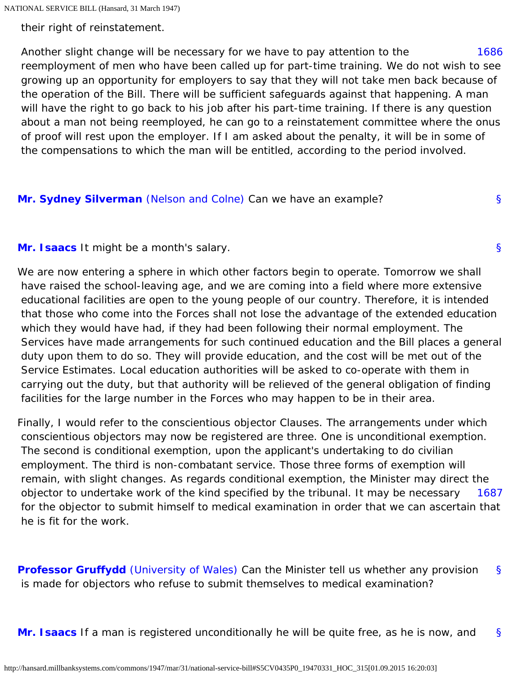their right of reinstatement.

<span id="page-10-0"></span>[1686](#page-10-0) Another slight change will be necessary for we have to pay attention to the reemployment of men who have been called up for part-time training. We do not wish to see growing up an opportunity for employers to say that they will not take men back because of the operation of the Bill. There will be sufficient safeguards against that happening. A man will have the right to go back to his job after his part-time training. If there is any question about a man not being reemployed, he can go to a reinstatement committee where the onus of proof will rest upon the employer. If I am asked about the penalty, it will be in some of the compensations to which the man will be entitled, according to the period involved.

[§](#page-10-1)

[§](#page-10-2)

### <span id="page-10-2"></span><span id="page-10-1"></span>**[Mr. Sydney Silverman](http://hansard.millbanksystems.com/people/mr-samuel-silverman)** [\(Nelson and Colne\)](http://hansard.millbanksystems.com/constituencies/nelson-and-colne) Can we have an example?

### **[Mr. Isaacs](http://hansard.millbanksystems.com/people/mr-george-isaacs)** It might be a month's salary.

We are now entering a sphere in which other factors begin to operate. Tomorrow we shall have raised the school-leaving age, and we are coming into a field where more extensive educational facilities are open to the young people of our country. Therefore, it is intended that those who come into the Forces shall not lose the advantage of the extended education which they would have had, if they had been following their normal employment. The Services have made arrangements for such continued education and the Bill places a general duty upon them to do so. They will provide education, and the cost will be met out of the Service Estimates. Local education authorities will be asked to co-operate with them in carrying out the duty, but that authority will be relieved of the general obligation of finding facilities for the large number in the Forces who may happen to be in their area.

<span id="page-10-3"></span>[1687](#page-10-3) Finally, I would refer to the conscientious objector Clauses. The arrangements under which conscientious objectors may now be registered are three. One is unconditional exemption. The second is conditional exemption, upon the applicant's undertaking to do civilian employment. The third is non-combatant service. Those three forms of exemption will remain, with slight changes. As regards conditional exemption, the Minister may direct the objector to undertake work of the kind specified by the tribunal. It may be necessary for the objector to submit himself to medical examination in order that we can ascertain that he is fit for the work.

<span id="page-10-4"></span>[§](#page-10-4) **[Professor Gruffydd](http://hansard.millbanksystems.com/people/professor-william-gruffydd)** [\(University of Wales\)](http://hansard.millbanksystems.com/constituencies/university-of-wales) Can the Minister tell us whether any provision is made for objectors who refuse to submit themselves to medical examination?

<span id="page-10-5"></span>[§](#page-10-5) **[Mr. Isaacs](http://hansard.millbanksystems.com/people/mr-george-isaacs)** If a man is registered unconditionally he will be quite free, as he is now, and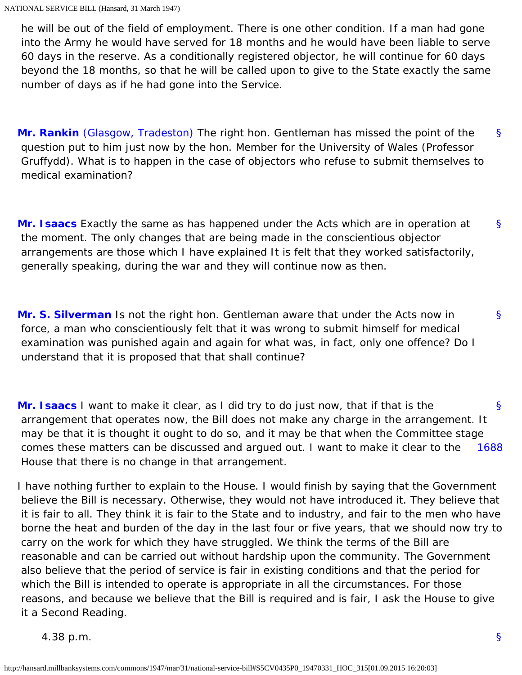he will be out of the field of employment. There is one other condition. If a man had gone into the Army he would have served for 18 months and he would have been liable to serve 60 days in the reserve. As a conditionally registered objector, he will continue for 60 days beyond the 18 months, so that he will be called upon to give to the State exactly the same number of days as if he had gone into the Service.

<span id="page-11-0"></span>[§](#page-11-0) **[Mr. Rankin](http://hansard.millbanksystems.com/people/mr-jon-rankin)** [\(Glasgow, Tradeston\)](http://hansard.millbanksystems.com/constituencies/glasgow-tradeston) The right hon. Gentleman has missed the point of the question put to him just now by the hon. Member for the University of Wales (Professor Gruffydd). What is to happen in the case of objectors who refuse to submit themselves to medical examination?

<span id="page-11-1"></span>[§](#page-11-1) **[Mr. Isaacs](http://hansard.millbanksystems.com/people/mr-george-isaacs)** Exactly the same as has happened under the Acts which are in operation at the moment. The only changes that are being made in the conscientious objector arrangements are those which I have explained It is felt that they worked satisfactorily, generally speaking, during the war and they will continue now as then.

<span id="page-11-2"></span>[§](#page-11-2) **[Mr. S. Silverman](http://hansard.millbanksystems.com/people/mr-samuel-silverman)** Is not the right hon. Gentleman aware that under the Acts now in force, a man who conscientiously felt that it was wrong to submit himself for medical examination was punished again and again for what was, in fact, only one offence? Do I understand that it is proposed that that shall continue?

<span id="page-11-3"></span>[§](#page-11-3) [1688](#page-11-4) **[Mr. Isaacs](http://hansard.millbanksystems.com/people/mr-george-isaacs)** I want to make it clear, as I did try to do just now, that if that is the arrangement that operates now, the Bill does not make any charge in the arrangement. It may be that it is thought it ought to do so, and it may be that when the Committee stage comes these matters can be discussed and argued out. I want to make it clear to the House that there is no change in that arrangement.

<span id="page-11-4"></span>I have nothing further to explain to the House. I would finish by saying that the Government believe the Bill is necessary. Otherwise, they would not have introduced it. They believe that it is fair to all. They think it is fair to the State and to industry, and fair to the men who have borne the heat and burden of the day in the last four or five years, that we should now try to carry on the work for which they have struggled. We think the terms of the Bill are reasonable and can be carried out without hardship upon the community. The Government also believe that the period of service is fair in existing conditions and that the period for which the Bill is intended to operate is appropriate in all the circumstances. For those reasons, and because we believe that the Bill is required and is fair, I ask the House to give it a Second Reading.

4.38 p.m.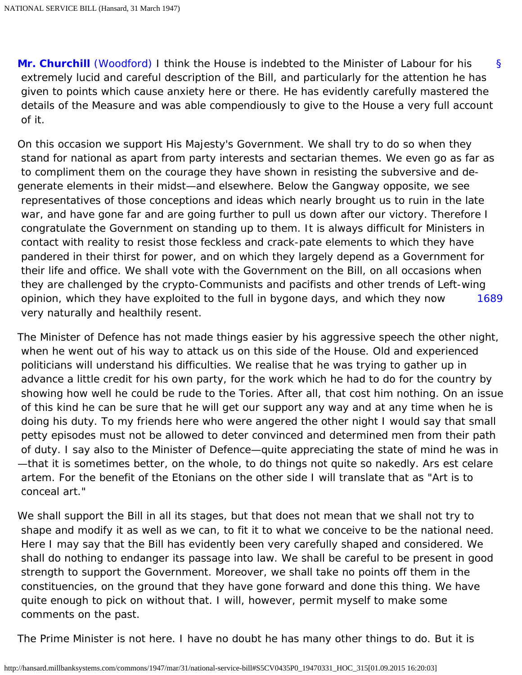<span id="page-12-0"></span>[§](#page-12-0) **[Mr. Churchill](http://hansard.millbanksystems.com/people/mr-winston-churchill)** [\(Woodford\)](http://hansard.millbanksystems.com/constituencies/woodford) I think the House is indebted to the Minister of Labour for his extremely lucid and careful description of the Bill, and particularly for the attention he has given to points which cause anxiety here or there. He has evidently carefully mastered the details of the Measure and was able compendiously to give to the House a very full account of it.

[1689](#page-12-1) On this occasion we support His Majesty's Government. We shall try to do so when they stand for national as apart from party interests and sectarian themes. We even go as far as to compliment them on the courage they have shown in resisting the subversive and degenerate elements in their midst—and elsewhere. Below the Gangway opposite, we see representatives of those conceptions and ideas which nearly brought us to ruin in the late war, and have gone far and are going further to pull us down after our victory. Therefore I congratulate the Government on standing up to them. It is always difficult for Ministers in contact with reality to resist those feckless and crack-pate elements to which they have pandered in their thirst for power, and on which they largely depend as a Government for their life and office. We shall vote with the Government on the Bill, on all occasions when they are challenged by the crypto-Communists and pacifists and other trends of Left-wing opinion, which they have exploited to the full in bygone days, and which they now very naturally and healthily resent.

<span id="page-12-1"></span>The Minister of Defence has not made things easier by his aggressive speech the other night, when he went out of his way to attack us on this side of the House. Old and experienced politicians will understand his difficulties. We realise that he was trying to gather up in advance a little credit for his own party, for the work which he had to do for the country by showing how well he could be rude to the Tories. After all, that cost him nothing. On an issue of this kind he can be sure that he will get our support any way and at any time when he is doing his duty. To my friends here who were angered the other night I would say that small petty episodes must not be allowed to deter convinced and determined men from their path of duty. I say also to the Minister of Defence—quite appreciating the state of mind he was in —that it is sometimes better, on the whole, to do things not quite so nakedly. Ars est celare artem. For the benefit of the Etonians on the other side I will translate that as "Art is to conceal art."

We shall support the Bill in all its stages, but that does not mean that we shall not try to shape and modify it as well as we can, to fit it to what we conceive to be the national need. Here I may say that the Bill has evidently been very carefully shaped and considered. We shall do nothing to endanger its passage into law. We shall be careful to be present in good strength to support the Government. Moreover, we shall take no points off them in the constituencies, on the ground that they have gone forward and done this thing. We have quite enough to pick on without that. I will, however, permit myself to make some comments on the past.

The Prime Minister is not here. I have no doubt he has many other things to do. But it is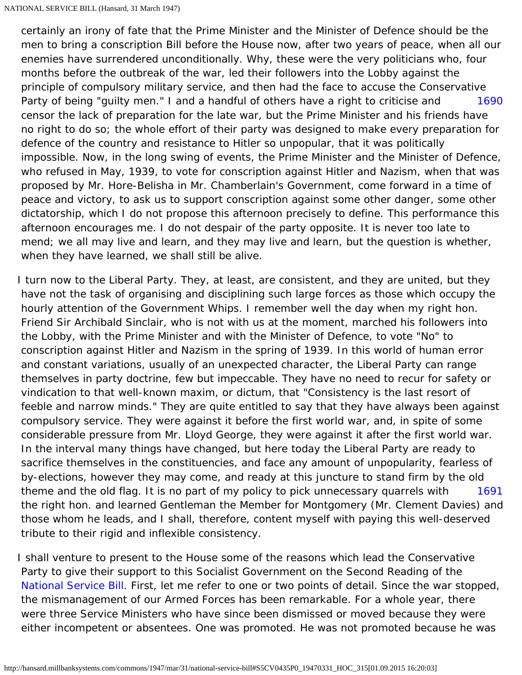<span id="page-13-0"></span>[1690](#page-13-0) certainly an irony of fate that the Prime Minister and the Minister of Defence should be the men to bring a conscription Bill before the House now, after two years of peace, when all our enemies have surrendered unconditionally. Why, these were the very politicians who, four months before the outbreak of the war, led their followers into the Lobby against the principle of compulsory military service, and then had the face to accuse the Conservative Party of being "guilty men." I and a handful of others have a right to criticise and censor the lack of preparation for the late war, but the Prime Minister and his friends have no right to do so; the whole effort of their party was designed to make every preparation for defence of the country and resistance to Hitler so unpopular, that it was politically impossible. Now, in the long swing of events, the Prime Minister and the Minister of Defence, who refused in May, 1939, to vote for conscription against Hitler and Nazism, when that was proposed by Mr. Hore-Belisha in Mr. Chamberlain's Government, come forward in a time of peace and victory, to ask us to support conscription against some other danger, some other dictatorship, which I do not propose this afternoon precisely to define. This performance this afternoon encourages me. I do not despair of the party opposite. It is never too late to mend; we all may live and learn, and they may live and learn, but the question is whether, when they have learned, we shall still be alive.

[1691](#page-13-1) I turn now to the Liberal Party. They, at least, are consistent, and they are united, but they have not the task of organising and disciplining such large forces as those which occupy the hourly attention of the Government Whips. I remember well the day when my right hon. Friend Sir Archibald Sinclair, who is not with us at the moment, marched his followers into the Lobby, with the Prime Minister and with the Minister of Defence, to vote "No" to conscription against Hitler and Nazism in the spring of 1939. In this world of human error and constant variations, usually of an unexpected character, the Liberal Party can range themselves in party doctrine, few but impeccable. They have no need to recur for safety or vindication to that well-known maxim, or dictum, that "Consistency is the last resort of feeble and narrow minds." They are quite entitled to say that they have always been against compulsory service. They were against it before the first world war, and, in spite of some considerable pressure from Mr. Lloyd George, they were against it after the first world war. In the interval many things have changed, but here today the Liberal Party are ready to sacrifice themselves in the constituencies, and face any amount of unpopularity, fearless of by-elections, however they may come, and ready at this juncture to stand firm by the old theme and the old flag. It is no part of my policy to pick unnecessary quarrels with the right hon. and learned Gentleman the Member for Montgomery (Mr. Clement Davies) and those whom he leads, and I shall, therefore, content myself with paying this well-deserved tribute to their rigid and inflexible consistency.

<span id="page-13-1"></span>I shall venture to present to the House some of the reasons which lead the Conservative Party to give their support to this Socialist Government on the Second Reading of the [National Service Bill](http://hansard.millbanksystems.com/bills/national-service-bill). First, let me refer to one or two points of detail. Since the war stopped, the mismanagement of our Armed Forces has been remarkable. For a whole year, there were three Service Ministers who have since been dismissed or moved because they were either incompetent or absentees. One was promoted. He was not promoted because he was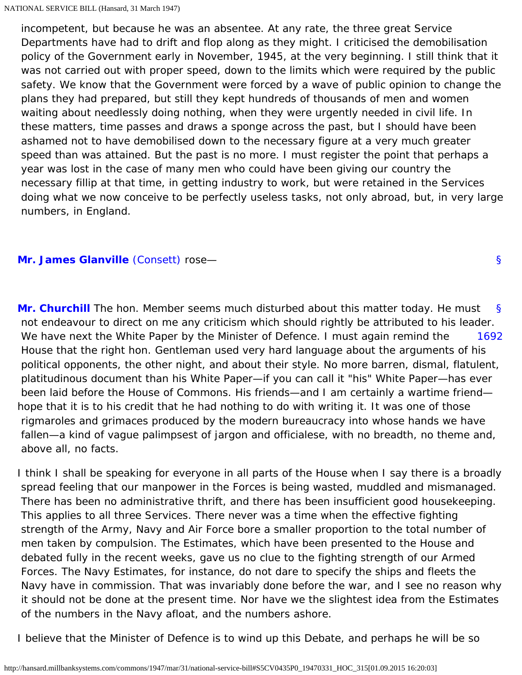incompetent, but because he was an absentee. At any rate, the three great Service Departments have had to drift and flop along as they might. I criticised the demobilisation policy of the Government early in November, 1945, at the very beginning. I still think that it was not carried out with proper speed, down to the limits which were required by the public safety. We know that the Government were forced by a wave of public opinion to change the plans they had prepared, but still they kept hundreds of thousands of men and women waiting about needlessly doing nothing, when they were urgently needed in civil life. In these matters, time passes and draws a sponge across the past, but I should have been ashamed not to have demobilised down to the necessary figure at a very much greater speed than was attained. But the past is no more. I must register the point that perhaps a year was lost in the case of many men who could have been giving our country the necessary fillip at that time, in getting industry to work, but were retained in the Services doing what we now conceive to be perfectly useless tasks, not only abroad, but, in very large numbers, in England.

### <span id="page-14-1"></span><span id="page-14-0"></span>**[Mr. James Glanville](http://hansard.millbanksystems.com/people/mr-james-glanville)** [\(Consett\)](http://hansard.millbanksystems.com/constituencies/consett) rose—

<span id="page-14-2"></span>[§](#page-14-1) [1692](#page-14-2) **[Mr. Churchill](http://hansard.millbanksystems.com/people/mr-winston-churchill)** The hon. Member seems much disturbed about this matter today. He must not endeavour to direct on me any criticism which should rightly be attributed to his leader. We have next the White Paper by the Minister of Defence. I must again remind the House that the right hon. Gentleman used very hard language about the arguments of his political opponents, the other night, and about their style. No more barren, dismal, flatulent, platitudinous document than his White Paper—if you can call it "his" White Paper—has ever been laid before the House of Commons. His friends—and I am certainly a wartime friend hope that it is to his credit that he had nothing to do with writing it. It was one of those rigmaroles and grimaces produced by the modern bureaucracy into whose hands we have fallen—a kind of vague palimpsest of jargon and officialese, with no breadth, no theme and, above all, no facts.

I think I shall be speaking for everyone in all parts of the House when I say there is a broadly spread feeling that our manpower in the Forces is being wasted, muddled and mismanaged. There has been no administrative thrift, and there has been insufficient good housekeeping. This applies to all three Services. There never was a time when the effective fighting strength of the Army, Navy and Air Force bore a smaller proportion to the total number of men taken by compulsion. The Estimates, which have been presented to the House and debated fully in the recent weeks, gave us no clue to the fighting strength of our Armed Forces. The Navy Estimates, for instance, do not dare to specify the ships and fleets the Navy have in commission. That was invariably done before the war, and I see no reason why it should not be done at the present time. Nor have we the slightest idea from the Estimates of the numbers in the Navy afloat, and the numbers ashore.

I believe that the Minister of Defence is to wind up this Debate, and perhaps he will be so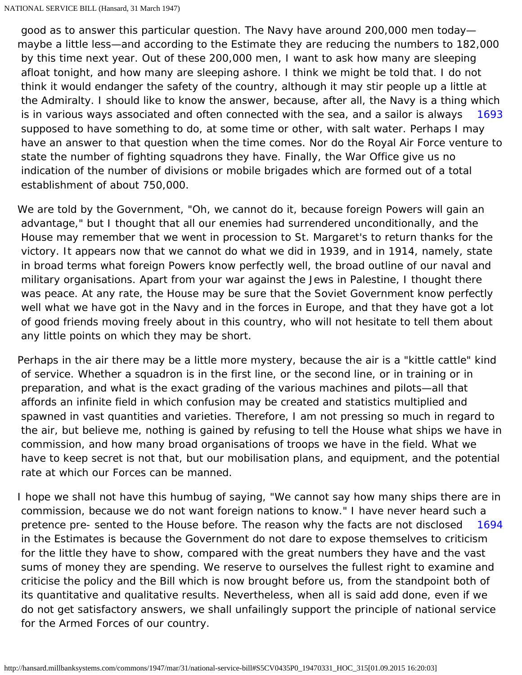<span id="page-15-0"></span>[1693](#page-15-0) good as to answer this particular question. The Navy have around 200,000 men today maybe a little less—and according to the Estimate they are reducing the numbers to 182,000 by this time next year. Out of these 200,000 men, I want to ask how many are sleeping afloat tonight, and how many are sleeping ashore. I think we might be told that. I do not think it would endanger the safety of the country, although it may stir people up a little at the Admiralty. I should like to know the answer, because, after all, the Navy is a thing which is in various ways associated and often connected with the sea, and a sailor is always supposed to have something to do, at some time or other, with salt water. Perhaps I may have an answer to that question when the time comes. Nor do the Royal Air Force venture to state the number of fighting squadrons they have. Finally, the War Office give us no indication of the number of divisions or mobile brigades which are formed out of a total establishment of about 750,000.

We are told by the Government, "Oh, we cannot do it, because foreign Powers will gain an advantage," but I thought that all our enemies had surrendered unconditionally, and the House may remember that we went in procession to St. Margaret's to return thanks for the victory. It appears now that we cannot do what we did in 1939, and in 1914, namely, state in broad terms what foreign Powers know perfectly well, the broad outline of our naval and military organisations. Apart from your war against the Jews in Palestine, I thought there was peace. At any rate, the House may be sure that the Soviet Government know perfectly well what we have got in the Navy and in the forces in Europe, and that they have got a lot of good friends moving freely about in this country, who will not hesitate to tell them about any little points on which they may be short.

Perhaps in the air there may be a little more mystery, because the air is a "kittle cattle" kind of service. Whether a squadron is in the first line, or the second line, or in training or in preparation, and what is the exact grading of the various machines and pilots—all that affords an infinite field in which confusion may be created and statistics multiplied and spawned in vast quantities and varieties. Therefore, I am not pressing so much in regard to the air, but believe me, nothing is gained by refusing to tell the House what ships we have in commission, and how many broad organisations of troops we have in the field. What we have to keep secret is not that, but our mobilisation plans, and equipment, and the potential rate at which our Forces can be manned.

<span id="page-15-1"></span>[1694](#page-15-1) I hope we shall not have this humbug of saying, "We cannot say how many ships there are in commission, because we do not want foreign nations to know." I have never heard such a pretence pre- sented to the House before. The reason why the facts are not disclosed in the Estimates is because the Government do not dare to expose themselves to criticism for the little they have to show, compared with the great numbers they have and the vast sums of money they are spending. We reserve to ourselves the fullest right to examine and criticise the policy and the Bill which is now brought before us, from the standpoint both of its quantitative and qualitative results. Nevertheless, when all is said add done, even if we do not get satisfactory answers, we shall unfailingly support the principle of national service for the Armed Forces of our country.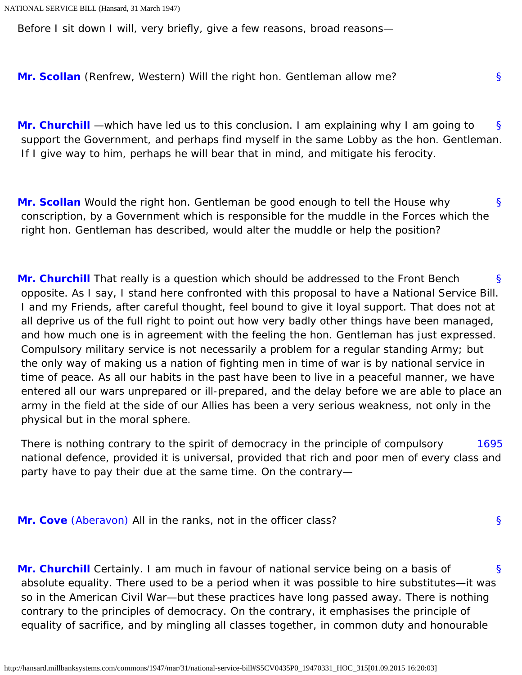<span id="page-16-0"></span>Before I sit down I will, very briefly, give a few reasons, broad reasons—

<span id="page-16-1"></span>**[Mr. Scollan](http://hansard.millbanksystems.com/people/mr-thomas-scollan)** (Renfrew, Western) Will the right hon. Gentleman allow me?

[§](#page-16-1) **[Mr. Churchill](http://hansard.millbanksystems.com/people/mr-winston-churchill)** —which have led us to this conclusion. I am explaining why I am going to support the Government, and perhaps find myself in the same Lobby as the hon. Gentleman. If I give way to him, perhaps he will bear that in mind, and mitigate his ferocity.

[§](#page-16-0)

[§](#page-16-5)

<span id="page-16-2"></span>[§](#page-16-2) **[Mr. Scollan](http://hansard.millbanksystems.com/people/mr-thomas-scollan)** Would the right hon. Gentleman be good enough to tell the House why conscription, by a Government which is responsible for the muddle in the Forces which the right hon. Gentleman has described, would alter the muddle or help the position?

<span id="page-16-3"></span>[§](#page-16-3) **[Mr. Churchill](http://hansard.millbanksystems.com/people/mr-winston-churchill)** That really is a question which should be addressed to the Front Bench opposite. As I say, I stand here confronted with this proposal to have a National Service Bill. I and my Friends, after careful thought, feel bound to give it loyal support. That does not at all deprive us of the full right to point out how very badly other things have been managed, and how much one is in agreement with the feeling the hon. Gentleman has just expressed. Compulsory military service is not necessarily a problem for a regular standing Army; but the only way of making us a nation of fighting men in time of war is by national service in time of peace. As all our habits in the past have been to live in a peaceful manner, we have entered all our wars unprepared or ill-prepared, and the delay before we are able to place an army in the field at the side of our Allies has been a very serious weakness, not only in the physical but in the moral sphere.

<span id="page-16-4"></span>[1695](#page-16-4) There is nothing contrary to the spirit of democracy in the principle of compulsory national defence, provided it is universal, provided that rich and poor men of every class and party have to pay their due at the same time. On the contrary—

<span id="page-16-5"></span>**[Mr. Cove](http://hansard.millbanksystems.com/people/mr-william-cove)** [\(Aberavon\)](http://hansard.millbanksystems.com/constituencies/aberavon) All in the ranks, not in the officer class?

<span id="page-16-6"></span>[§](#page-16-6) **[Mr. Churchill](http://hansard.millbanksystems.com/people/mr-winston-churchill)** Certainly. I am much in favour of national service being on a basis of absolute equality. There used to be a period when it was possible to hire substitutes—it was so in the American Civil War—but these practices have long passed away. There is nothing contrary to the principles of democracy. On the contrary, it emphasises the principle of equality of sacrifice, and by mingling all classes together, in common duty and honourable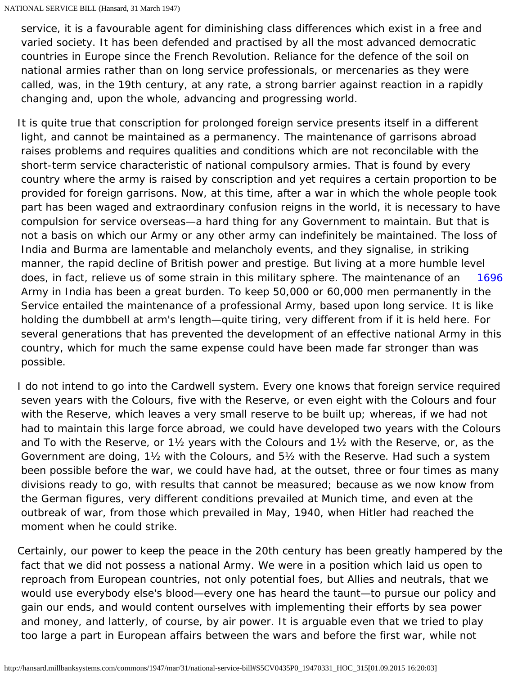service, it is a favourable agent for diminishing class differences which exist in a free and varied society. It has been defended and practised by all the most advanced democratic countries in Europe since the French Revolution. Reliance for the defence of the soil on national armies rather than on long service professionals, or mercenaries as they were called, was, in the 19th century, at any rate, a strong barrier against reaction in a rapidly changing and, upon the whole, advancing and progressing world.

[1696](#page-17-0) It is quite true that conscription for prolonged foreign service presents itself in a different light, and cannot be maintained as a permanency. The maintenance of garrisons abroad raises problems and requires qualities and conditions which are not reconcilable with the short-term service characteristic of national compulsory armies. That is found by every country where the army is raised by conscription and yet requires a certain proportion to be provided for foreign garrisons. Now, at this time, after a war in which the whole people took part has been waged and extraordinary confusion reigns in the world, it is necessary to have compulsion for service overseas—a hard thing for any Government to maintain. But that is not a basis on which our Army or any other army can indefinitely be maintained. The loss of India and Burma are lamentable and melancholy events, and they signalise, in striking manner, the rapid decline of British power and prestige. But living at a more humble level does, in fact, relieve us of some strain in this military sphere. The maintenance of an Army in India has been a great burden. To keep 50,000 or 60,000 men permanently in the Service entailed the maintenance of a professional Army, based upon long service. It is like holding the dumbbell at arm's length—quite tiring, very different from if it is held here. For several generations that has prevented the development of an effective national Army in this country, which for much the same expense could have been made far stronger than was possible.

<span id="page-17-0"></span>I do not intend to go into the Cardwell system. Every one knows that foreign service required seven years with the Colours, five with the Reserve, or even eight with the Colours and four with the Reserve, which leaves a very small reserve to be built up; whereas, if we had not had to maintain this large force abroad, we could have developed two years with the Colours and To with the Reserve, or 1½ years with the Colours and 1½ with the Reserve, or, as the Government are doing, 1½ with the Colours, and 5½ with the Reserve. Had such a system been possible before the war, we could have had, at the outset, three or four times as many divisions ready to go, with results that cannot be measured; because as we now know from the German figures, very different conditions prevailed at Munich time, and even at the outbreak of war, from those which prevailed in May, 1940, when Hitler had reached the moment when he could strike.

Certainly, our power to keep the peace in the 20th century has been greatly hampered by the fact that we did not possess a national Army. We were in a position which laid us open to reproach from European countries, not only potential foes, but Allies and neutrals, that we would use everybody else's blood—every one has heard the taunt—to pursue our policy and gain our ends, and would content ourselves with implementing their efforts by sea power and money, and latterly, of course, by air power. It is arguable even that we tried to play too large a part in European affairs between the wars and before the first war, while not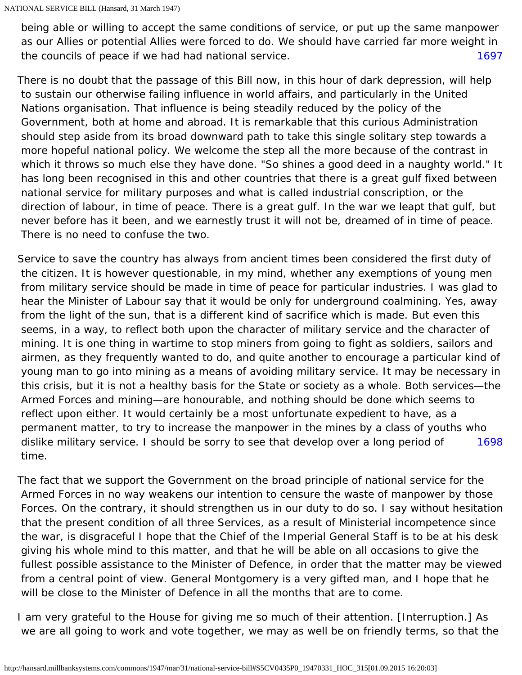[1697](#page-18-0) being able or willing to accept the same conditions of service, or put up the same manpower as our Allies or potential Allies were forced to do. We should have carried far more weight in the councils of peace if we had had national service.

<span id="page-18-0"></span>There is no doubt that the passage of this Bill now, in this hour of dark depression, will help to sustain our otherwise failing influence in world affairs, and particularly in the United Nations organisation. That influence is being steadily reduced by the policy of the Government, both at home and abroad. It is remarkable that this curious Administration should step aside from its broad downward path to take this single solitary step towards a more hopeful national policy. We welcome the step all the more because of the contrast in which it throws so much else they have done. "So shines a good deed in a naughty world." It has long been recognised in this and other countries that there is a great gulf fixed between national service for military purposes and what is called industrial conscription, or the direction of labour, in time of peace. There is a great gulf. In the war we leapt that gulf, but never before has it been, and we earnestly trust it will not be, dreamed of in time of peace. There is no need to confuse the two.

[1698](#page-18-1) Service to save the country has always from ancient times been considered the first duty of the citizen. It is however questionable, in my mind, whether any exemptions of young men from military service should be made in time of peace for particular industries. I was glad to hear the Minister of Labour say that it would be only for underground coalmining. Yes, away from the light of the sun, that is a different kind of sacrifice which is made. But even this seems, in a way, to reflect both upon the character of military service and the character of mining. It is one thing in wartime to stop miners from going to fight as soldiers, sailors and airmen, as they frequently wanted to do, and quite another to encourage a particular kind of young man to go into mining as a means of avoiding military service. It may be necessary in this crisis, but it is not a healthy basis for the State or society as a whole. Both services—the Armed Forces and mining—are honourable, and nothing should be done which seems to reflect upon either. It would certainly be a most unfortunate expedient to have, as a permanent matter, to try to increase the manpower in the mines by a class of youths who dislike military service. I should be sorry to see that develop over a long period of time.

<span id="page-18-1"></span>The fact that we support the Government on the broad principle of national service for the Armed Forces in no way weakens our intention to censure the waste of manpower by those Forces. On the contrary, it should strengthen us in our duty to do so. I say without hesitation that the present condition of all three Services, as a result of Ministerial incompetence since the war, is disgraceful I hope that the Chief of the Imperial General Staff is to be at his desk giving his whole mind to this matter, and that he will be able on all occasions to give the fullest possible assistance to the Minister of Defence, in order that the matter may be viewed from a central point of view. General Montgomery is a very gifted man, and I hope that he will be close to the Minister of Defence in all the months that are to come.

I am very grateful to the House for giving me so much of their attention. [Interruption.] As we are all going to work and vote together, we may as well be on friendly terms, so that the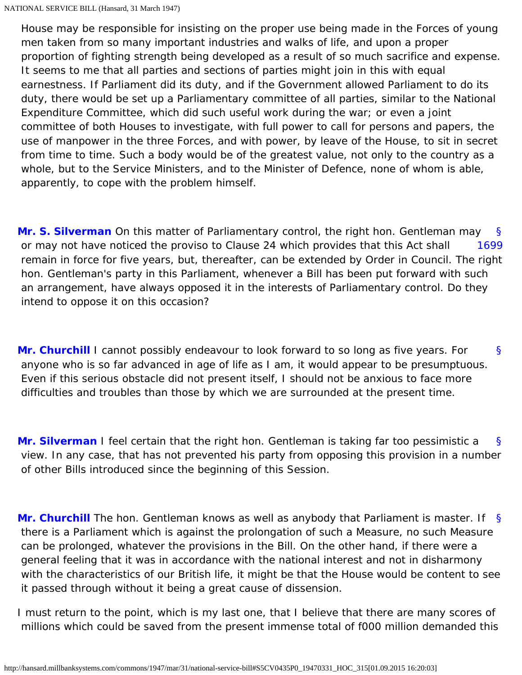House may be responsible for insisting on the proper use being made in the Forces of young men taken from so many important industries and walks of life, and upon a proper proportion of fighting strength being developed as a result of so much sacrifice and expense. It seems to me that all parties and sections of parties might join in this with equal earnestness. If Parliament did its duty, and if the Government allowed Parliament to do its duty, there would be set up a Parliamentary committee of all parties, similar to the National Expenditure Committee, which did such useful work during the war; or even a joint committee of both Houses to investigate, with full power to call for persons and papers, the use of manpower in the three Forces, and with power, by leave of the House, to sit in secret from time to time. Such a body would be of the greatest value, not only to the country as a whole, but to the Service Ministers, and to the Minister of Defence, none of whom is able, apparently, to cope with the problem himself.

<span id="page-19-1"></span><span id="page-19-0"></span>[§](#page-19-0) [1699](#page-19-1) **[Mr. S. Silverman](http://hansard.millbanksystems.com/people/mr-samuel-silverman)** On this matter of Parliamentary control, the right hon. Gentleman may or may not have noticed the proviso to Clause 24 which provides that this Act shall remain in force for five years, but, thereafter, can be extended by Order in Council. The right hon. Gentleman's party in this Parliament, whenever a Bill has been put forward with such an arrangement, have always opposed it in the interests of Parliamentary control. Do they intend to oppose it on this occasion?

<span id="page-19-2"></span>[§](#page-19-2) **[Mr. Churchill](http://hansard.millbanksystems.com/people/mr-winston-churchill)** I cannot possibly endeavour to look forward to so long as five years. For anyone who is so far advanced in age of life as I am, it would appear to be presumptuous. Even if this serious obstacle did not present itself, I should not be anxious to face more difficulties and troubles than those by which we are surrounded at the present time.

<span id="page-19-3"></span>[§](#page-19-3) **[Mr. Silverman](http://hansard.millbanksystems.com/people/mr-samuel-silverman)** I feel certain that the right hon. Gentleman is taking far too pessimistic a view. In any case, that has not prevented his party from opposing this provision in a number of other Bills introduced since the beginning of this Session.

<span id="page-19-4"></span>[§](#page-19-4) **[Mr. Churchill](http://hansard.millbanksystems.com/people/mr-winston-churchill)** The hon. Gentleman knows as well as anybody that Parliament is master. If there is a Parliament which is against the prolongation of such a Measure, no such Measure can be prolonged, whatever the provisions in the Bill. On the other hand, if there were a general feeling that it was in accordance with the national interest and not in disharmony with the characteristics of our British life, it might be that the House would be content to see it passed through without it being a great cause of dissension.

I must return to the point, which is my last one, that I believe that there are many scores of millions which could be saved from the present immense total of f000 million demanded this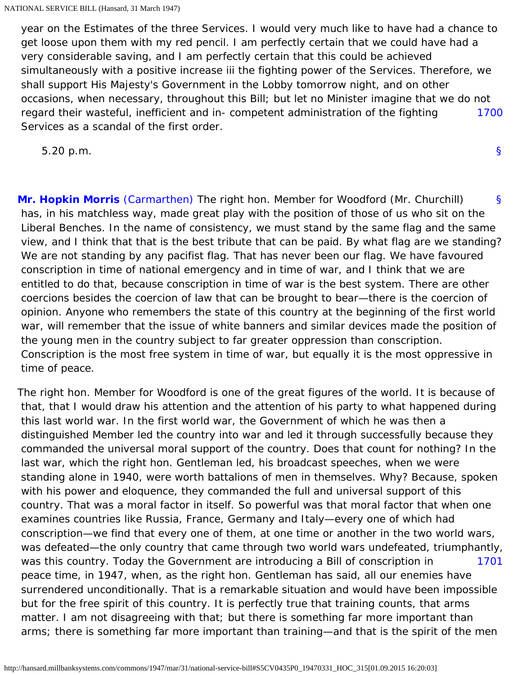[1700](#page-20-0) year on the Estimates of the three Services. I would very much like to have had a chance to get loose upon them with my red pencil. I am perfectly certain that we could have had a very considerable saving, and I am perfectly certain that this could be achieved simultaneously with a positive increase iii the fighting power of the Services. Therefore, we shall support His Majesty's Government in the Lobby tomorrow night, and on other occasions, when necessary, throughout this Bill; but let no Minister imagine that we do not regard their wasteful, inefficient and in- competent administration of the fighting Services as a scandal of the first order.

<span id="page-20-0"></span>5.20 p.m.

[§](#page-0-1)

<span id="page-20-1"></span>[§](#page-20-1) **[Mr. Hopkin Morris](http://hansard.millbanksystems.com/people/mr-harry-morris)** [\(Carmarthen\)](http://hansard.millbanksystems.com/constituencies/carmarthen) The right hon. Member for Woodford (Mr. Churchill) has, in his matchless way, made great play with the position of those of us who sit on the Liberal Benches. In the name of consistency, we must stand by the same flag and the same view, and I think that that is the best tribute that can be paid. By what flag are we standing? We are not standing by any pacifist flag. That has never been our flag. We have favoured conscription in time of national emergency and in time of war, and I think that we are entitled to do that, because conscription in time of war is the best system. There are other coercions besides the coercion of law that can be brought to bear—there is the coercion of opinion. Anyone who remembers the state of this country at the beginning of the first world war, will remember that the issue of white banners and similar devices made the position of the young men in the country subject to far greater oppression than conscription. Conscription is the most free system in time of war, but equally it is the most oppressive in time of peace.

<span id="page-20-2"></span>[1701](#page-20-2) The right hon. Member for Woodford is one of the great figures of the world. It is because of that, that I would draw his attention and the attention of his party to what happened during this last world war. In the first world war, the Government of which he was then a distinguished Member led the country into war and led it through successfully because they commanded the universal moral support of the country. Does that count for nothing? In the last war, which the right hon. Gentleman led, his broadcast speeches, when we were standing alone in 1940, were worth battalions of men in themselves. Why? Because, spoken with his power and eloquence, they commanded the full and universal support of this country. That was a moral factor in itself. So powerful was that moral factor that when one examines countries like Russia, France, Germany and Italy—every one of which had conscription—we find that every one of them, at one time or another in the two world wars, was defeated—the only country that came through two world wars undefeated, triumphantly, was this country. Today the Government are introducing a Bill of conscription in peace time, in 1947, when, as the right hon. Gentleman has said, all our enemies have surrendered unconditionally. That is a remarkable situation and would have been impossible but for the free spirit of this country. It is perfectly true that training counts, that arms matter. I am not disagreeing with that; but there is something far more important than arms; there is something far more important than training—and that is the spirit of the men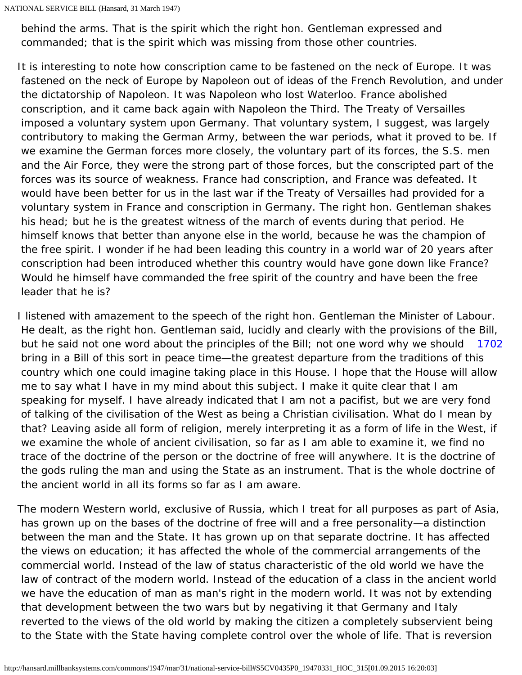behind the arms. That is the spirit which the right hon. Gentleman expressed and commanded; that is the spirit which was missing from those other countries.

It is interesting to note how conscription came to be fastened on the neck of Europe. It was fastened on the neck of Europe by Napoleon out of ideas of the French Revolution, and under the dictatorship of Napoleon. It was Napoleon who lost Waterloo. France abolished conscription, and it came back again with Napoleon the Third. The Treaty of Versailles imposed a voluntary system upon Germany. That voluntary system, I suggest, was largely contributory to making the German Army, between the war periods, what it proved to be. If we examine the German forces more closely, the voluntary part of its forces, the S.S. men and the Air Force, they were the strong part of those forces, but the conscripted part of the forces was its source of weakness. France had conscription, and France was defeated. It would have been better for us in the last war if the Treaty of Versailles had provided for a voluntary system in France and conscription in Germany. The right hon. Gentleman shakes his head; but he is the greatest witness of the march of events during that period. He himself knows that better than anyone else in the world, because he was the champion of the free spirit. I wonder if he had been leading this country in a world war of 20 years after conscription had been introduced whether this country would have gone down like France? Would he himself have commanded the free spirit of the country and have been the free leader that he is?

<span id="page-21-0"></span>[1702](#page-21-0) I listened with amazement to the speech of the right hon. Gentleman the Minister of Labour. He dealt, as the right hon. Gentleman said, lucidly and clearly with the provisions of the Bill, but he said not one word about the principles of the Bill; not one word why we should bring in a Bill of this sort in peace time—the greatest departure from the traditions of this country which one could imagine taking place in this House. I hope that the House will allow me to say what I have in my mind about this subject. I make it quite clear that I am speaking for myself. I have already indicated that I am not a pacifist, but we are very fond of talking of the civilisation of the West as being a Christian civilisation. What do I mean by that? Leaving aside all form of religion, merely interpreting it as a form of life in the West, if we examine the whole of ancient civilisation, so far as I am able to examine it, we find no trace of the doctrine of the person or the doctrine of free will anywhere. It is the doctrine of the gods ruling the man and using the State as an instrument. That is the whole doctrine of the ancient world in all its forms so far as I am aware.

The modern Western world, exclusive of Russia, which I treat for all purposes as part of Asia, has grown up on the bases of the doctrine of free will and a free personality—a distinction between the man and the State. It has grown up on that separate doctrine. It has affected the views on education; it has affected the whole of the commercial arrangements of the commercial world. Instead of the law of status characteristic of the old world we have the law of contract of the modern world. Instead of the education of a class in the ancient world we have the education of man as man's right in the modern world. It was not by extending that development between the two wars but by negativing it that Germany and Italy reverted to the views of the old world by making the citizen a completely subservient being to the State with the State having complete control over the whole of life. That is reversion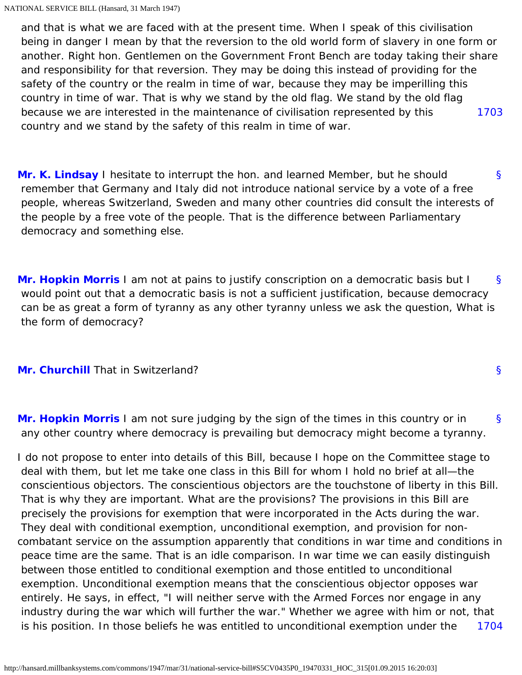[1703](#page-22-0) and that is what we are faced with at the present time. When I speak of this civilisation being in danger I mean by that the reversion to the old world form of slavery in one form or another. Right hon. Gentlemen on the Government Front Bench are today taking their share and responsibility for that reversion. They may be doing this instead of providing for the safety of the country or the realm in time of war, because they may be imperilling this country in time of war. That is why we stand by the old flag. We stand by the old flag because we are interested in the maintenance of civilisation represented by this country and we stand by the safety of this realm in time of war.

<span id="page-22-1"></span><span id="page-22-0"></span>[§](#page-22-1) **[Mr. K. Lindsay](http://hansard.millbanksystems.com/people/mr-kenneth-lindsay)** I hesitate to interrupt the hon. and learned Member, but he should remember that Germany and Italy did not introduce national service by a vote of a free people, whereas Switzerland, Sweden and many other countries did consult the interests of the people by a free vote of the people. That is the difference between Parliamentary democracy and something else.

<span id="page-22-2"></span>[§](#page-22-2) **[Mr. Hopkin Morris](http://hansard.millbanksystems.com/people/mr-harry-morris)** I am not at pains to justify conscription on a democratic basis but I would point out that a democratic basis is not a sufficient justification, because democracy can be as great a form of tyranny as any other tyranny unless we ask the question, What is the form of democracy?

## <span id="page-22-3"></span>**[Mr. Churchill](http://hansard.millbanksystems.com/people/mr-winston-churchill)** That in Switzerland?

<span id="page-22-4"></span>[§](#page-22-4) **[Mr. Hopkin Morris](http://hansard.millbanksystems.com/people/mr-harry-morris)** I am not sure judging by the sign of the times in this country or in any other country where democracy is prevailing but democracy might become a tyranny.

[§](#page-22-3)

<span id="page-22-5"></span>[1704](#page-22-5) I do not propose to enter into details of this Bill, because I hope on the Committee stage to deal with them, but let me take one class in this Bill for whom I hold no brief at all—the conscientious objectors. The conscientious objectors are the touchstone of liberty in this Bill. That is why they are important. What are the provisions? The provisions in this Bill are precisely the provisions for exemption that were incorporated in the Acts during the war. They deal with conditional exemption, unconditional exemption, and provision for noncombatant service on the assumption apparently that conditions in war time and conditions in peace time are the same. That is an idle comparison. In war time we can easily distinguish between those entitled to conditional exemption and those entitled to unconditional exemption. Unconditional exemption means that the conscientious objector opposes war entirely. He says, in effect, "I will neither serve with the Armed Forces nor engage in any industry during the war which will further the war." Whether we agree with him or not, that is his position. In those beliefs he was entitled to unconditional exemption under the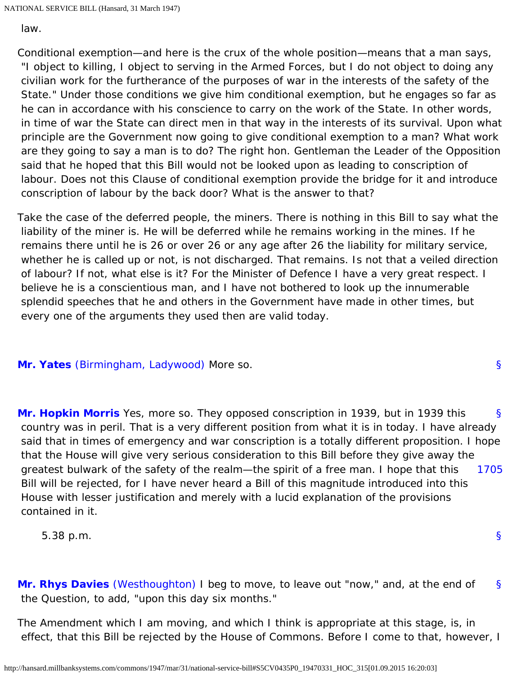NATIONAL SERVICE BILL (Hansard, 31 March 1947)

law.

Conditional exemption—and here is the crux of the whole position—means that a man says, "I object to killing, I object to serving in the Armed Forces, but I do not object to doing any civilian work for the furtherance of the purposes of war in the interests of the safety of the State." Under those conditions we give him conditional exemption, but he engages so far as he can in accordance with his conscience to carry on the work of the State. In other words, in time of war the State can direct men in that way in the interests of its survival. Upon what principle are the Government now going to give conditional exemption to a man? What work are they going to say a man is to do? The right hon. Gentleman the Leader of the Opposition said that he hoped that this Bill would not be looked upon as leading to conscription of labour. Does not this Clause of conditional exemption provide the bridge for it and introduce conscription of labour by the back door? What is the answer to that?

Take the case of the deferred people, the miners. There is nothing in this Bill to say what the liability of the miner is. He will be deferred while he remains working in the mines. If he remains there until he is 26 or over 26 or any age after 26 the liability for military service, whether he is called up or not, is not discharged. That remains. Is not that a veiled direction of labour? If not, what else is it? For the Minister of Defence I have a very great respect. I believe he is a conscientious man, and I have not bothered to look up the innumerable splendid speeches that he and others in the Government have made in other times, but every one of the arguments they used then are valid today.

# <span id="page-23-0"></span>**[Mr. Yates](http://hansard.millbanksystems.com/people/mr-victor-yates)** [\(Birmingham, Ladywood\)](http://hansard.millbanksystems.com/constituencies/birmingham-ladywood) More so.

<span id="page-23-2"></span><span id="page-23-1"></span>[§](#page-23-1) [1705](#page-23-2) **[Mr. Hopkin Morris](http://hansard.millbanksystems.com/people/mr-harry-morris)** Yes, more so. They opposed conscription in 1939, but in 1939 this country was in peril. That is a very different position from what it is in today. I have already said that in times of emergency and war conscription is a totally different proposition. I hope that the House will give very serious consideration to this Bill before they give away the greatest bulwark of the safety of the realm—the spirit of a free man. I hope that this Bill will be rejected, for I have never heard a Bill of this magnitude introduced into this House with lesser justification and merely with a lucid explanation of the provisions contained in it.

5.38 p.m.

<span id="page-23-3"></span>[§](#page-23-3) **[Mr. Rhys Davies](http://hansard.millbanksystems.com/people/mr-rhys-davies)** [\(Westhoughton\)](http://hansard.millbanksystems.com/constituencies/westhoughton) I beg to move, to leave out "now," and, at the end of the Question, to add, "upon this day six months."

The Amendment which I am moving, and which I think is appropriate at this stage, is, in effect, that this Bill be rejected by the House of Commons. Before I come to that, however, I

[§](#page-23-0)

[§](#page-0-1)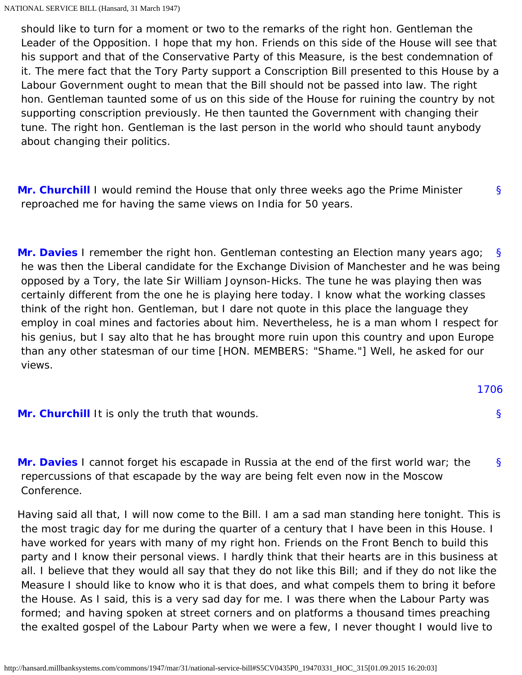should like to turn for a moment or two to the remarks of the right hon. Gentleman the Leader of the Opposition. I hope that my hon. Friends on this side of the House will see that his support and that of the Conservative Party of this Measure, is the best condemnation of it. The mere fact that the Tory Party support a Conscription Bill presented to this House by a Labour Government ought to mean that the Bill should not be passed into law. The right hon. Gentleman taunted some of us on this side of the House for ruining the country by not supporting conscription previously. He then taunted the Government with changing their tune. The right hon. Gentleman is the last person in the world who should taunt anybody about changing their politics.

<span id="page-24-0"></span>[§](#page-24-0) **[Mr. Churchill](http://hansard.millbanksystems.com/people/mr-winston-churchill)** I would remind the House that only three weeks ago the Prime Minister reproached me for having the same views on India for 50 years.

<span id="page-24-1"></span>[§](#page-24-1) **[Mr. Davies](http://hansard.millbanksystems.com/people/mr-rhys-davies)** I remember the right hon. Gentleman contesting an Election many years ago; he was then the Liberal candidate for the Exchange Division of Manchester and he was being opposed by a Tory, the late Sir William Joynson-Hicks. The tune he was playing then was certainly different from the one he is playing here today. I know what the working classes think of the right hon. Gentleman, but I dare not quote in this place the language they employ in coal mines and factories about him. Nevertheless, he is a man whom I respect for his genius, but I say alto that he has brought more ruin upon this country and upon Europe than any other statesman of our time [HON. MEMBERS: "Shame."] Well, he asked for our views.

<span id="page-24-4"></span><span id="page-24-2"></span>

|                                                 | 1706 |
|-------------------------------------------------|------|
| Mr. Churchill It is only the truth that wounds. |      |

<span id="page-24-3"></span>[§](#page-24-3) **[Mr. Davies](http://hansard.millbanksystems.com/people/mr-rhys-davies)** I cannot forget his escapade in Russia at the end of the first world war; the repercussions of that escapade by the way are being felt even now in the Moscow Conference.

Having said all that, I will now come to the Bill. I am a sad man standing here tonight. This is the most tragic day for me during the quarter of a century that I have been in this House. I have worked for years with many of my right hon. Friends on the Front Bench to build this party and I know their personal views. I hardly think that their hearts are in this business at all. I believe that they would all say that they do not like this Bill; and if they do not like the Measure I should like to know who it is that does, and what compels them to bring it before the House. As I said, this is a very sad day for me. I was there when the Labour Party was formed; and having spoken at street corners and on platforms a thousand times preaching the exalted gospel of the Labour Party when we were a few, I never thought I would live to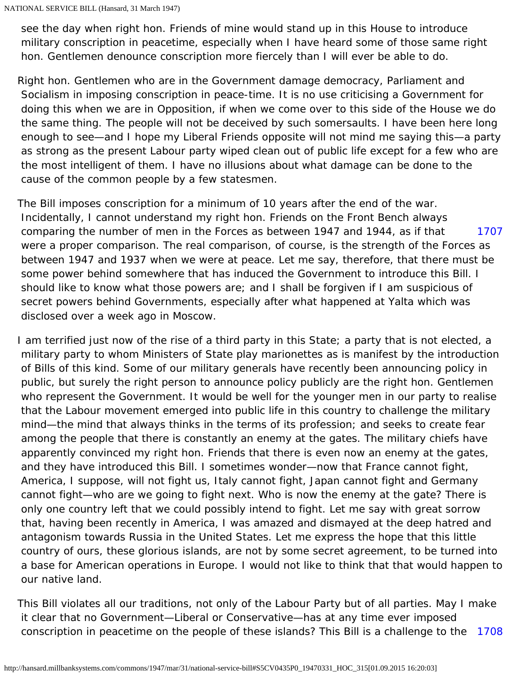see the day when right hon. Friends of mine would stand up in this House to introduce military conscription in peacetime, especially when I have heard some of those same right hon. Gentlemen denounce conscription more fiercely than I will ever be able to do.

Right hon. Gentlemen who are in the Government damage democracy, Parliament and Socialism in imposing conscription in peace-time. It is no use criticising a Government for doing this when we are in Opposition, if when we come over to this side of the House we do the same thing. The people will not be deceived by such somersaults. I have been here long enough to see—and I hope my Liberal Friends opposite will not mind me saying this—a party as strong as the present Labour party wiped clean out of public life except for a few who are the most intelligent of them. I have no illusions about what damage can be done to the cause of the common people by a few statesmen.

<span id="page-25-0"></span>[1707](#page-25-0) The Bill imposes conscription for a minimum of 10 years after the end of the war. Incidentally, I cannot understand my right hon. Friends on the Front Bench always comparing the number of men in the Forces as between 1947 and 1944, as if that were a proper comparison. The real comparison, of course, is the strength of the Forces as between 1947 and 1937 when we were at peace. Let me say, therefore, that there must be some power behind somewhere that has induced the Government to introduce this Bill. I should like to know what those powers are; and I shall be forgiven if I am suspicious of secret powers behind Governments, especially after what happened at Yalta which was disclosed over a week ago in Moscow.

I am terrified just now of the rise of a third party in this State; a party that is not elected, a military party to whom Ministers of State play marionettes as is manifest by the introduction of Bills of this kind. Some of our military generals have recently been announcing policy in public, but surely the right person to announce policy publicly are the right hon. Gentlemen who represent the Government. It would be well for the younger men in our party to realise that the Labour movement emerged into public life in this country to challenge the military mind—the mind that always thinks in the terms of its profession; and seeks to create fear among the people that there is constantly an enemy at the gates. The military chiefs have apparently convinced my right hon. Friends that there is even now an enemy at the gates, and they have introduced this Bill. I sometimes wonder—now that France cannot fight, America, I suppose, will not fight us, Italy cannot fight, Japan cannot fight and Germany cannot fight—who are we going to fight next. Who is now the enemy at the gate? There is only one country left that we could possibly intend to fight. Let me say with great sorrow that, having been recently in America, I was amazed and dismayed at the deep hatred and antagonism towards Russia in the United States. Let me express the hope that this little country of ours, these glorious islands, are not by some secret agreement, to be turned into a base for American operations in Europe. I would not like to think that that would happen to our native land.

<span id="page-25-1"></span>[1708](#page-25-1) This Bill violates all our traditions, not only of the Labour Party but of all parties. May I make it clear that no Government—Liberal or Conservative—has at any time ever imposed conscription in peacetime on the people of these islands? This Bill is a challenge to the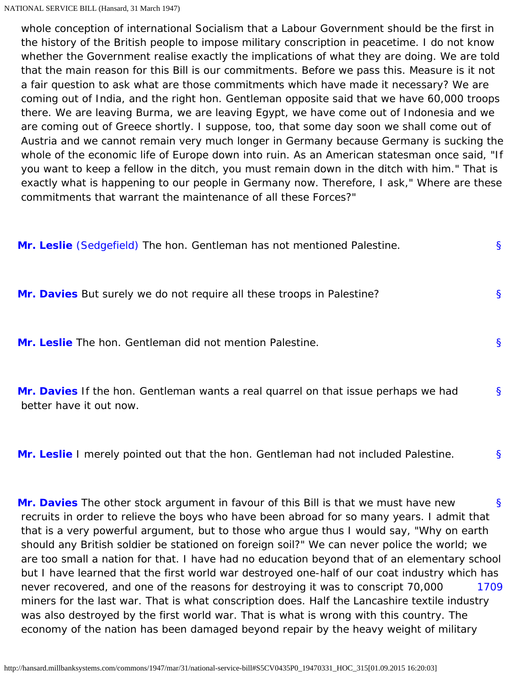whole conception of international Socialism that a Labour Government should be the first in the history of the British people to impose military conscription in peacetime. I do not know whether the Government realise exactly the implications of what they are doing. We are told that the main reason for this Bill is our commitments. Before we pass this. Measure is it not a fair question to ask what are those commitments which have made it necessary? We are coming out of India, and the right hon. Gentleman opposite said that we have 60,000 troops there. We are leaving Burma, we are leaving Egypt, we have come out of Indonesia and we are coming out of Greece shortly. I suppose, too, that some day soon we shall come out of Austria and we cannot remain very much longer in Germany because Germany is sucking the whole of the economic life of Europe down into ruin. As an American statesman once said, "If you want to keep a fellow in the ditch, you must remain down in the ditch with him." That is exactly what is happening to our people in Germany now. Therefore, I ask," Where are these commitments that warrant the maintenance of all these Forces?"

<span id="page-26-2"></span><span id="page-26-1"></span><span id="page-26-0"></span>

| Mr. Leslie (Sedgefield) The hon. Gentleman has not mentioned Palestine.                                       | $\mathbf{\S}$ |
|---------------------------------------------------------------------------------------------------------------|---------------|
| Mr. Davies But surely we do not require all these troops in Palestine?                                        | <sub>S</sub>  |
| <b>Mr. Leslie</b> The hon. Gentleman did not mention Palestine.                                               | S             |
| Mr. Davies If the hon. Gentleman wants a real quarrel on that issue perhaps we had<br>better have it out now. | <sub>S</sub>  |

<span id="page-26-4"></span><span id="page-26-3"></span>[§](#page-26-4) **[Mr. Leslie](http://hansard.millbanksystems.com/people/mr-john-leslie)** I merely pointed out that the hon. Gentleman had not included Palestine.

<span id="page-26-6"></span><span id="page-26-5"></span>[§](#page-26-5) [1709](#page-26-6) **[Mr. Davies](http://hansard.millbanksystems.com/people/mr-rhys-davies)** The other stock argument in favour of this Bill is that we must have new recruits in order to relieve the boys who have been abroad for so many years. I admit that that is a very powerful argument, but to those who argue thus I would say, "Why on earth should any British soldier be stationed on foreign soil?" We can never police the world; we are too small a nation for that. I have had no education beyond that of an elementary school but I have learned that the first world war destroyed one-half of our coat industry which has never recovered, and one of the reasons for destroying it was to conscript 70,000 miners for the last war. That is what conscription does. Half the Lancashire textile industry was also destroyed by the first world war. That is what is wrong with this country. The economy of the nation has been damaged beyond repair by the heavy weight of military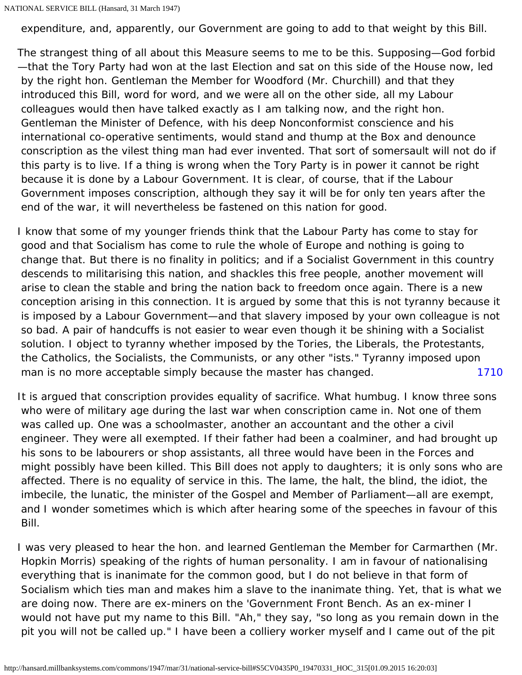NATIONAL SERVICE BILL (Hansard, 31 March 1947)

expenditure, and, apparently, our Government are going to add to that weight by this Bill.

The strangest thing of all about this Measure seems to me to be this. Supposing—God forbid —that the Tory Party had won at the last Election and sat on this side of the House now, led by the right hon. Gentleman the Member for Woodford (Mr. Churchill) and that they introduced this Bill, word for word, and we were all on the other side, all my Labour colleagues would then have talked exactly as I am talking now, and the right hon. Gentleman the Minister of Defence, with his deep Nonconformist conscience and his international co-operative sentiments, would stand and thump at the Box and denounce conscription as the vilest thing man had ever invented. That sort of somersault will not do if this party is to live. If a thing is wrong when the Tory Party is in power it cannot be right because it is done by a Labour Government. It is clear, of course, that if the Labour Government imposes conscription, although they say it will be for only ten years after the end of the war, it will nevertheless be fastened on this nation for good.

[1710](#page-27-0) I know that some of my younger friends think that the Labour Party has come to stay for good and that Socialism has come to rule the whole of Europe and nothing is going to change that. But there is no finality in politics; and if a Socialist Government in this country descends to militarising this nation, and shackles this free people, another movement will arise to clean the stable and bring the nation back to freedom once again. There is a new conception arising in this connection. It is argued by some that this is not tyranny because it is imposed by a Labour Government—and that slavery imposed by your own colleague is not so bad. A pair of handcuffs is not easier to wear even though it be shining with a Socialist solution. I object to tyranny whether imposed by the Tories, the Liberals, the Protestants, the Catholics, the Socialists, the Communists, or any other "ists." Tyranny imposed upon man is no more acceptable simply because the master has changed.

<span id="page-27-0"></span>It is argued that conscription provides equality of sacrifice. What humbug. I know three sons who were of military age during the last war when conscription came in. Not one of them was called up. One was a schoolmaster, another an accountant and the other a civil engineer. They were all exempted. If their father had been a coalminer, and had brought up his sons to be labourers or shop assistants, all three would have been in the Forces and might possibly have been killed. This Bill does not apply to daughters; it is only sons who are affected. There is no equality of service in this. The lame, the halt, the blind, the idiot, the imbecile, the lunatic, the minister of the Gospel and Member of Parliament—all are exempt, and I wonder sometimes which is which after hearing some of the speeches in favour of this Bill.

I was very pleased to hear the hon. and learned Gentleman the Member for Carmarthen (Mr. Hopkin Morris) speaking of the rights of human personality. I am in favour of nationalising everything that is inanimate for the common good, but I do not believe in that form of Socialism which ties man and makes him a slave to the inanimate thing. Yet, that is what we are doing now. There are ex-miners on the 'Government Front Bench. As an ex-miner I would not have put my name to this Bill. "Ah," they say, "so long as you remain down in the pit you will not be called up." I have been a colliery worker myself and I came out of the pit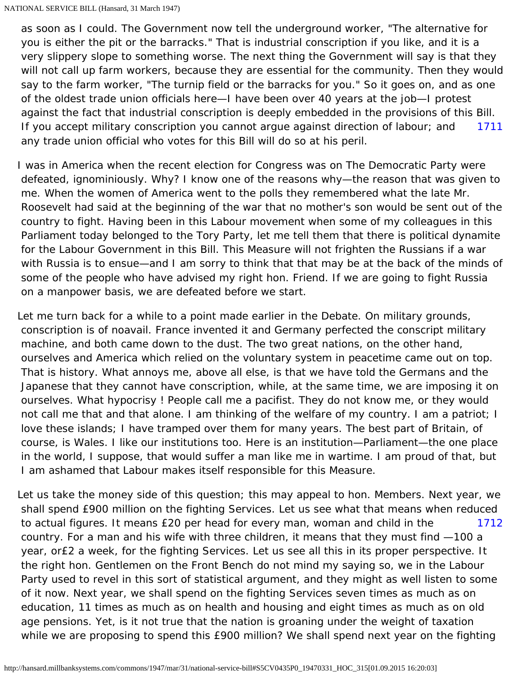[1711](#page-28-0) as soon as I could. The Government now tell the underground worker, "The alternative for you is either the pit or the barracks." That is industrial conscription if you like, and it is a very slippery slope to something worse. The next thing the Government will say is that they will not call up farm workers, because they are essential for the community. Then they would say to the farm worker, "The turnip field or the barracks for you." So it goes on, and as one of the oldest trade union officials here—I have been over 40 years at the job—I protest against the fact that industrial conscription is deeply embedded in the provisions of this Bill. If you accept military conscription you cannot argue against direction of labour; and any trade union official who votes for this Bill will do so at his peril.

<span id="page-28-0"></span>I was in America when the recent election for Congress was on The Democratic Party were defeated, ignominiously. Why? I know one of the reasons why—the reason that was given to me. When the women of America went to the polls they remembered what the late Mr. Roosevelt had said at the beginning of the war that no mother's son would be sent out of the country to fight. Having been in this Labour movement when some of my colleagues in this Parliament today belonged to the Tory Party, let me tell them that there is political dynamite for the Labour Government in this Bill. This Measure will not frighten the Russians if a war with Russia is to ensue—and I am sorry to think that that may be at the back of the minds of some of the people who have advised my right hon. Friend. If we are going to fight Russia on a manpower basis, we are defeated before we start.

Let me turn back for a while to a point made earlier in the Debate. On military grounds, conscription is of noavail. France invented it and Germany perfected the conscript military machine, and both came down to the dust. The two great nations, on the other hand, ourselves and America which relied on the voluntary system in peacetime came out on top. That is history. What annoys me, above all else, is that we have told the Germans and the Japanese that they cannot have conscription, while, at the same time, we are imposing it on ourselves. What hypocrisy ! People call me a pacifist. They do not know me, or they would not call me that and that alone. I am thinking of the welfare of my country. I am a patriot; I love these islands; I have tramped over them for many years. The best part of Britain, of course, is Wales. I like our institutions too. Here is an institution—Parliament—the one place in the world, I suppose, that would suffer a man like me in wartime. I am proud of that, but I am ashamed that Labour makes itself responsible for this Measure.

<span id="page-28-1"></span>[1712](#page-28-1) Let us take the money side of this question; this may appeal to hon. Members. Next year, we shall spend £900 million on the fighting Services. Let us see what that means when reduced to actual figures. It means £20 per head for every man, woman and child in the country. For a man and his wife with three children, it means that they must find —100 a year, or£2 a week, for the fighting Services. Let us see all this in its proper perspective. It the right hon. Gentlemen on the Front Bench do not mind my saying so, we in the Labour Party used to revel in this sort of statistical argument, and they might as well listen to some of it now. Next year, we shall spend on the fighting Services seven times as much as on education, 11 times as much as on health and housing and eight times as much as on old age pensions. Yet, is it not true that the nation is groaning under the weight of taxation while we are proposing to spend this £900 million? We shall spend next year on the fighting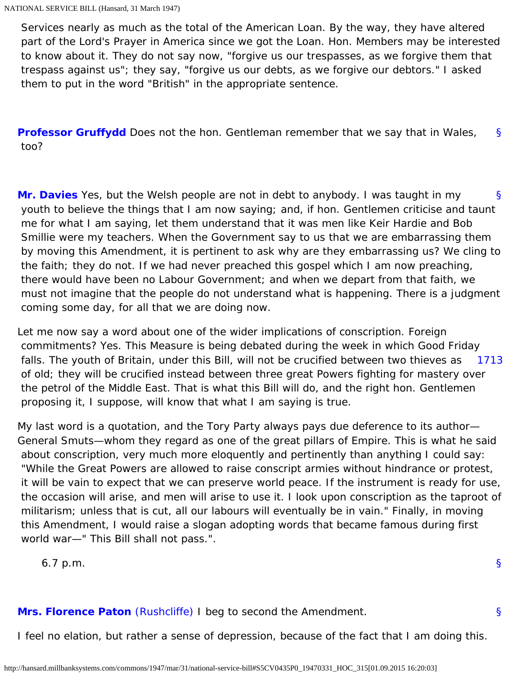Services nearly as much as the total of the American Loan. By the way, they have altered part of the Lord's Prayer in America since we got the Loan. Hon. Members may be interested to know about it. They do not say now, "forgive us our trespasses, as we forgive them that trespass against us"; they say, "forgive us our debts, as we forgive our debtors." I asked them to put in the word "British" in the appropriate sentence.

<span id="page-29-0"></span>[§](#page-29-0) **[Professor Gruffydd](http://hansard.millbanksystems.com/people/professor-william-gruffydd)** Does not the hon. Gentleman remember that we say that in Wales, too?

<span id="page-29-1"></span>[§](#page-29-1) **[Mr. Davies](http://hansard.millbanksystems.com/people/mr-rhys-davies)** Yes, but the Welsh people are not in debt to anybody. I was taught in my youth to believe the things that I am now saying; and, if hon. Gentlemen criticise and taunt me for what I am saying, let them understand that it was men like Keir Hardie and Bob Smillie were my teachers. When the Government say to us that we are embarrassing them by moving this Amendment, it is pertinent to ask why are they embarrassing us? We cling to the faith; they do not. If we had never preached this gospel which I am now preaching, there would have been no Labour Government; and when we depart from that faith, we must not imagine that the people do not understand what is happening. There is a judgment coming some day, for all that we are doing now.

<span id="page-29-2"></span>[1713](#page-29-2) Let me now say a word about one of the wider implications of conscription. Foreign commitments? Yes. This Measure is being debated during the week in which Good Friday falls. The youth of Britain, under this Bill, will not be crucified between two thieves as of old; they will be crucified instead between three great Powers fighting for mastery over the petrol of the Middle East. That is what this Bill will do, and the right hon. Gentlemen proposing it, I suppose, will know that what I am saying is true.

My last word is a quotation, and the Tory Party always pays due deference to its author— General Smuts—whom they regard as one of the great pillars of Empire. This is what he said about conscription, very much more eloquently and pertinently than anything I could say: "While the Great Powers are allowed to raise conscript armies without hindrance or protest, it will be vain to expect that we can preserve world peace. If the instrument is ready for use, the occasion will arise, and men will arise to use it. I look upon conscription as the taproot of militarism; unless that is cut, all our labours will eventually be in vain." Finally, in moving this Amendment, I would raise a slogan adopting words that became famous during first world war—" This Bill shall not pass.".

[§](#page-0-1)

[§](#page-29-3)

6.7 p.m.

## <span id="page-29-3"></span>**[Mrs. Florence Paton](http://hansard.millbanksystems.com/people/mrs-florence-paton)** [\(Rushcliffe\)](http://hansard.millbanksystems.com/constituencies/rushcliffe) I beg to second the Amendment.

I feel no elation, but rather a sense of depression, because of the fact that I am doing this.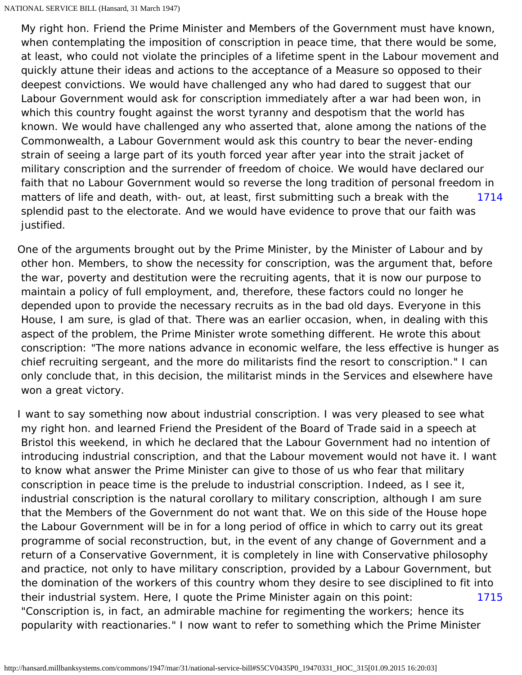[1714](#page-30-0) My right hon. Friend the Prime Minister and Members of the Government must have known, when contemplating the imposition of conscription in peace time, that there would be some, at least, who could not violate the principles of a lifetime spent in the Labour movement and quickly attune their ideas and actions to the acceptance of a Measure so opposed to their deepest convictions. We would have challenged any who had dared to suggest that our Labour Government would ask for conscription immediately after a war had been won, in which this country fought against the worst tyranny and despotism that the world has known. We would have challenged any who asserted that, alone among the nations of the Commonwealth, a Labour Government would ask this country to bear the never-ending strain of seeing a large part of its youth forced year after year into the strait jacket of military conscription and the surrender of freedom of choice. We would have declared our faith that no Labour Government would so reverse the long tradition of personal freedom in matters of life and death, with- out, at least, first submitting such a break with the splendid past to the electorate. And we would have evidence to prove that our faith was justified.

<span id="page-30-0"></span>One of the arguments brought out by the Prime Minister, by the Minister of Labour and by other hon. Members, to show the necessity for conscription, was the argument that, before the war, poverty and destitution were the recruiting agents, that it is now our purpose to maintain a policy of full employment, and, therefore, these factors could no longer he depended upon to provide the necessary recruits as in the bad old days. Everyone in this House, I am sure, is glad of that. There was an earlier occasion, when, in dealing with this aspect of the problem, the Prime Minister wrote something different. He wrote this about conscription: "The more nations advance in economic welfare, the less effective is hunger as chief recruiting sergeant, and the more do militarists find the resort to conscription." I can only conclude that, in this decision, the militarist minds in the Services and elsewhere have won a great victory.

<span id="page-30-1"></span>[1715](#page-30-1) I want to say something now about industrial conscription. I was very pleased to see what my right hon. and learned Friend the President of the Board of Trade said in a speech at Bristol this weekend, in which he declared that the Labour Government had no intention of introducing industrial conscription, and that the Labour movement would not have it. I want to know what answer the Prime Minister can give to those of us who fear that military conscription in peace time is the prelude to industrial conscription. Indeed, as I see it, industrial conscription is the natural corollary to military conscription, although I am sure that the Members of the Government do not want that. We on this side of the House hope the Labour Government will be in for a long period of office in which to carry out its great programme of social reconstruction, but, in the event of any change of Government and a return of a Conservative Government, it is completely in line with Conservative philosophy and practice, not only to have military conscription, provided by a Labour Government, but the domination of the workers of this country whom they desire to see disciplined to fit into their industrial system. Here, I quote the Prime Minister again on this point: "Conscription is, in fact, an admirable machine for regimenting the workers; hence its popularity with reactionaries." I now want to refer to something which the Prime Minister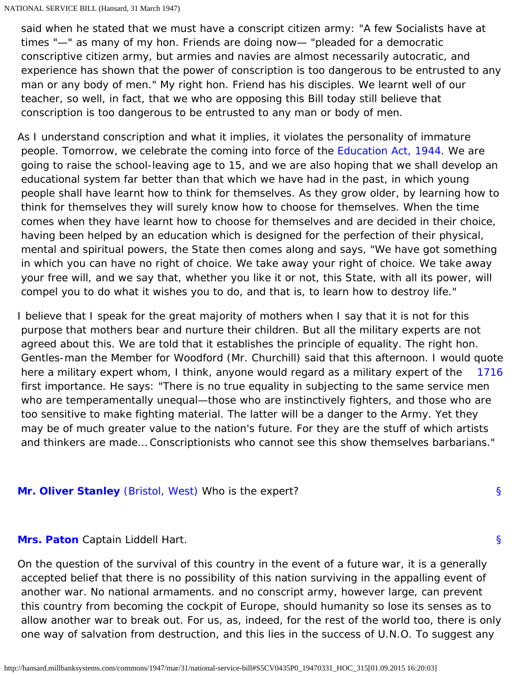said when he stated that we must have a conscript citizen army: "A few Socialists have at times "—" as many of my hon. Friends are doing now— "pleaded for a democratic conscriptive citizen army, but armies and navies are almost necessarily autocratic, and experience has shown that the power of conscription is too dangerous to be entrusted to any man or any body of men." My right hon. Friend has his disciples. We learnt well of our teacher, so well, in fact, that we who are opposing this Bill today still believe that conscription is too dangerous to be entrusted to any man or body of men.

As I understand conscription and what it implies, it violates the personality of immature people. Tomorrow, we celebrate the coming into force of the [Education Act, 1944.](http://hansard.millbanksystems.com/acts/education-act-1944) We are going to raise the school-leaving age to 15, and we are also hoping that we shall develop an educational system far better than that which we have had in the past, in which young people shall have learnt how to think for themselves. As they grow older, by learning how to think for themselves they will surely know how to choose for themselves. When the time comes when they have learnt how to choose for themselves and are decided in their choice, having been helped by an education which is designed for the perfection of their physical, mental and spiritual powers, the State then comes along and says, "We have got something in which you can have no right of choice. We take away your right of choice. We take away your free will, and we say that, whether you like it or not, this State, with all its power, will compel you to do what it wishes you to do, and that is, to learn how to destroy life."

<span id="page-31-0"></span>[1716](#page-31-0) I believe that I speak for the great majority of mothers when I say that it is not for this purpose that mothers bear and nurture their children. But all the military experts are not agreed about this. We are told that it establishes the principle of equality. The right hon. Gentles-man the Member for Woodford (Mr. Churchill) said that this afternoon. I would quote here a military expert whom, I think, anyone would regard as a military expert of the first importance. He says: "There is no true equality in subjecting to the same service men who are temperamentally unequal—those who are instinctively fighters, and those who are too sensitive to make fighting material. The latter will be a danger to the Army. Yet they may be of much greater value to the nation's future. For they are the stuff of which artists and thinkers are made… Conscriptionists who cannot see this show themselves barbarians."

[§](#page-31-1)

[§](#page-31-2)

## <span id="page-31-2"></span><span id="page-31-1"></span>**[Mr. Oliver Stanley](http://hansard.millbanksystems.com/people/hon-oliver-stanley)** [\(Bristol, West\)](http://hansard.millbanksystems.com/constituencies/bristol-west) Who is the expert?

### **[Mrs. Paton](http://hansard.millbanksystems.com/people/mrs-florence-paton)** Captain Liddell Hart.

On the question of the survival of this country in the event of a future war, it is a generally accepted belief that there is no possibility of this nation surviving in the appalling event of another war. No national armaments. and no conscript army, however large, can prevent this country from becoming the cockpit of Europe, should humanity so lose its senses as to allow another war to break out. For us, as, indeed, for the rest of the world too, there is only one way of salvation from destruction, and this lies in the success of U.N.O. To suggest any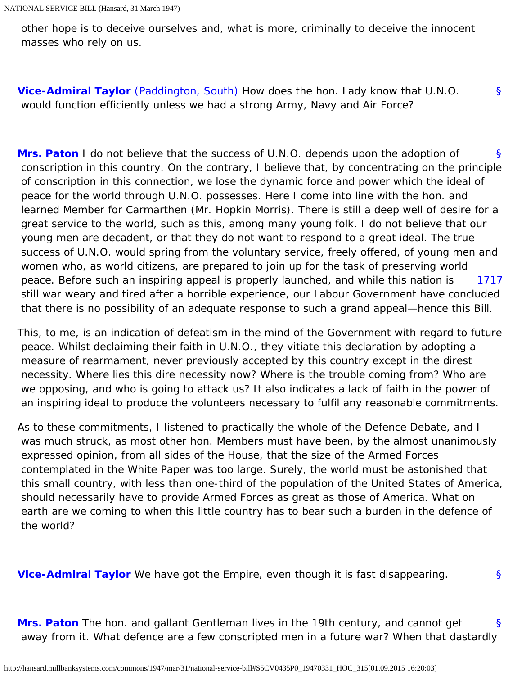other hope is to deceive ourselves and, what is more, criminally to deceive the innocent masses who rely on us.

<span id="page-32-0"></span>[§](#page-32-0) **[Vice-Admiral Taylor](http://hansard.millbanksystems.com/people/vice-admiral-ernest-taylor)** [\(Paddington, South\)](http://hansard.millbanksystems.com/constituencies/paddington-south) How does the hon. Lady know that U.N.O. would function efficiently unless we had a strong Army, Navy and Air Force?

<span id="page-32-1"></span>[§](#page-32-1) [1717](#page-32-2) **[Mrs. Paton](http://hansard.millbanksystems.com/people/mrs-florence-paton)** I do not believe that the success of U.N.O. depends upon the adoption of conscription in this country. On the contrary, I believe that, by concentrating on the principle of conscription in this connection, we lose the dynamic force and power which the ideal of peace for the world through U.N.O. possesses. Here I come into line with the hon. and learned Member for Carmarthen (Mr. Hopkin Morris). There is still a deep well of desire for a great service to the world, such as this, among many young folk. I do not believe that our young men are decadent, or that they do not want to respond to a great ideal. The true success of U.N.O. would spring from the voluntary service, freely offered, of young men and women who, as world citizens, are prepared to join up for the task of preserving world peace. Before such an inspiring appeal is properly launched, and while this nation is still war weary and tired after a horrible experience, our Labour Government have concluded that there is no possibility of an adequate response to such a grand appeal—hence this Bill.

<span id="page-32-2"></span>This, to me, is an indication of defeatism in the mind of the Government with regard to future peace. Whilst declaiming their faith in U.N.O., they vitiate this declaration by adopting a measure of rearmament, never previously accepted by this country except in the direst necessity. Where lies this dire necessity now? Where is the trouble coming from? Who are we opposing, and who is going to attack us? It also indicates a lack of faith in the power of an inspiring ideal to produce the volunteers necessary to fulfil any reasonable commitments.

As to these commitments, I listened to practically the whole of the Defence Debate, and I was much struck, as most other hon. Members must have been, by the almost unanimously expressed opinion, from all sides of the House, that the size of the Armed Forces contemplated in the White Paper was too large. Surely, the world must be astonished that this small country, with less than one-third of the population of the United States of America, should necessarily have to provide Armed Forces as great as those of America. What on earth are we coming to when this little country has to bear such a burden in the defence of the world?

<span id="page-32-3"></span>**[Vice-Admiral Taylor](http://hansard.millbanksystems.com/people/vice-admiral-ernest-taylor)** We have got the Empire, even though it is fast disappearing.

[§](#page-32-3)

<span id="page-32-4"></span>[§](#page-32-4) **[Mrs. Paton](http://hansard.millbanksystems.com/people/mrs-florence-paton)** The hon. and gallant Gentleman lives in the 19th century, and cannot get away from it. What defence are a few conscripted men in a future war? When that dastardly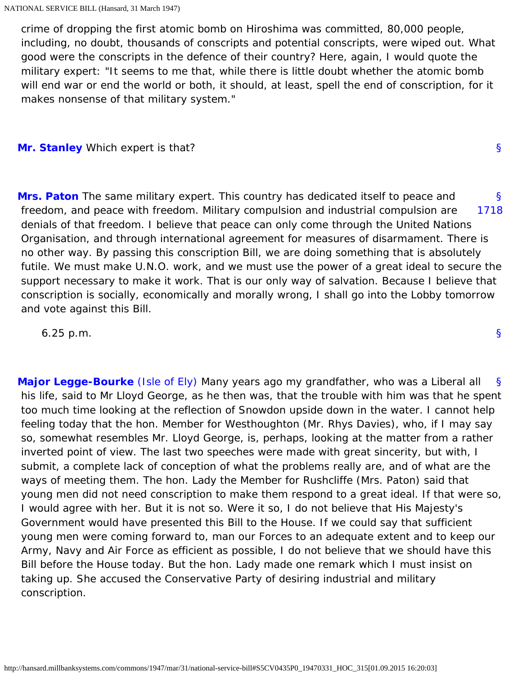crime of dropping the first atomic bomb on Hiroshima was committed, 80,000 people, including, no doubt, thousands of conscripts and potential conscripts, were wiped out. What good were the conscripts in the defence of their country? Here, again, I would quote the military expert: "It seems to me that, while there is little doubt whether the atomic bomb will end war or end the world or both, it should, at least, spell the end of conscription, for it makes nonsense of that military system."

### <span id="page-33-1"></span><span id="page-33-0"></span>**[Mr. Stanley](http://hansard.millbanksystems.com/people/hon-oliver-stanley)** Which expert is that?

<span id="page-33-2"></span>[§](#page-33-1) [1718](#page-33-2) **[Mrs. Paton](http://hansard.millbanksystems.com/people/mrs-florence-paton)** The same military expert. This country has dedicated itself to peace and freedom, and peace with freedom. Military compulsion and industrial compulsion are denials of that freedom. I believe that peace can only come through the United Nations Organisation, and through international agreement for measures of disarmament. There is no other way. By passing this conscription Bill, we are doing something that is absolutely futile. We must make U.N.O. work, and we must use the power of a great ideal to secure the support necessary to make it work. That is our only way of salvation. Because I believe that conscription is socially, economically and morally wrong, I shall go into the Lobby tomorrow and vote against this Bill.

6.25 p.m.

<span id="page-33-4"></span><span id="page-33-3"></span>[§](#page-33-3) **[Major Legge-Bourke](http://hansard.millbanksystems.com/people/sir-henry-legge-bourke)** [\(Isle of Ely\)](http://hansard.millbanksystems.com/constituencies/isle-of-ely) Many years ago my grandfather, who was a Liberal all his life, said to Mr Lloyd George, as he then was, that the trouble with him was that he spent too much time looking at the reflection of Snowdon upside down in the water. I cannot help feeling today that the hon. Member for Westhoughton (Mr. Rhys Davies), who, if I may say so, somewhat resembles Mr. Lloyd George, is, perhaps, looking at the matter from a rather inverted point of view. The last two speeches were made with great sincerity, but with, I submit, a complete lack of conception of what the problems really are, and of what are the ways of meeting them. The hon. Lady the Member for Rushcliffe (Mrs. Paton) said that young men did not need conscription to make them respond to a great ideal. If that were so, I would agree with her. But it is not so. Were it so, I do not believe that His Majesty's Government would have presented this Bill to the House. If we could say that sufficient young men were coming forward to, man our Forces to an adequate extent and to keep our Army, Navy and Air Force as efficient as possible, I do not believe that we should have this Bill before the House today. But the hon. Lady made one remark which I must insist on taking up. She accused the Conservative Party of desiring industrial and military conscription.

[§](#page-33-0)

[§](#page-0-1)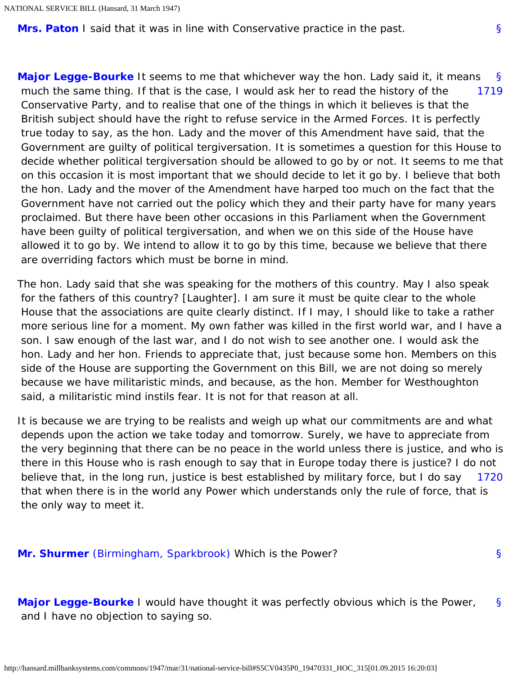<span id="page-34-0"></span>**[Mrs. Paton](http://hansard.millbanksystems.com/people/mrs-florence-paton)** I said that it was in line with Conservative practice in the past.

<span id="page-34-1"></span>[§](#page-34-0) [1719](#page-34-1) **[Major Legge-Bourke](http://hansard.millbanksystems.com/people/sir-henry-legge-bourke)** It seems to me that whichever way the hon. Lady said it, it means much the same thing. If that is the case, I would ask her to read the history of the Conservative Party, and to realise that one of the things in which it believes is that the British subject should have the right to refuse service in the Armed Forces. It is perfectly true today to say, as the hon. Lady and the mover of this Amendment have said, that the Government are guilty of political tergiversation. It is sometimes a question for this House to decide whether political tergiversation should be allowed to go by or not. It seems to me that on this occasion it is most important that we should decide to let it go by. I believe that both the hon. Lady and the mover of the Amendment have harped too much on the fact that the Government have not carried out the policy which they and their party have for many years proclaimed. But there have been other occasions in this Parliament when the Government have been guilty of political tergiversation, and when we on this side of the House have allowed it to go by. We intend to allow it to go by this time, because we believe that there are overriding factors which must be borne in mind.

The hon. Lady said that she was speaking for the mothers of this country. May I also speak for the fathers of this country? [Laughter]. I am sure it must be quite clear to the whole House that the associations are quite clearly distinct. If I may, I should like to take a rather more serious line for a moment. My own father was killed in the first world war, and I have a son. I saw enough of the last war, and I do not wish to see another one. I would ask the hon. Lady and her hon. Friends to appreciate that, just because some hon. Members on this side of the House are supporting the Government on this Bill, we are not doing so merely because we have militaristic minds, and because, as the hon. Member for Westhoughton said, a militaristic mind instils fear. It is not for that reason at all.

<span id="page-34-2"></span>[1720](#page-34-2) It is because we are trying to be realists and weigh up what our commitments are and what depends upon the action we take today and tomorrow. Surely, we have to appreciate from the very beginning that there can be no peace in the world unless there is justice, and who is there in this House who is rash enough to say that in Europe today there is justice? I do not believe that, in the long run, justice is best established by military force, but I do say that when there is in the world any Power which understands only the rule of force, that is the only way to meet it.

<span id="page-34-4"></span><span id="page-34-3"></span>**[Mr. Shurmer](http://hansard.millbanksystems.com/people/mr-percy-shurmer)** [\(Birmingham, Sparkbrook\)](http://hansard.millbanksystems.com/constituencies/birmingham-sparkbrook) Which is the Power?

[§](#page-34-3)

[§](#page-34-4) **[Major Legge-Bourke](http://hansard.millbanksystems.com/people/sir-henry-legge-bourke)** I would have thought it was perfectly obvious which is the Power, and I have no objection to saying so.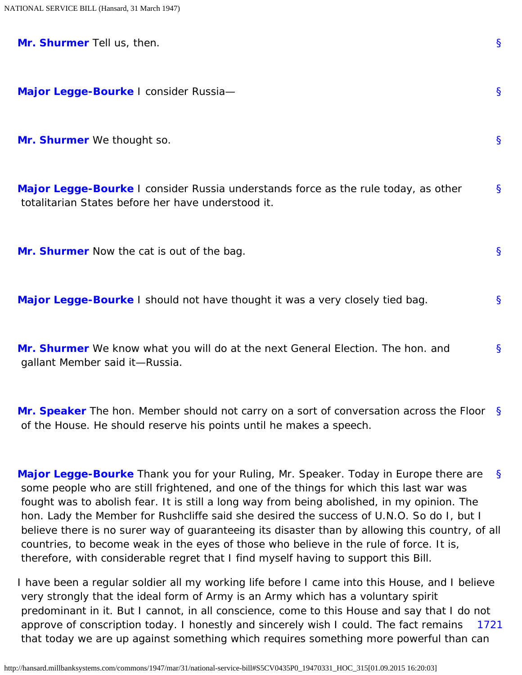<span id="page-35-3"></span><span id="page-35-2"></span><span id="page-35-1"></span><span id="page-35-0"></span>

| Mr. Shurmer Tell us, then.                                                                                                               | $\mathsf{S}$ |
|------------------------------------------------------------------------------------------------------------------------------------------|--------------|
| Major Legge-Bourke I consider Russia-                                                                                                    | $\mathsf{S}$ |
| Mr. Shurmer We thought so.                                                                                                               | $\mathbf{S}$ |
| Major Legge-Bourke I consider Russia understands force as the rule today, as other<br>totalitarian States before her have understood it. | $\mathbf{S}$ |
| Mr. Shurmer Now the cat is out of the bag.                                                                                               | $\mathsf{S}$ |
| Major Legge-Bourke I should not have thought it was a very closely tied bag.                                                             | $\mathsf{S}$ |
| Mr. Shurmer We know what you will do at the next General Election. The hon. and<br>gallant Member said it-Russia.                        | $\mathsf{S}$ |
| Mr. Speaker The hon. Member should not carry on a sort of conversation across the Floor                                                  | <sub>S</sub> |

<span id="page-35-7"></span>[§](#page-35-7) **[Major Legge-Bourke](http://hansard.millbanksystems.com/people/sir-henry-legge-bourke)** Thank you for your Ruling, Mr. Speaker. Today in Europe there are some people who are still frightened, and one of the things for which this last war was fought was to abolish fear. It is still a long way from being abolished, in my opinion. The hon. Lady the Member for Rushcliffe said she desired the success of U.N.O. So do I, but I believe there is no surer way of guaranteeing its disaster than by allowing this country, of all countries, to become weak in the eyes of those who believe in the rule of force. It is, therefore, with considerable regret that I find myself having to support this Bill.

<span id="page-35-8"></span>[1721](#page-35-8) I have been a regular soldier all my working life before I came into this House, and I believe very strongly that the ideal form of Army is an Army which has a voluntary spirit predominant in it. But I cannot, in all conscience, come to this House and say that I do not approve of conscription today. I honestly and sincerely wish I could. The fact remains that today we are up against something which requires something more powerful than can

<span id="page-35-6"></span><span id="page-35-5"></span><span id="page-35-4"></span>of the House. He should reserve his points until he makes a speech.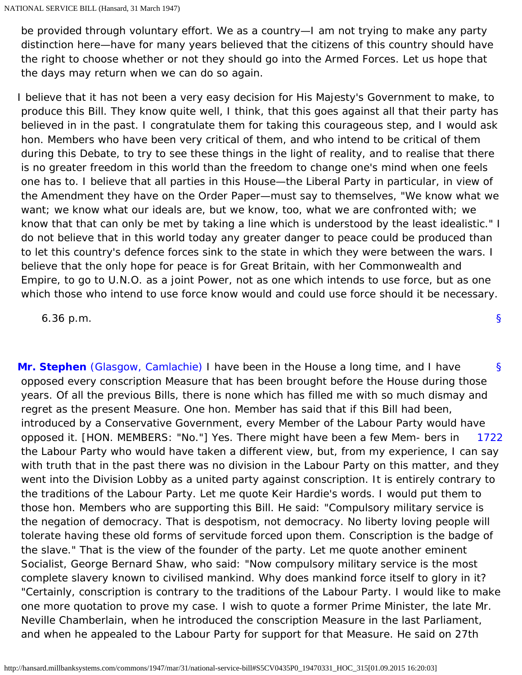be provided through voluntary effort. We as a country—I am not trying to make any party distinction here—have for many years believed that the citizens of this country should have the right to choose whether or not they should go into the Armed Forces. Let us hope that the days may return when we can do so again.

I believe that it has not been a very easy decision for His Majesty's Government to make, to produce this Bill. They know quite well, I think, that this goes against all that their party has believed in in the past. I congratulate them for taking this courageous step, and I would ask hon. Members who have been very critical of them, and who intend to be critical of them during this Debate, to try to see these things in the light of reality, and to realise that there is no greater freedom in this world than the freedom to change one's mind when one feels one has to. I believe that all parties in this House—the Liberal Party in particular, in view of the Amendment they have on the Order Paper—must say to themselves, "We know what we want; we know what our ideals are, but we know, too, what we are confronted with; we know that that can only be met by taking a line which is understood by the least idealistic." I do not believe that in this world today any greater danger to peace could be produced than to let this country's defence forces sink to the state in which they were between the wars. I believe that the only hope for peace is for Great Britain, with her Commonwealth and Empire, to go to U.N.O. as a joint Power, not as one which intends to use force, but as one which those who intend to use force know would and could use force should it be necessary.

[§](#page-0-0)

6.36 p.m.

<span id="page-36-1"></span><span id="page-36-0"></span>[§](#page-36-0) [1722](#page-36-1) **[Mr. Stephen](http://hansard.millbanksystems.com/people/mr-campbell-stephen)** [\(Glasgow, Camlachie\)](http://hansard.millbanksystems.com/constituencies/glasgow-camlachie) I have been in the House a long time, and I have opposed every conscription Measure that has been brought before the House during those years. Of all the previous Bills, there is none which has filled me with so much dismay and regret as the present Measure. One hon. Member has said that if this Bill had been, introduced by a Conservative Government, every Member of the Labour Party would have opposed it. [HON. MEMBERS: "No."] Yes. There might have been a few Mem- bers in the Labour Party who would have taken a different view, but, from my experience, I can say with truth that in the past there was no division in the Labour Party on this matter, and they went into the Division Lobby as a united party against conscription. It is entirely contrary to the traditions of the Labour Party. Let me quote Keir Hardie's words. I would put them to those hon. Members who are supporting this Bill. He said: "Compulsory military service is the negation of democracy. That is despotism, not democracy. No liberty loving people will tolerate having these old forms of servitude forced upon them. Conscription is the badge of the slave." That is the view of the founder of the party. Let me quote another eminent Socialist, George Bernard Shaw, who said: "Now compulsory military service is the most complete slavery known to civilised mankind. Why does mankind force itself to glory in it? "Certainly, conscription is contrary to the traditions of the Labour Party. I would like to make one more quotation to prove my case. I wish to quote a former Prime Minister, the late Mr. Neville Chamberlain, when he introduced the conscription Measure in the last Parliament, and when he appealed to the Labour Party for support for that Measure. He said on 27th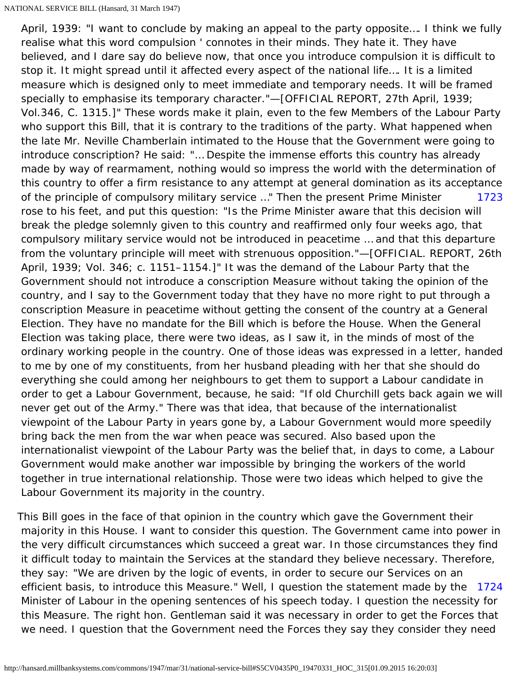<span id="page-37-0"></span>[1723](#page-37-0) April, 1939: "I want to conclude by making an appeal to the party opposite…. I think we fully realise what this word compulsion ' connotes in their minds. They hate it. They have believed, and I dare say do believe now, that once you introduce compulsion it is difficult to stop it. It might spread until it affected every aspect of the national life…. It is a limited measure which is designed only to meet immediate and temporary needs. It will be framed specially to emphasise its temporary character."—[OFFICIAL REPORT, 27th April, 1939; Vol.346, C. 1315.]" These words make it plain, even to the few Members of the Labour Party who support this Bill, that it is contrary to the traditions of the party. What happened when the late Mr. Neville Chamberlain intimated to the House that the Government were going to introduce conscription? He said: "… Despite the immense efforts this country has already made by way of rearmament, nothing would so impress the world with the determination of this country to offer a firm resistance to any attempt at general domination as its acceptance of the principle of compulsory military service …" Then the present Prime Minister rose to his feet, and put this question: "Is the Prime Minister aware that this decision will break the pledge solemnly given to this country and reaffirmed only four weeks ago, that compulsory military service would not be introduced in peacetime … and that this departure from the voluntary principle will meet with strenuous opposition."—[OFFICIAL. REPORT, 26th April, 1939; Vol. 346; c. 1151–1154.]" It was the demand of the Labour Party that the Government should not introduce a conscription Measure without taking the opinion of the country, and I say to the Government today that they have no more right to put through a conscription Measure in peacetime without getting the consent of the country at a General Election. They have no mandate for the Bill which is before the House. When the General Election was taking place, there were two ideas, as I saw it, in the minds of most of the ordinary working people in the country. One of those ideas was expressed in a letter, handed to me by one of my constituents, from her husband pleading with her that she should do everything she could among her neighbours to get them to support a Labour candidate in order to get a Labour Government, because, he said: "If old Churchill gets back again we will never get out of the Army." There was that idea, that because of the internationalist viewpoint of the Labour Party in years gone by, a Labour Government would more speedily bring back the men from the war when peace was secured. Also based upon the internationalist viewpoint of the Labour Party was the belief that, in days to come, a Labour Government would make another war impossible by bringing the workers of the world together in true international relationship. Those were two ideas which helped to give the Labour Government its majority in the country.

<span id="page-37-1"></span>efficient basis, to introduce this Measure." Well, I question the statement made by the [1724](#page-37-1) This Bill goes in the face of that opinion in the country which gave the Government their majority in this House. I want to consider this question. The Government came into power in the very difficult circumstances which succeed a great war. In those circumstances they find it difficult today to maintain the Services at the standard they believe necessary. Therefore, they say: "We are driven by the logic of events, in order to secure our Services on an Minister of Labour in the opening sentences of his speech today. I question the necessity for this Measure. The right hon. Gentleman said it was necessary in order to get the Forces that we need. I question that the Government need the Forces they say they consider they need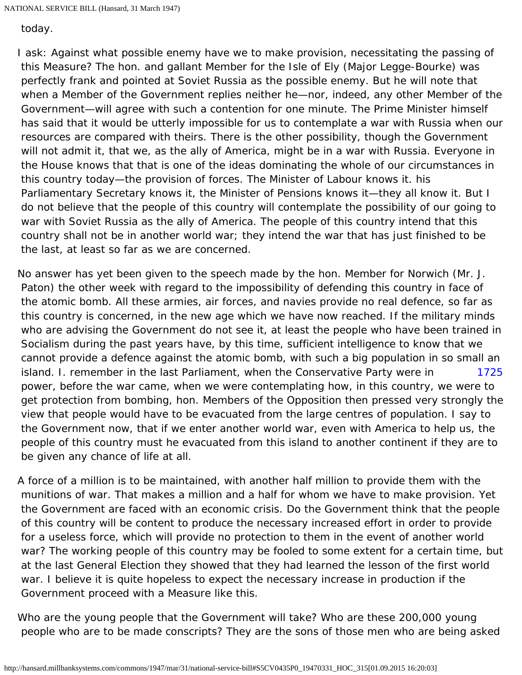today.

I ask: Against what possible enemy have we to make provision, necessitating the passing of this Measure? The hon. and gallant Member for the Isle of Ely (Major Legge-Bourke) was perfectly frank and pointed at Soviet Russia as the possible enemy. But he will note that when a Member of the Government replies neither he—nor, indeed, any other Member of the Government—will agree with such a contention for one minute. The Prime Minister himself has said that it would be utterly impossible for us to contemplate a war with Russia when our resources are compared with theirs. There is the other possibility, though the Government will not admit it, that we, as the ally of America, might be in a war with Russia. Everyone in the House knows that that is one of the ideas dominating the whole of our circumstances in this country today—the provision of forces. The Minister of Labour knows it. his Parliamentary Secretary knows it, the Minister of Pensions knows it—they all know it. But I do not believe that the people of this country will contemplate the possibility of our going to war with Soviet Russia as the ally of America. The people of this country intend that this country shall not be in another world war; they intend the war that has just finished to be the last, at least so far as we are concerned.

<span id="page-38-0"></span>[1725](#page-38-0) No answer has yet been given to the speech made by the hon. Member for Norwich (Mr. J. Paton) the other week with regard to the impossibility of defending this country in face of the atomic bomb. All these armies, air forces, and navies provide no real defence, so far as this country is concerned, in the new age which we have now reached. If the military minds who are advising the Government do not see it, at least the people who have been trained in Socialism during the past years have, by this time, sufficient intelligence to know that we cannot provide a defence against the atomic bomb, with such a big population in so small an island. I. remember in the last Parliament, when the Conservative Party were in power, before the war came, when we were contemplating how, in this country, we were to get protection from bombing, hon. Members of the Opposition then pressed very strongly the view that people would have to be evacuated from the large centres of population. I say to the Government now, that if we enter another world war, even with America to help us, the people of this country must he evacuated from this island to another continent if they are to be given any chance of life at all.

A force of a million is to be maintained, with another half million to provide them with the munitions of war. That makes a million and a half for whom we have to make provision. Yet the Government are faced with an economic crisis. Do the Government think that the people of this country will be content to produce the necessary increased effort in order to provide for a useless force, which will provide no protection to them in the event of another world war? The working people of this country may be fooled to some extent for a certain time, but at the last General Election they showed that they had learned the lesson of the first world war. I believe it is quite hopeless to expect the necessary increase in production if the Government proceed with a Measure like this.

Who are the young people that the Government will take? Who are these 200,000 young people who are to be made conscripts? They are the sons of those men who are being asked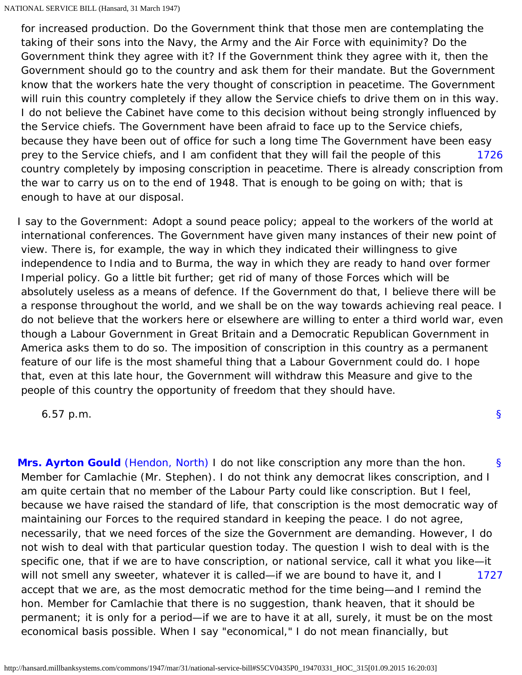[1726](#page-39-0) for increased production. Do the Government think that those men are contemplating the taking of their sons into the Navy, the Army and the Air Force with equinimity? Do the Government think they agree with it? If the Government think they agree with it, then the Government should go to the country and ask them for their mandate. But the Government know that the workers hate the very thought of conscription in peacetime. The Government will ruin this country completely if they allow the Service chiefs to drive them on in this way. I do not believe the Cabinet have come to this decision without being strongly influenced by the Service chiefs. The Government have been afraid to face up to the Service chiefs, because they have been out of office for such a long time The Government have been easy prey to the Service chiefs, and I am confident that they will fail the people of this country completely by imposing conscription in peacetime. There is already conscription from the war to carry us on to the end of 1948. That is enough to be going on with; that is enough to have at our disposal.

<span id="page-39-0"></span>I say to the Government: Adopt a sound peace policy; appeal to the workers of the world at international conferences. The Government have given many instances of their new point of view. There is, for example, the way in which they indicated their willingness to give independence to India and to Burma, the way in which they are ready to hand over former Imperial policy. Go a little bit further; get rid of many of those Forces which will be absolutely useless as a means of defence. If the Government do that, I believe there will be a response throughout the world, and we shall be on the way towards achieving real peace. I do not believe that the workers here or elsewhere are willing to enter a third world war, even though a Labour Government in Great Britain and a Democratic Republican Government in America asks them to do so. The imposition of conscription in this country as a permanent feature of our life is the most shameful thing that a Labour Government could do. I hope that, even at this late hour, the Government will withdraw this Measure and give to the people of this country the opportunity of freedom that they should have.

[§](#page-0-0)

6.57 p.m.

<span id="page-39-2"></span><span id="page-39-1"></span>[§](#page-39-1) [1727](#page-39-2) **[Mrs. Ayrton Gould](http://hansard.millbanksystems.com/people/mrs-barbara-gould)** [\(Hendon, North\)](http://hansard.millbanksystems.com/constituencies/hendon-north) I do not like conscription any more than the hon. Member for Camlachie (Mr. Stephen). I do not think any democrat likes conscription, and I am quite certain that no member of the Labour Party could like conscription. But I feel, because we have raised the standard of life, that conscription is the most democratic way of maintaining our Forces to the required standard in keeping the peace. I do not agree, necessarily, that we need forces of the size the Government are demanding. However, I do not wish to deal with that particular question today. The question I wish to deal with is the specific one, that if we are to have conscription, or national service, call it what you like—it will not smell any sweeter, whatever it is called—if we are bound to have it, and I accept that we are, as the most democratic method for the time being—and I remind the hon. Member for Camlachie that there is no suggestion, thank heaven, that it should be permanent; it is only for a period—if we are to have it at all, surely, it must be on the most economical basis possible. When I say "economical," I do not mean financially, but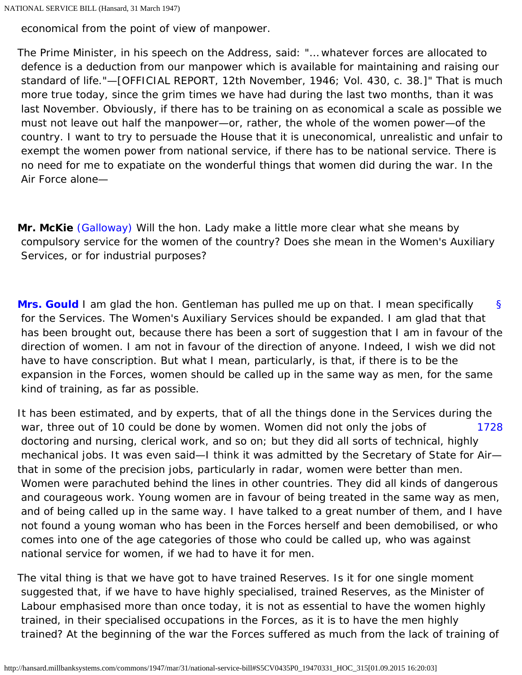economical from the point of view of manpower.

The Prime Minister, in his speech on the Address, said: "… whatever forces are allocated to defence is a deduction from our manpower which is available for maintaining and raising our standard of life."—[OFFICIAL REPORT, 12th November, 1946; Vol. 430, c. 38.]" That is much more true today, since the grim times we have had during the last two months, than it was last November. Obviously, if there has to be training on as economical a scale as possible we must not leave out half the manpower—or, rather, the whole of the women power—of the country. I want to try to persuade the House that it is uneconomical, unrealistic and unfair to exempt the women power from national service, if there has to be national service. There is no need for me to expatiate on the wonderful things that women did during the war. In the Air Force alone—

**Mr. McKie** [\(Galloway\)](http://hansard.millbanksystems.com/constituencies/galloway) Will the hon. Lady make a little more clear what she means by compulsory service for the women of the country? Does she mean in the Women's Auxiliary Services, or for industrial purposes?

<span id="page-40-0"></span>[§](#page-40-0) **[Mrs. Gould](http://hansard.millbanksystems.com/people/mrs-barbara-gould)** I am glad the hon. Gentleman has pulled me up on that. I mean specifically for the Services. The Women's Auxiliary Services should be expanded. I am glad that that has been brought out, because there has been a sort of suggestion that I am in favour of the direction of women. I am not in favour of the direction of anyone. Indeed, I wish we did not have to have conscription. But what I mean, particularly, is that, if there is to be the expansion in the Forces, women should be called up in the same way as men, for the same kind of training, as far as possible.

<span id="page-40-1"></span>[1728](#page-40-1) It has been estimated, and by experts, that of all the things done in the Services during the war, three out of 10 could be done by women. Women did not only the jobs of doctoring and nursing, clerical work, and so on; but they did all sorts of technical, highly mechanical jobs. It was even said—I think it was admitted by the Secretary of State for Air that in some of the precision jobs, particularly in radar, women were better than men. Women were parachuted behind the lines in other countries. They did all kinds of dangerous and courageous work. Young women are in favour of being treated in the same way as men, and of being called up in the same way. I have talked to a great number of them, and I have not found a young woman who has been in the Forces herself and been demobilised, or who comes into one of the age categories of those who could be called up, who was against national service for women, if we had to have it for men.

The vital thing is that we have got to have trained Reserves. Is it for one single moment suggested that, if we have to have highly specialised, trained Reserves, as the Minister of Labour emphasised more than once today, it is not as essential to have the women highly trained, in their specialised occupations in the Forces, as it is to have the men highly trained? At the beginning of the war the Forces suffered as much from the lack of training of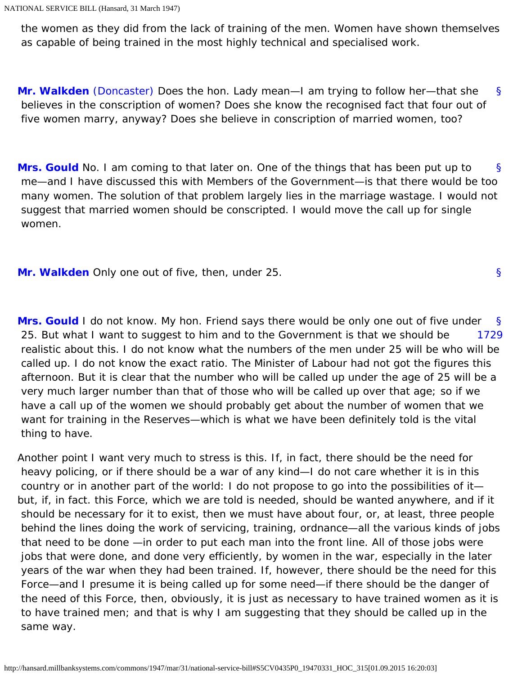the women as they did from the lack of training of the men. Women have shown themselves as capable of being trained in the most highly technical and specialised work.

<span id="page-41-0"></span>[§](#page-41-0) **[Mr. Walkden](http://hansard.millbanksystems.com/people/mr-evelyn-walkden)** [\(Doncaster\)](http://hansard.millbanksystems.com/constituencies/doncaster) Does the hon. Lady mean—I am trying to follow her—that she believes in the conscription of women? Does she know the recognised fact that four out of five women marry, anyway? Does she believe in conscription of married women, too?

<span id="page-41-1"></span>[§](#page-41-1) **[Mrs. Gould](http://hansard.millbanksystems.com/people/mrs-barbara-gould)** No. I am coming to that later on. One of the things that has been put up to me—and I have discussed this with Members of the Government—is that there would be too many women. The solution of that problem largely lies in the marriage wastage. I would not suggest that married women should be conscripted. I would move the call up for single women.

<span id="page-41-3"></span><span id="page-41-2"></span>**[Mr. Walkden](http://hansard.millbanksystems.com/people/mr-evelyn-walkden)** Only one out of five, then, under 25.

<span id="page-41-4"></span>[§](#page-41-3) [1729](#page-41-4) **[Mrs. Gould](http://hansard.millbanksystems.com/people/mrs-barbara-gould)** I do not know. My hon. Friend says there would be only one out of five under 25. But what I want to suggest to him and to the Government is that we should be realistic about this. I do not know what the numbers of the men under 25 will be who will be called up. I do not know the exact ratio. The Minister of Labour had not got the figures this afternoon. But it is clear that the number who will be called up under the age of 25 will be a very much larger number than that of those who will be called up over that age; so if we have a call up of the women we should probably get about the number of women that we want for training in the Reserves—which is what we have been definitely told is the vital thing to have.

Another point I want very much to stress is this. If, in fact, there should be the need for heavy policing, or if there should be a war of any kind—I do not care whether it is in this country or in another part of the world: I do not propose to go into the possibilities of it but, if, in fact. this Force, which we are told is needed, should be wanted anywhere, and if it should be necessary for it to exist, then we must have about four, or, at least, three people behind the lines doing the work of servicing, training, ordnance—all the various kinds of jobs that need to be done —in order to put each man into the front line. All of those jobs were jobs that were done, and done very efficiently, by women in the war, especially in the later years of the war when they had been trained. If, however, there should be the need for this Force—and I presume it is being called up for some need—if there should be the danger of the need of this Force, then, obviously, it is just as necessary to have trained women as it is to have trained men; and that is why I am suggesting that they should be called up in the same way.

[§](#page-41-2)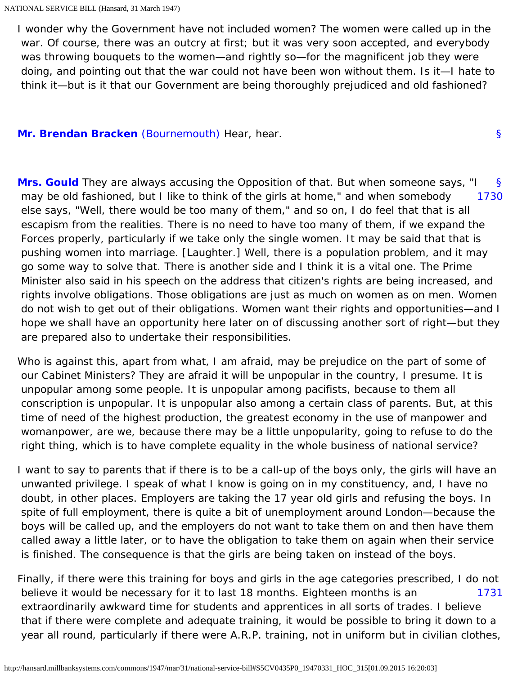I wonder why the Government have not included women? The women were called up in the war. Of course, there was an outcry at first; but it was very soon accepted, and everybody was throwing bouquets to the women—and rightly so—for the magnificent job they were doing, and pointing out that the war could not have been won without them. Is it—I hate to think it—but is it that our Government are being thoroughly prejudiced and old fashioned?

[§](#page-42-0)

<span id="page-42-1"></span><span id="page-42-0"></span>**[Mr. Brendan Bracken](http://hansard.millbanksystems.com/people/mr-brendan-bracken)** [\(Bournemouth\)](http://hansard.millbanksystems.com/constituencies/bournemouth) Hear, hear.

<span id="page-42-2"></span>[§](#page-42-1) [1730](#page-42-2) **[Mrs. Gould](http://hansard.millbanksystems.com/people/mrs-barbara-gould)** They are always accusing the Opposition of that. But when someone says, "I may be old fashioned, but I like to think of the girls at home," and when somebody else says, "Well, there would be too many of them," and so on, I do feel that that is all escapism from the realities. There is no need to have too many of them, if we expand the Forces properly, particularly if we take only the single women. It may be said that that is pushing women into marriage. [Laughter.] Well, there is a population problem, and it may go some way to solve that. There is another side and I think it is a vital one. The Prime Minister also said in his speech on the address that citizen's rights are being increased, and rights involve obligations. Those obligations are just as much on women as on men. Women do not wish to get out of their obligations. Women want their rights and opportunities—and I hope we shall have an opportunity here later on of discussing another sort of right—but they are prepared also to undertake their responsibilities.

Who is against this, apart from what, I am afraid, may be prejudice on the part of some of our Cabinet Ministers? They are afraid it will be unpopular in the country, I presume. It is unpopular among some people. It is unpopular among pacifists, because to them all conscription is unpopular. It is unpopular also among a certain class of parents. But, at this time of need of the highest production, the greatest economy in the use of manpower and womanpower, are we, because there may be a little unpopularity, going to refuse to do the right thing, which is to have complete equality in the whole business of national service?

I want to say to parents that if there is to be a call-up of the boys only, the girls will have an unwanted privilege. I speak of what I know is going on in my constituency, and, I have no doubt, in other places. Employers are taking the 17 year old girls and refusing the boys. In spite of full employment, there is quite a bit of unemployment around London—because the boys will be called up, and the employers do not want to take them on and then have them called away a little later, or to have the obligation to take them on again when their service is finished. The consequence is that the girls are being taken on instead of the boys.

<span id="page-42-3"></span>[1731](#page-42-3) Finally, if there were this training for boys and girls in the age categories prescribed, I do not believe it would be necessary for it to last 18 months. Eighteen months is an extraordinarily awkward time for students and apprentices in all sorts of trades. I believe that if there were complete and adequate training, it would be possible to bring it down to a year all round, particularly if there were A.R.P. training, not in uniform but in civilian clothes,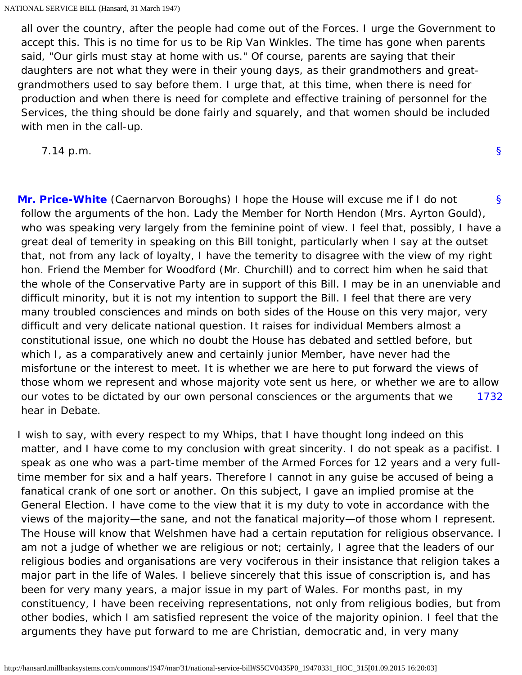all over the country, after the people had come out of the Forces. I urge the Government to accept this. This is no time for us to be Rip Van Winkles. The time has gone when parents said, "Our girls must stay at home with us." Of course, parents are saying that their daughters are not what they were in their young days, as their grandmothers and greatgrandmothers used to say before them. I urge that, at this time, when there is need for production and when there is need for complete and effective training of personnel for the Services, the thing should be done fairly and squarely, and that women should be included with men in the call-up.

7.14 p.m.

[§](#page-0-0)

<span id="page-43-0"></span>[§](#page-43-0) [1732](#page-43-1) **[Mr. Price-White](http://hansard.millbanksystems.com/people/lieut-colonel-david-price-white)** (Caernarvon Boroughs) I hope the House will excuse me if I do not follow the arguments of the hon. Lady the Member for North Hendon (Mrs. Ayrton Gould), who was speaking very largely from the feminine point of view. I feel that, possibly, I have a great deal of temerity in speaking on this Bill tonight, particularly when I say at the outset that, not from any lack of loyalty, I have the temerity to disagree with the view of my right hon. Friend the Member for Woodford (Mr. Churchill) and to correct him when he said that the whole of the Conservative Party are in support of this Bill. I may be in an unenviable and difficult minority, but it is not my intention to support the Bill. I feel that there are very many troubled consciences and minds on both sides of the House on this very major, very difficult and very delicate national question. It raises for individual Members almost a constitutional issue, one which no doubt the House has debated and settled before, but which I, as a comparatively anew and certainly junior Member, have never had the misfortune or the interest to meet. It is whether we are here to put forward the views of those whom we represent and whose majority vote sent us here, or whether we are to allow our votes to be dictated by our own personal consciences or the arguments that we hear in Debate.

<span id="page-43-1"></span>I wish to say, with every respect to my Whips, that I have thought long indeed on this matter, and I have come to my conclusion with great sincerity. I do not speak as a pacifist. I speak as one who was a part-time member of the Armed Forces for 12 years and a very fulltime member for six and a half years. Therefore I cannot in any guise be accused of being a fanatical crank of one sort or another. On this subject, I gave an implied promise at the General Election. I have come to the view that it is my duty to vote in accordance with the views of the majority—the sane, and not the fanatical majority—of those whom I represent. The House will know that Welshmen have had a certain reputation for religious observance. I am not a judge of whether we are religious or not; certainly, I agree that the leaders of our religious bodies and organisations are very vociferous in their insistance that religion takes a major part in the life of Wales. I believe sincerely that this issue of conscription is, and has been for very many years, a major issue in my part of Wales. For months past, in my constituency, I have been receiving representations, not only from religious bodies, but from other bodies, which I am satisfied represent the voice of the majority opinion. I feel that the arguments they have put forward to me are Christian, democratic and, in very many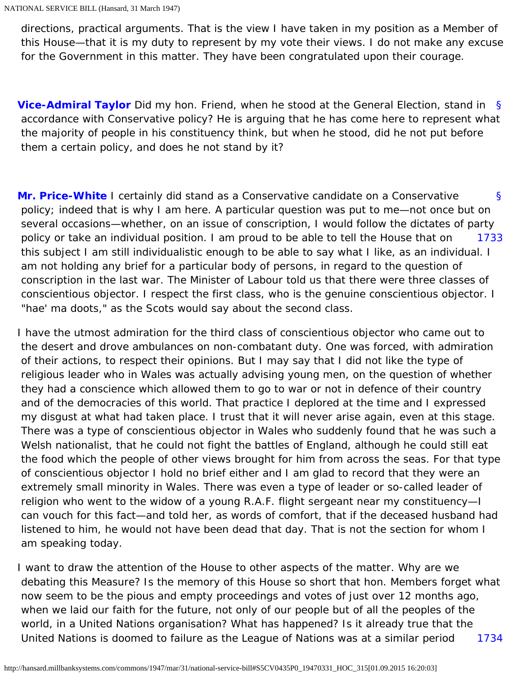directions, practical arguments. That is the view I have taken in my position as a Member of this House—that it is my duty to represent by my vote their views. I do not make any excuse for the Government in this matter. They have been congratulated upon their courage.

<span id="page-44-0"></span>[§](#page-44-0) **[Vice-Admiral Taylor](http://hansard.millbanksystems.com/people/vice-admiral-ernest-taylor)** Did my hon. Friend, when he stood at the General Election, stand in accordance with Conservative policy? He is arguing that he has come here to represent what the majority of people in his constituency think, but when he stood, did he not put before them a certain policy, and does he not stand by it?

<span id="page-44-2"></span><span id="page-44-1"></span>[§](#page-44-1) [1733](#page-44-2) **[Mr. Price-White](http://hansard.millbanksystems.com/people/lieut-colonel-david-price-white)** I certainly did stand as a Conservative candidate on a Conservative policy; indeed that is why I am here. A particular question was put to me—not once but on several occasions—whether, on an issue of conscription, I would follow the dictates of party policy or take an individual position. I am proud to be able to tell the House that on this subject I am still individualistic enough to be able to say what I like, as an individual. I am not holding any brief for a particular body of persons, in regard to the question of conscription in the last war. The Minister of Labour told us that there were three classes of conscientious objector. I respect the first class, who is the genuine conscientious objector. I "hae' ma doots," as the Scots would say about the second class.

I have the utmost admiration for the third class of conscientious objector who came out to the desert and drove ambulances on non-combatant duty. One was forced, with admiration of their actions, to respect their opinions. But I may say that I did not like the type of religious leader who in Wales was actually advising young men, on the question of whether they had a conscience which allowed them to go to war or not in defence of their country and of the democracies of this world. That practice I deplored at the time and I expressed my disgust at what had taken place. I trust that it will never arise again, even at this stage. There was a type of conscientious objector in Wales who suddenly found that he was such a Welsh nationalist, that he could not fight the battles of England, although he could still eat the food which the people of other views brought for him from across the seas. For that type of conscientious objector I hold no brief either and I am glad to record that they were an extremely small minority in Wales. There was even a type of leader or so-called leader of religion who went to the widow of a young R.A.F. flight sergeant near my constituency—I can vouch for this fact—and told her, as words of comfort, that if the deceased husband had listened to him, he would not have been dead that day. That is not the section for whom I am speaking today.

[1734](#page-45-0) I want to draw the attention of the House to other aspects of the matter. Why are we debating this Measure? Is the memory of this House so short that hon. Members forget what now seem to be the pious and empty proceedings and votes of just over 12 months ago, when we laid our faith for the future, not only of our people but of all the peoples of the world, in a United Nations organisation? What has happened? Is it already true that the United Nations is doomed to failure as the League of Nations was at a similar period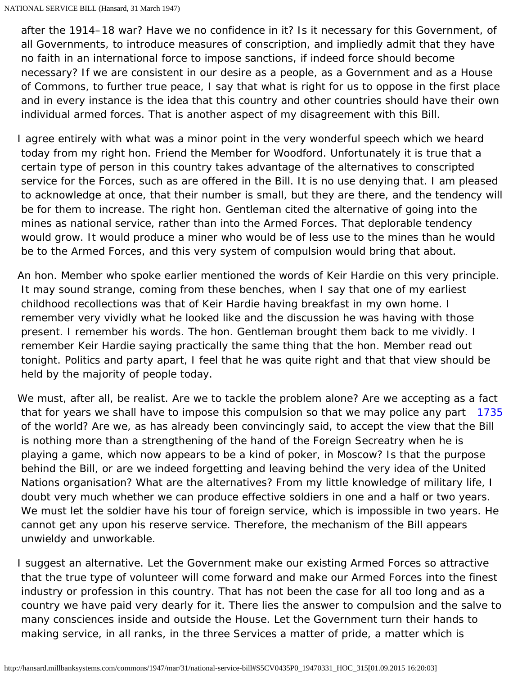<span id="page-45-0"></span> after the 1914–18 war? Have we no confidence in it? Is it necessary for this Government, of all Governments, to introduce measures of conscription, and impliedly admit that they have no faith in an international force to impose sanctions, if indeed force should become necessary? If we are consistent in our desire as a people, as a Government and as a House of Commons, to further true peace, I say that what is right for us to oppose in the first place and in every instance is the idea that this country and other countries should have their own individual armed forces. That is another aspect of my disagreement with this Bill.

- I agree entirely with what was a minor point in the very wonderful speech which we heard today from my right hon. Friend the Member for Woodford. Unfortunately it is true that a certain type of person in this country takes advantage of the alternatives to conscripted service for the Forces, such as are offered in the Bill. It is no use denying that. I am pleased to acknowledge at once, that their number is small, but they are there, and the tendency will be for them to increase. The right hon. Gentleman cited the alternative of going into the mines as national service, rather than into the Armed Forces. That deplorable tendency would grow. It would produce a miner who would be of less use to the mines than he would be to the Armed Forces, and this very system of compulsion would bring that about.
- An hon. Member who spoke earlier mentioned the words of Keir Hardie on this very principle. It may sound strange, coming from these benches, when I say that one of my earliest childhood recollections was that of Keir Hardie having breakfast in my own home. I remember very vividly what he looked like and the discussion he was having with those present. I remember his words. The hon. Gentleman brought them back to me vividly. I remember Keir Hardie saying practically the same thing that the hon. Member read out tonight. Politics and party apart, I feel that he was quite right and that that view should be held by the majority of people today.
- <span id="page-45-1"></span>that for years we shall have to impose this compulsion so that we may police any part [1735](#page-45-1) We must, after all, be realist. Are we to tackle the problem alone? Are we accepting as a fact of the world? Are we, as has already been convincingly said, to accept the view that the Bill is nothing more than a strengthening of the hand of the Foreign Secreatry when he is playing a game, which now appears to be a kind of poker, in Moscow? Is that the purpose behind the Bill, or are we indeed forgetting and leaving behind the very idea of the United Nations organisation? What are the alternatives? From my little knowledge of military life, I doubt very much whether we can produce effective soldiers in one and a half or two years. We must let the soldier have his tour of foreign service, which is impossible in two years. He cannot get any upon his reserve service. Therefore, the mechanism of the Bill appears unwieldy and unworkable.
- I suggest an alternative. Let the Government make our existing Armed Forces so attractive that the true type of volunteer will come forward and make our Armed Forces into the finest industry or profession in this country. That has not been the case for all too long and as a country we have paid very dearly for it. There lies the answer to compulsion and the salve to many consciences inside and outside the House. Let the Government turn their hands to making service, in all ranks, in the three Services a matter of pride, a matter which is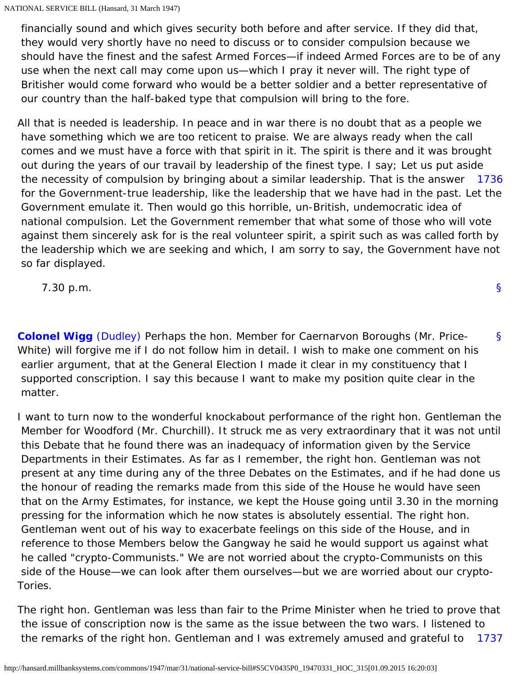financially sound and which gives security both before and after service. If they did that, they would very shortly have no need to discuss or to consider compulsion because we should have the finest and the safest Armed Forces—if indeed Armed Forces are to be of any use when the next call may come upon us—which I pray it never will. The right type of Britisher would come forward who would be a better soldier and a better representative of our country than the half-baked type that compulsion will bring to the fore.

<span id="page-46-0"></span>[1736](#page-46-0) All that is needed is leadership. In peace and in war there is no doubt that as a people we have something which we are too reticent to praise. We are always ready when the call comes and we must have a force with that spirit in it. The spirit is there and it was brought out during the years of our travail by leadership of the finest type. I say; Let us put aside the necessity of compulsion by bringing about a similar leadership. That is the answer for the Government-true leadership, like the leadership that we have had in the past. Let the Government emulate it. Then would go this horrible, un-British, undemocratic idea of national compulsion. Let the Government remember that what some of those who will vote against them sincerely ask for is the real volunteer spirit, a spirit such as was called forth by the leadership which we are seeking and which, I am sorry to say, the Government have not so far displayed.

7.30 p.m.

<span id="page-46-1"></span>**[Colonel Wigg](http://hansard.millbanksystems.com/people/mr-george-wigg)** [\(Dudley\)](http://hansard.millbanksystems.com/constituencies/dudley) Perhaps the hon. Member for Caernarvon Boroughs (Mr. Price-White) will forgive me if I do not follow him in detail. I wish to make one comment on his earlier argument, that at the General Election I made it clear in my constituency that I supported conscription. I say this because I want to make my position quite clear in the matter.

I want to turn now to the wonderful knockabout performance of the right hon. Gentleman the Member for Woodford (Mr. Churchill). It struck me as very extraordinary that it was not until this Debate that he found there was an inadequacy of information given by the Service Departments in their Estimates. As far as I remember, the right hon. Gentleman was not present at any time during any of the three Debates on the Estimates, and if he had done us the honour of reading the remarks made from this side of the House he would have seen that on the Army Estimates, for instance, we kept the House going until 3.30 in the morning pressing for the information which he now states is absolutely essential. The right hon. Gentleman went out of his way to exacerbate feelings on this side of the House, and in reference to those Members below the Gangway he said he would support us against what he called "crypto-Communists." We are not worried about the crypto-Communists on this side of the House—we can look after them ourselves—but we are worried about our crypto-Tories.

[1737](#page-47-0) The right hon. Gentleman was less than fair to the Prime Minister when he tried to prove that the issue of conscription now is the same as the issue between the two wars. I listened to the remarks of the right hon. Gentleman and I was extremely amused and grateful to

[§](#page-0-0)

[§](#page-46-1)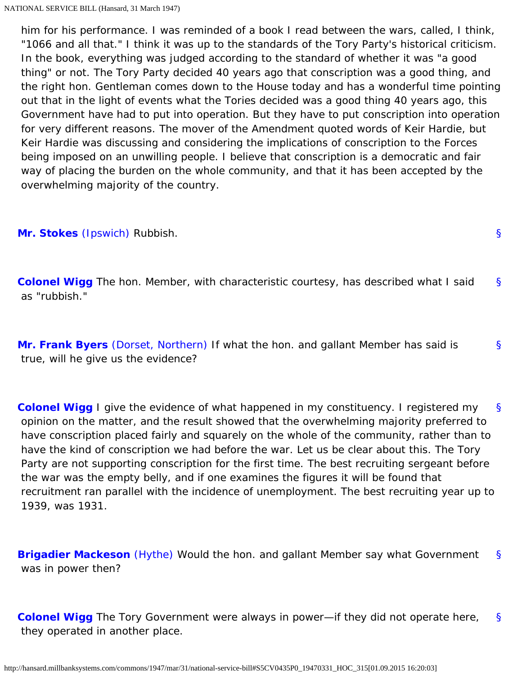<span id="page-47-0"></span> him for his performance. I was reminded of a book I read between the wars, called, I think, "1066 and all that." I think it was up to the standards of the Tory Party's historical criticism. In the book, everything was judged according to the standard of whether it was "a good thing" or not. The Tory Party decided 40 years ago that conscription was a good thing, and the right hon. Gentleman comes down to the House today and has a wonderful time pointing out that in the light of events what the Tories decided was a good thing 40 years ago, this Government have had to put into operation. But they have to put conscription into operation for very different reasons. The mover of the Amendment quoted words of Keir Hardie, but Keir Hardie was discussing and considering the implications of conscription to the Forces being imposed on an unwilling people. I believe that conscription is a democratic and fair way of placing the burden on the whole community, and that it has been accepted by the overwhelming majority of the country.

<span id="page-47-2"></span><span id="page-47-1"></span>**[Mr. Stokes](http://hansard.millbanksystems.com/people/mr-richard-stokes)** [\(Ipswich\)](http://hansard.millbanksystems.com/constituencies/ipswich) Rubbish.

[§](#page-47-2) **[Colonel Wigg](http://hansard.millbanksystems.com/people/mr-george-wigg)** The hon. Member, with characteristic courtesy, has described what I said as "rubbish."

[§](#page-47-1)

<span id="page-47-3"></span>[§](#page-47-3) **[Mr. Frank Byers](http://hansard.millbanksystems.com/people/mr-charles-byers)** [\(Dorset, Northern\)](http://hansard.millbanksystems.com/constituencies/dorset-northern) If what the hon. and gallant Member has said is true, will he give us the evidence?

<span id="page-47-4"></span>[§](#page-47-4) **[Colonel Wigg](http://hansard.millbanksystems.com/people/mr-george-wigg)** I give the evidence of what happened in my constituency. I registered my opinion on the matter, and the result showed that the overwhelming majority preferred to have conscription placed fairly and squarely on the whole of the community, rather than to have the kind of conscription we had before the war. Let us be clear about this. The Tory Party are not supporting conscription for the first time. The best recruiting sergeant before the war was the empty belly, and if one examines the figures it will be found that recruitment ran parallel with the incidence of unemployment. The best recruiting year up to 1939, was 1931.

<span id="page-47-5"></span>[§](#page-47-5) **[Brigadier Mackeson](http://hansard.millbanksystems.com/people/brigadier-sir-harry-mackeson)** [\(Hythe\)](http://hansard.millbanksystems.com/constituencies/hythe) Would the hon. and gallant Member say what Government was in power then?

<span id="page-47-6"></span>[§](#page-47-6) **[Colonel Wigg](http://hansard.millbanksystems.com/people/mr-george-wigg)** The Tory Government were always in power—if they did not operate here, they operated in another place.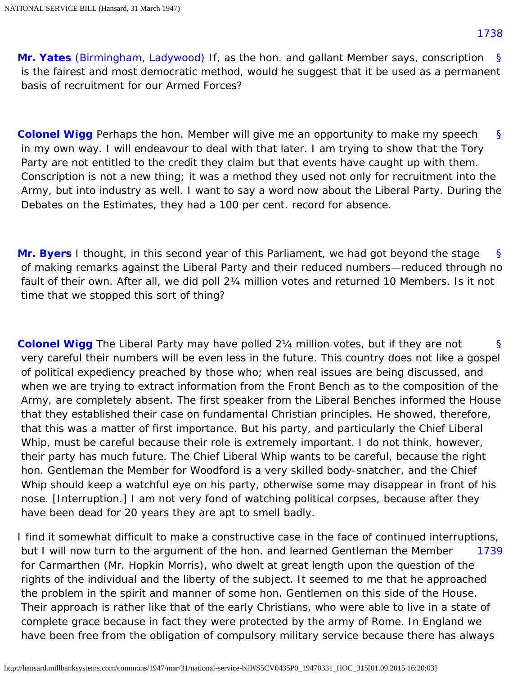<span id="page-48-5"></span><span id="page-48-0"></span>[§](#page-48-0) **[Mr. Yates](http://hansard.millbanksystems.com/people/mr-victor-yates)** [\(Birmingham, Ladywood\)](http://hansard.millbanksystems.com/constituencies/birmingham-ladywood) If, as the hon. and gallant Member says, conscription is the fairest and most democratic method, would he suggest that it be used as a permanent basis of recruitment for our Armed Forces?

<span id="page-48-1"></span>[§](#page-48-1) **[Colonel Wigg](http://hansard.millbanksystems.com/people/mr-george-wigg)** Perhaps the hon. Member will give me an opportunity to make my speech in my own way. I will endeavour to deal with that later. I am trying to show that the Tory Party are not entitled to the credit they claim but that events have caught up with them. Conscription is not a new thing; it was a method they used not only for recruitment into the Army, but into industry as well. I want to say a word now about the Liberal Party. During the Debates on the Estimates, they had a 100 per cent. record for absence.

<span id="page-48-2"></span>[§](#page-48-2) **[Mr. Byers](http://hansard.millbanksystems.com/people/mr-charles-byers)** I thought, in this second year of this Parliament, we had got beyond the stage of making remarks against the Liberal Party and their reduced numbers—reduced through no fault of their own. After all, we did poll 2¼ million votes and returned 10 Members. Is it not time that we stopped this sort of thing?

<span id="page-48-3"></span>[§](#page-48-3) **[Colonel Wigg](http://hansard.millbanksystems.com/people/mr-george-wigg)** The Liberal Party may have polled 2¼ million votes, but if they are not very careful their numbers will be even less in the future. This country does not like a gospel of political expediency preached by those who; when real issues are being discussed, and when we are trying to extract information from the Front Bench as to the composition of the Army, are completely absent. The first speaker from the Liberal Benches informed the House that they established their case on fundamental Christian principles. He showed, therefore, that this was a matter of first importance. But his party, and particularly the Chief Liberal Whip, must be careful because their role is extremely important. I do not think, however, their party has much future. The Chief Liberal Whip wants to be careful, because the right hon. Gentleman the Member for Woodford is a very skilled body-snatcher, and the Chief Whip should keep a watchful eye on his party, otherwise some may disappear in front of his nose. [Interruption.] I am not very fond of watching political corpses, because after they have been dead for 20 years they are apt to smell badly.

<span id="page-48-4"></span>[1739](#page-48-4) I find it somewhat difficult to make a constructive case in the face of continued interruptions, but I will now turn to the argument of the hon. and learned Gentleman the Member for Carmarthen (Mr. Hopkin Morris), who dwelt at great length upon the question of the rights of the individual and the liberty of the subject. It seemed to me that he approached the problem in the spirit and manner of some hon. Gentlemen on this side of the House. Their approach is rather like that of the early Christians, who were able to live in a state of complete grace because in fact they were protected by the army of Rome. In England we have been free from the obligation of compulsory military service because there has always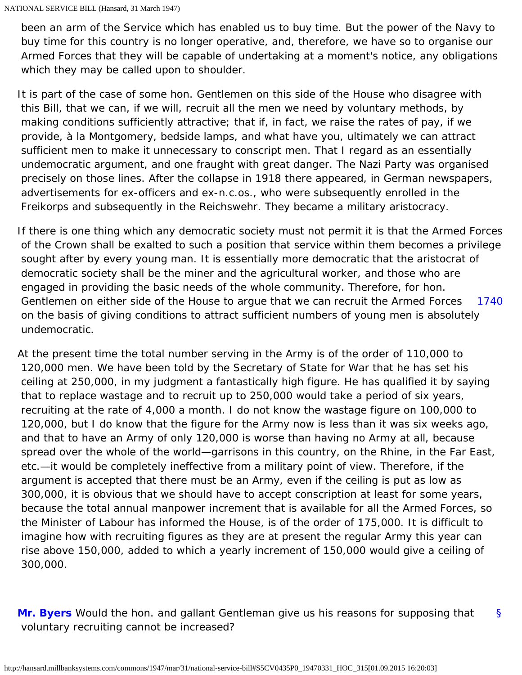been an arm of the Service which has enabled us to buy time. But the power of the Navy to buy time for this country is no longer operative, and, therefore, we have so to organise our Armed Forces that they will be capable of undertaking at a moment's notice, any obligations which they may be called upon to shoulder.

It is part of the case of some hon. Gentlemen on this side of the House who disagree with this Bill, that we can, if we will, recruit all the men we need by voluntary methods, by making conditions sufficiently attractive; that if, in fact, we raise the rates of pay, if we provide, à la Montgomery, bedside lamps, and what have you, ultimately we can attract sufficient men to make it unnecessary to conscript men. That I regard as an essentially undemocratic argument, and one fraught with great danger. The Nazi Party was organised precisely on those lines. After the collapse in 1918 there appeared, in German newspapers, advertisements for ex-officers and ex-n.c.os., who were subsequently enrolled in the Freikorps and subsequently in the Reichswehr. They became a military aristocracy.

[1740](#page-49-0) If there is one thing which any democratic society must not permit it is that the Armed Forces of the Crown shall be exalted to such a position that service within them becomes a privilege sought after by every young man. It is essentially more democratic that the aristocrat of democratic society shall be the miner and the agricultural worker, and those who are engaged in providing the basic needs of the whole community. Therefore, for hon. Gentlemen on either side of the House to argue that we can recruit the Armed Forces on the basis of giving conditions to attract sufficient numbers of young men is absolutely undemocratic.

<span id="page-49-0"></span>At the present time the total number serving in the Army is of the order of 110,000 to 120,000 men. We have been told by the Secretary of State for War that he has set his ceiling at 250,000, in my judgment a fantastically high figure. He has qualified it by saying that to replace wastage and to recruit up to 250,000 would take a period of six years, recruiting at the rate of 4,000 a month. I do not know the wastage figure on 100,000 to 120,000, but I do know that the figure for the Army now is less than it was six weeks ago, and that to have an Army of only 120,000 is worse than having no Army at all, because spread over the whole of the world—garrisons in this country, on the Rhine, in the Far East, etc.—it would be completely ineffective from a military point of view. Therefore, if the argument is accepted that there must be an Army, even if the ceiling is put as low as 300,000, it is obvious that we should have to accept conscription at least for some years, because the total annual manpower increment that is available for all the Armed Forces, so the Minister of Labour has informed the House, is of the order of 175,000. It is difficult to imagine how with recruiting figures as they are at present the regular Army this year can rise above 150,000, added to which a yearly increment of 150,000 would give a ceiling of 300,000.

<span id="page-49-1"></span>[§](#page-49-1) **[Mr. Byers](http://hansard.millbanksystems.com/people/mr-charles-byers)** Would the hon. and gallant Gentleman give us his reasons for supposing that voluntary recruiting cannot be increased?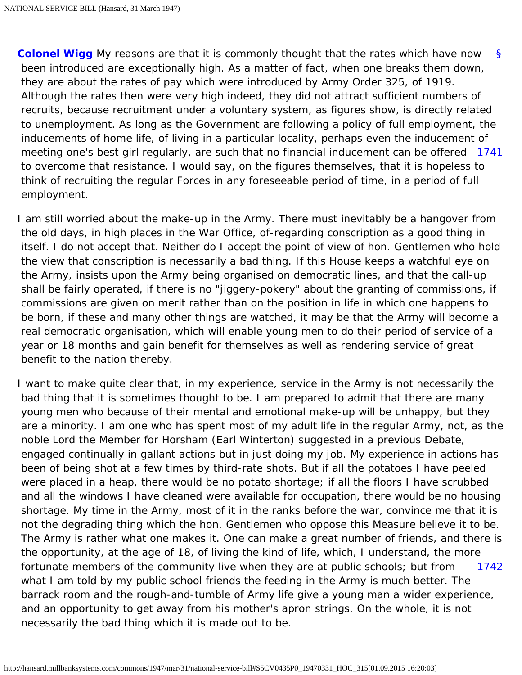<span id="page-50-0"></span>[§](#page-50-0) [1741](#page-50-1) meeting one's best girl regularly, are such that no financial inducement can be offered **[Colonel Wigg](http://hansard.millbanksystems.com/people/mr-george-wigg)** My reasons are that it is commonly thought that the rates which have now been introduced are exceptionally high. As a matter of fact, when one breaks them down, they are about the rates of pay which were introduced by Army Order 325, of 1919. Although the rates then were very high indeed, they did not attract sufficient numbers of recruits, because recruitment under a voluntary system, as figures show, is directly related to unemployment. As long as the Government are following a policy of full employment, the inducements of home life, of living in a particular locality, perhaps even the inducement of to overcome that resistance. I would say, on the figures themselves, that it is hopeless to think of recruiting the regular Forces in any foreseeable period of time, in a period of full employment.

<span id="page-50-1"></span>I am still worried about the make-up in the Army. There must inevitably be a hangover from the old days, in high places in the War Office, of-regarding conscription as a good thing in itself. I do not accept that. Neither do I accept the point of view of hon. Gentlemen who hold the view that conscription is necessarily a bad thing. If this House keeps a watchful eye on the Army, insists upon the Army being organised on democratic lines, and that the call-up shall be fairly operated, if there is no "jiggery-pokery" about the granting of commissions, if commissions are given on merit rather than on the position in life in which one happens to be born, if these and many other things are watched, it may be that the Army will become a real democratic organisation, which will enable young men to do their period of service of a year or 18 months and gain benefit for themselves as well as rendering service of great benefit to the nation thereby.

<span id="page-50-2"></span>[1742](#page-50-2) I want to make quite clear that, in my experience, service in the Army is not necessarily the bad thing that it is sometimes thought to be. I am prepared to admit that there are many young men who because of their mental and emotional make-up will be unhappy, but they are a minority. I am one who has spent most of my adult life in the regular Army, not, as the noble Lord the Member for Horsham (Earl Winterton) suggested in a previous Debate, engaged continually in gallant actions but in just doing my job. My experience in actions has been of being shot at a few times by third-rate shots. But if all the potatoes I have peeled were placed in a heap, there would be no potato shortage; if all the floors I have scrubbed and all the windows I have cleaned were available for occupation, there would be no housing shortage. My time in the Army, most of it in the ranks before the war, convince me that it is not the degrading thing which the hon. Gentlemen who oppose this Measure believe it to be. The Army is rather what one makes it. One can make a great number of friends, and there is the opportunity, at the age of 18, of living the kind of life, which, I understand, the more fortunate members of the community live when they are at public schools; but from what I am told by my public school friends the feeding in the Army is much better. The barrack room and the rough-and-tumble of Army life give a young man a wider experience, and an opportunity to get away from his mother's apron strings. On the whole, it is not necessarily the bad thing which it is made out to be.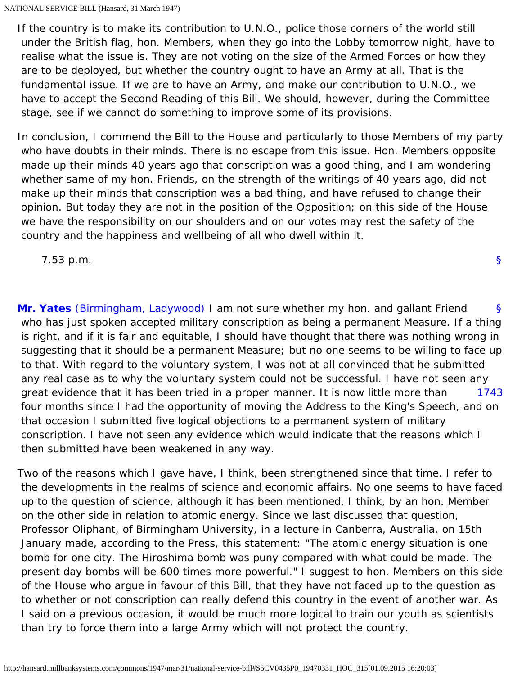If the country is to make its contribution to U.N.O., police those corners of the world still under the British flag, hon. Members, when they go into the Lobby tomorrow night, have to realise what the issue is. They are not voting on the size of the Armed Forces or how they are to be deployed, but whether the country ought to have an Army at all. That is the fundamental issue. If we are to have an Army, and make our contribution to U.N.O., we have to accept the Second Reading of this Bill. We should, however, during the Committee stage, see if we cannot do something to improve some of its provisions.

In conclusion, I commend the Bill to the House and particularly to those Members of my party who have doubts in their minds. There is no escape from this issue. Hon. Members opposite made up their minds 40 years ago that conscription was a good thing, and I am wondering whether same of my hon. Friends, on the strength of the writings of 40 years ago, did not make up their minds that conscription was a bad thing, and have refused to change their opinion. But today they are not in the position of the Opposition; on this side of the House we have the responsibility on our shoulders and on our votes may rest the safety of the country and the happiness and wellbeing of all who dwell within it.

7.53 p.m.

<span id="page-51-0"></span>[§](#page-51-0) [1743](#page-51-1) **[Mr. Yates](http://hansard.millbanksystems.com/people/mr-victor-yates)** [\(Birmingham, Ladywood\)](http://hansard.millbanksystems.com/constituencies/birmingham-ladywood) I am not sure whether my hon. and gallant Friend who has just spoken accepted military conscription as being a permanent Measure. If a thing is right, and if it is fair and equitable, I should have thought that there was nothing wrong in suggesting that it should be a permanent Measure; but no one seems to be willing to face up to that. With regard to the voluntary system, I was not at all convinced that he submitted any real case as to why the voluntary system could not be successful. I have not seen any great evidence that it has been tried in a proper manner. It is now little more than four months since I had the opportunity of moving the Address to the King's Speech, and on that occasion I submitted five logical objections to a permanent system of military conscription. I have not seen any evidence which would indicate that the reasons which I then submitted have been weakened in any way.

<span id="page-51-1"></span>Two of the reasons which I gave have, I think, been strengthened since that time. I refer to the developments in the realms of science and economic affairs. No one seems to have faced up to the question of science, although it has been mentioned, I think, by an hon. Member on the other side in relation to atomic energy. Since we last discussed that question, Professor Oliphant, of Birmingham University, in a lecture in Canberra, Australia, on 15th January made, according to the Press, this statement: "The atomic energy situation is one bomb for one city. The Hiroshima bomb was puny compared with what could be made. The present day bombs will be 600 times more powerful." I suggest to hon. Members on this side of the House who argue in favour of this Bill, that they have not faced up to the question as to whether or not conscription can really defend this country in the event of another war. As I said on a previous occasion, it would be much more logical to train our youth as scientists than try to force them into a large Army which will not protect the country.

[§](#page-0-0)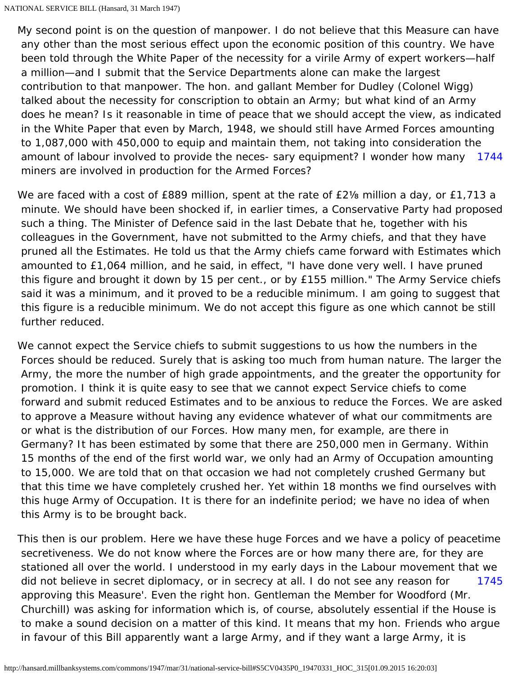[1744](#page-52-0) My second point is on the question of manpower. I do not believe that this Measure can have any other than the most serious effect upon the economic position of this country. We have been told through the White Paper of the necessity for a virile Army of expert workers—half a million—and I submit that the Service Departments alone can make the largest contribution to that manpower. The hon. and gallant Member for Dudley (Colonel Wigg) talked about the necessity for conscription to obtain an Army; but what kind of an Army does he mean? Is it reasonable in time of peace that we should accept the view, as indicated in the White Paper that even by March, 1948, we should still have Armed Forces amounting to 1,087,000 with 450,000 to equip and maintain them, not taking into consideration the amount of labour involved to provide the neces- sary equipment? I wonder how many miners are involved in production for the Armed Forces?

<span id="page-52-0"></span>We are faced with a cost of £889 million, spent at the rate of £2% million a day, or £1,713 a minute. We should have been shocked if, in earlier times, a Conservative Party had proposed such a thing. The Minister of Defence said in the last Debate that he, together with his colleagues in the Government, have not submitted to the Army chiefs, and that they have pruned all the Estimates. He told us that the Army chiefs came forward with Estimates which amounted to £1,064 million, and he said, in effect, "I have done very well. I have pruned this figure and brought it down by 15 per cent., or by £155 million." The Army Service chiefs said it was a minimum, and it proved to be a reducible minimum. I am going to suggest that this figure is a reducible minimum. We do not accept this figure as one which cannot be still further reduced.

We cannot expect the Service chiefs to submit suggestions to us how the numbers in the Forces should be reduced. Surely that is asking too much from human nature. The larger the Army, the more the number of high grade appointments, and the greater the opportunity for promotion. I think it is quite easy to see that we cannot expect Service chiefs to come forward and submit reduced Estimates and to be anxious to reduce the Forces. We are asked to approve a Measure without having any evidence whatever of what our commitments are or what is the distribution of our Forces. How many men, for example, are there in Germany? It has been estimated by some that there are 250,000 men in Germany. Within 15 months of the end of the first world war, we only had an Army of Occupation amounting to 15,000. We are told that on that occasion we had not completely crushed Germany but that this time we have completely crushed her. Yet within 18 months we find ourselves with this huge Army of Occupation. It is there for an indefinite period; we have no idea of when this Army is to be brought back.

<span id="page-52-1"></span>[1745](#page-52-1) This then is our problem. Here we have these huge Forces and we have a policy of peacetime secretiveness. We do not know where the Forces are or how many there are, for they are stationed all over the world. I understood in my early days in the Labour movement that we did not believe in secret diplomacy, or in secrecy at all. I do not see any reason for approving this Measure'. Even the right hon. Gentleman the Member for Woodford (Mr. Churchill) was asking for information which is, of course, absolutely essential if the House is to make a sound decision on a matter of this kind. It means that my hon. Friends who argue in favour of this Bill apparently want a large Army, and if they want a large Army, it is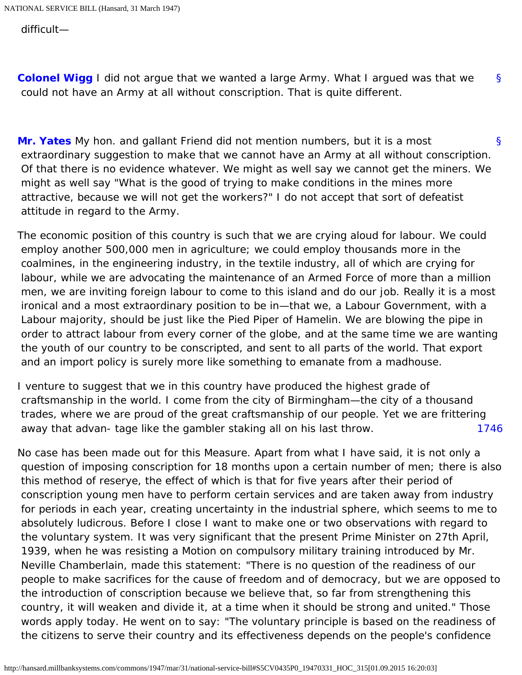difficult—

<span id="page-53-0"></span>[§](#page-53-0) **[Colonel Wigg](http://hansard.millbanksystems.com/people/mr-george-wigg)** I did not argue that we wanted a large Army. What I argued was that we could not have an Army at all without conscription. That is quite different.

<span id="page-53-1"></span>[§](#page-53-1) **[Mr. Yates](http://hansard.millbanksystems.com/people/mr-victor-yates)** My hon. and gallant Friend did not mention numbers, but it is a most extraordinary suggestion to make that we cannot have an Army at all without conscription. Of that there is no evidence whatever. We might as well say we cannot get the miners. We might as well say "What is the good of trying to make conditions in the mines more attractive, because we will not get the workers?" I do not accept that sort of defeatist attitude in regard to the Army.

The economic position of this country is such that we are crying aloud for labour. We could employ another 500,000 men in agriculture; we could employ thousands more in the coalmines, in the engineering industry, in the textile industry, all of which are crying for labour, while we are advocating the maintenance of an Armed Force of more than a million men, we are inviting foreign labour to come to this island and do our job. Really it is a most ironical and a most extraordinary position to be in—that we, a Labour Government, with a Labour majority, should be just like the Pied Piper of Hamelin. We are blowing the pipe in order to attract labour from every corner of the globe, and at the same time we are wanting the youth of our country to be conscripted, and sent to all parts of the world. That export and an import policy is surely more like something to emanate from a madhouse.

[1746](#page-53-2) I venture to suggest that we in this country have produced the highest grade of craftsmanship in the world. I come from the city of Birmingham—the city of a thousand trades, where we are proud of the great craftsmanship of our people. Yet we are frittering away that advan- tage like the gambler staking all on his last throw.

<span id="page-53-2"></span>No case has been made out for this Measure. Apart from what I have said, it is not only a question of imposing conscription for 18 months upon a certain number of men; there is also this method of reserye, the effect of which is that for five years after their period of conscription young men have to perform certain services and are taken away from industry for periods in each year, creating uncertainty in the industrial sphere, which seems to me to absolutely ludicrous. Before I close I want to make one or two observations with regard to the voluntary system. It was very significant that the present Prime Minister on 27th April, 1939, when he was resisting a Motion on compulsory military training introduced by Mr. Neville Chamberlain, made this statement: "There is no question of the readiness of our people to make sacrifices for the cause of freedom and of democracy, but we are opposed to the introduction of conscription because we believe that, so far from strengthening this country, it will weaken and divide it, at a time when it should be strong and united." Those words apply today. He went on to say: "The voluntary principle is based on the readiness of the citizens to serve their country and its effectiveness depends on the people's confidence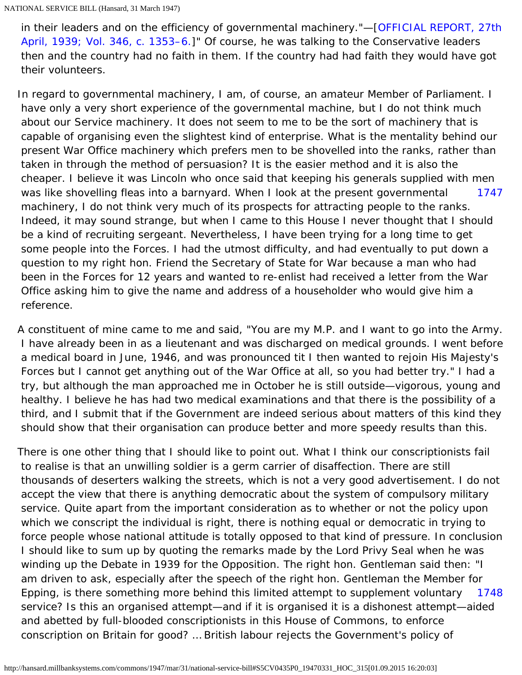in their leaders and on the efficiency of governmental machinery."—[\[OFFICIAL REPORT, 27th](http://hansard.millbanksystems.com/commons/1939/apr/27/compulsory-military-training#column_1353)  [April, 1939; Vol. 346, c. 1353–6.\]](http://hansard.millbanksystems.com/commons/1939/apr/27/compulsory-military-training#column_1353)" Of course, he was talking to the Conservative leaders then and the country had no faith in them. If the country had had faith they would have got their volunteers.

<span id="page-54-0"></span>[1747](#page-54-0) In regard to governmental machinery, I am, of course, an amateur Member of Parliament. I have only a very short experience of the governmental machine, but I do not think much about our Service machinery. It does not seem to me to be the sort of machinery that is capable of organising even the slightest kind of enterprise. What is the mentality behind our present War Office machinery which prefers men to be shovelled into the ranks, rather than taken in through the method of persuasion? It is the easier method and it is also the cheaper. I believe it was Lincoln who once said that keeping his generals supplied with men was like shovelling fleas into a barnyard. When I look at the present governmental machinery, I do not think very much of its prospects for attracting people to the ranks. Indeed, it may sound strange, but when I came to this House I never thought that I should be a kind of recruiting sergeant. Nevertheless, I have been trying for a long time to get some people into the Forces. I had the utmost difficulty, and had eventually to put down a question to my right hon. Friend the Secretary of State for War because a man who had been in the Forces for 12 years and wanted to re-enlist had received a letter from the War Office asking him to give the name and address of a householder who would give him a reference.

A constituent of mine came to me and said, "You are my M.P. and I want to go into the Army. I have already been in as a lieutenant and was discharged on medical grounds. I went before a medical board in June, 1946, and was pronounced tit I then wanted to rejoin His Majesty's Forces but I cannot get anything out of the War Office at all, so you had better try." I had a try, but although the man approached me in October he is still outside—vigorous, young and healthy. I believe he has had two medical examinations and that there is the possibility of a third, and I submit that if the Government are indeed serious about matters of this kind they should show that their organisation can produce better and more speedy results than this.

<span id="page-54-1"></span>[1748](#page-54-1) There is one other thing that I should like to point out. What I think our conscriptionists fail to realise is that an unwilling soldier is a germ carrier of disaffection. There are still thousands of deserters walking the streets, which is not a very good advertisement. I do not accept the view that there is anything democratic about the system of compulsory military service. Quite apart from the important consideration as to whether or not the policy upon which we conscript the individual is right, there is nothing equal or democratic in trying to force people whose national attitude is totally opposed to that kind of pressure. In conclusion I should like to sum up by quoting the remarks made by the Lord Privy Seal when he was winding up the Debate in 1939 for the Opposition. The right hon. Gentleman said then: "I am driven to ask, especially after the speech of the right hon. Gentleman the Member for Epping, is there something more behind this limited attempt to supplement voluntary service? Is this an organised attempt—and if it is organised it is a dishonest attempt—aided and abetted by full-blooded conscriptionists in this House of Commons, to enforce conscription on Britain for good? … British labour rejects the Government's policy of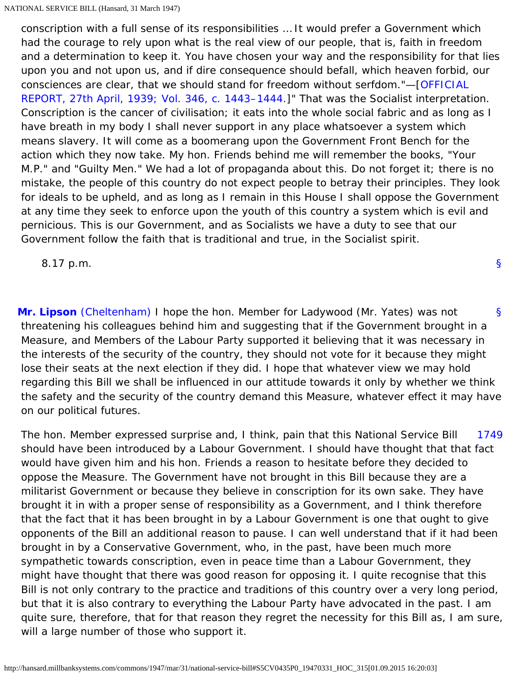conscription with a full sense of its responsibilities … It would prefer a Government which had the courage to rely upon what is the real view of our people, that is, faith in freedom and a determination to keep it. You have chosen your way and the responsibility for that lies upon you and not upon us, and if dire consequence should befall, which heaven forbid, our consciences are clear, that we should stand for freedom without serfdom."—[\[OFFICIAL](http://hansard.millbanksystems.com/commons/1939/apr/27/compulsory-military-training#column_1443)  [REPORT, 27th April, 1939; Vol. 346, c. 1443–1444.\]](http://hansard.millbanksystems.com/commons/1939/apr/27/compulsory-military-training#column_1443)" That was the Socialist interpretation. Conscription is the cancer of civilisation; it eats into the whole social fabric and as long as I have breath in my body I shall never support in any place whatsoever a system which means slavery. It will come as a boomerang upon the Government Front Bench for the action which they now take. My hon. Friends behind me will remember the books, "Your M.P." and "Guilty Men." We had a lot of propaganda about this. Do not forget it; there is no mistake, the people of this country do not expect people to betray their principles. They look for ideals to be upheld, and as long as I remain in this House I shall oppose the Government at any time they seek to enforce upon the youth of this country a system which is evil and pernicious. This is our Government, and as Socialists we have a duty to see that our Government follow the faith that is traditional and true, in the Socialist spirit.

8.17 p.m.

<span id="page-55-0"></span>[§](#page-55-0) **[Mr. Lipson](http://hansard.millbanksystems.com/people/mr-daniel-lipson)** [\(Cheltenham\)](http://hansard.millbanksystems.com/constituencies/cheltenham) I hope the hon. Member for Ladywood (Mr. Yates) was not threatening his colleagues behind him and suggesting that if the Government brought in a Measure, and Members of the Labour Party supported it believing that it was necessary in the interests of the security of the country, they should not vote for it because they might lose their seats at the next election if they did. I hope that whatever view we may hold regarding this Bill we shall be influenced in our attitude towards it only by whether we think the safety and the security of the country demand this Measure, whatever effect it may have on our political futures.

<span id="page-55-1"></span>[1749](#page-55-1) The hon. Member expressed surprise and, I think, pain that this National Service Bill should have been introduced by a Labour Government. I should have thought that that fact would have given him and his hon. Friends a reason to hesitate before they decided to oppose the Measure. The Government have not brought in this Bill because they are a militarist Government or because they believe in conscription for its own sake. They have brought it in with a proper sense of responsibility as a Government, and I think therefore that the fact that it has been brought in by a Labour Government is one that ought to give opponents of the Bill an additional reason to pause. I can well understand that if it had been brought in by a Conservative Government, who, in the past, have been much more sympathetic towards conscription, even in peace time than a Labour Government, they might have thought that there was good reason for opposing it. I quite recognise that this Bill is not only contrary to the practice and traditions of this country over a very long period, but that it is also contrary to everything the Labour Party have advocated in the past. I am quite sure, therefore, that for that reason they regret the necessity for this Bill as, I am sure, will a large number of those who support it.

[§](#page-0-0)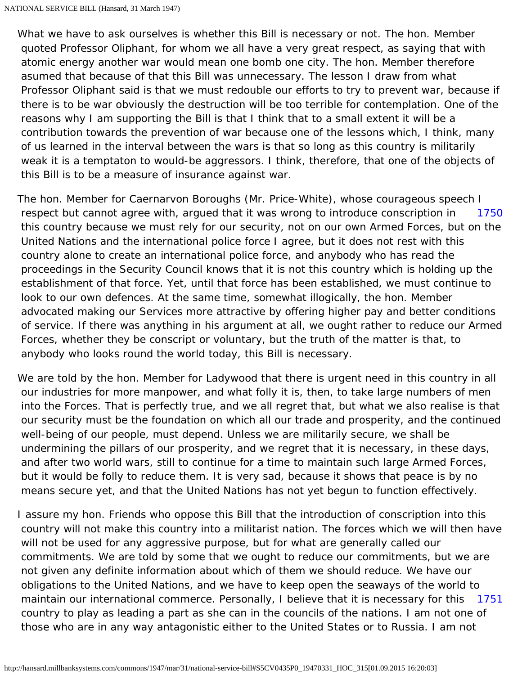What we have to ask ourselves is whether this Bill is necessary or not. The hon. Member quoted Professor Oliphant, for whom we all have a very great respect, as saying that with atomic energy another war would mean one bomb one city. The hon. Member therefore asumed that because of that this Bill was unnecessary. The lesson I draw from what Professor Oliphant said is that we must redouble our efforts to try to prevent war, because if there is to be war obviously the destruction will be too terrible for contemplation. One of the reasons why I am supporting the Bill is that I think that to a small extent it will be a contribution towards the prevention of war because one of the lessons which, I think, many of us learned in the interval between the wars is that so long as this country is militarily weak it is a temptaton to would-be aggressors. I think, therefore, that one of the objects of this Bill is to be a measure of insurance against war.

<span id="page-56-0"></span>[1750](#page-56-0) The hon. Member for Caernarvon Boroughs (Mr. Price-White), whose courageous speech I respect but cannot agree with, argued that it was wrong to introduce conscription in this country because we must rely for our security, not on our own Armed Forces, but on the United Nations and the international police force I agree, but it does not rest with this country alone to create an international police force, and anybody who has read the proceedings in the Security Council knows that it is not this country which is holding up the establishment of that force. Yet, until that force has been established, we must continue to look to our own defences. At the same time, somewhat illogically, the hon. Member advocated making our Services more attractive by offering higher pay and better conditions of service. If there was anything in his argument at all, we ought rather to reduce our Armed Forces, whether they be conscript or voluntary, but the truth of the matter is that, to anybody who looks round the world today, this Bill is necessary.

We are told by the hon. Member for Ladywood that there is urgent need in this country in all our industries for more manpower, and what folly it is, then, to take large numbers of men into the Forces. That is perfectly true, and we all regret that, but what we also realise is that our security must be the foundation on which all our trade and prosperity, and the continued well-being of our people, must depend. Unless we are militarily secure, we shall be undermining the pillars of our prosperity, and we regret that it is necessary, in these days, and after two world wars, still to continue for a time to maintain such large Armed Forces, but it would be folly to reduce them. It is very sad, because it shows that peace is by no means secure yet, and that the United Nations has not yet begun to function effectively.

<span id="page-56-1"></span>[1751](#page-56-1) I assure my hon. Friends who oppose this Bill that the introduction of conscription into this country will not make this country into a militarist nation. The forces which we will then have will not be used for any aggressive purpose, but for what are generally called our commitments. We are told by some that we ought to reduce our commitments, but we are not given any definite information about which of them we should reduce. We have our obligations to the United Nations, and we have to keep open the seaways of the world to maintain our international commerce. Personally, I believe that it is necessary for this country to play as leading a part as she can in the councils of the nations. I am not one of those who are in any way antagonistic either to the United States or to Russia. I am not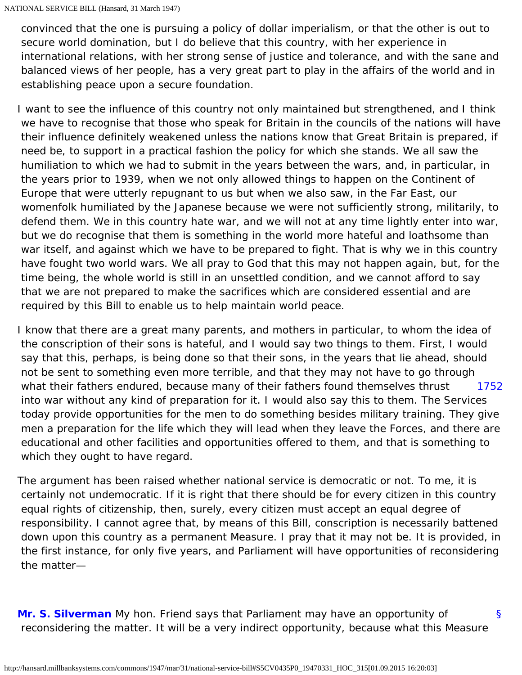convinced that the one is pursuing a policy of dollar imperialism, or that the other is out to secure world domination, but I do believe that this country, with her experience in international relations, with her strong sense of justice and tolerance, and with the sane and balanced views of her people, has a very great part to play in the affairs of the world and in establishing peace upon a secure foundation.

I want to see the influence of this country not only maintained but strengthened, and I think we have to recognise that those who speak for Britain in the councils of the nations will have their influence definitely weakened unless the nations know that Great Britain is prepared, if need be, to support in a practical fashion the policy for which she stands. We all saw the humiliation to which we had to submit in the years between the wars, and, in particular, in the years prior to 1939, when we not only allowed things to happen on the Continent of Europe that were utterly repugnant to us but when we also saw, in the Far East, our womenfolk humiliated by the Japanese because we were not sufficiently strong, militarily, to defend them. We in this country hate war, and we will not at any time lightly enter into war, but we do recognise that them is something in the world more hateful and loathsome than war itself, and against which we have to be prepared to fight. That is why we in this country have fought two world wars. We all pray to God that this may not happen again, but, for the time being, the whole world is still in an unsettled condition, and we cannot afford to say that we are not prepared to make the sacrifices which are considered essential and are required by this Bill to enable us to help maintain world peace.

<span id="page-57-0"></span>[1752](#page-57-0) I know that there are a great many parents, and mothers in particular, to whom the idea of the conscription of their sons is hateful, and I would say two things to them. First, I would say that this, perhaps, is being done so that their sons, in the years that lie ahead, should not be sent to something even more terrible, and that they may not have to go through what their fathers endured, because many of their fathers found themselves thrust into war without any kind of preparation for it. I would also say this to them. The Services today provide opportunities for the men to do something besides military training. They give men a preparation for the life which they will lead when they leave the Forces, and there are educational and other facilities and opportunities offered to them, and that is something to which they ought to have regard.

The argument has been raised whether national service is democratic or not. To me, it is certainly not undemocratic. If it is right that there should be for every citizen in this country equal rights of citizenship, then, surely, every citizen must accept an equal degree of responsibility. I cannot agree that, by means of this Bill, conscription is necessarily battened down upon this country as a permanent Measure. I pray that it may not be. It is provided, in the first instance, for only five years, and Parliament will have opportunities of reconsidering the matter—

<span id="page-57-1"></span>[§](#page-57-1) **[Mr. S. Silverman](http://hansard.millbanksystems.com/people/mr-samuel-silverman)** My hon. Friend says that Parliament may have an opportunity of reconsidering the matter. It will be a very indirect opportunity, because what this Measure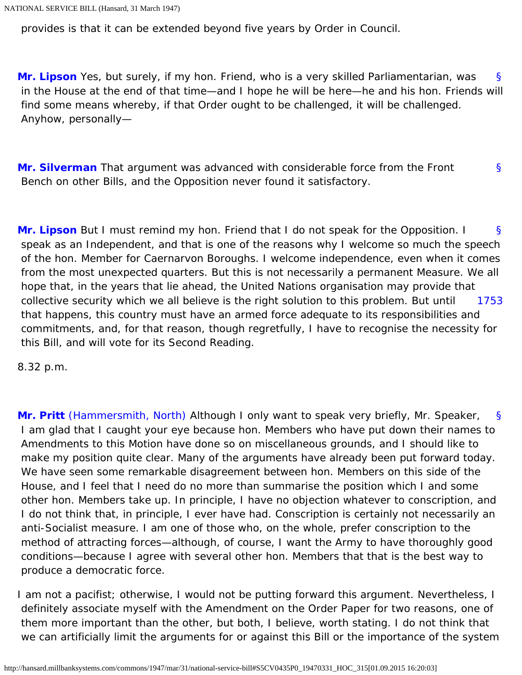provides is that it can be extended beyond five years by Order in Council.

<span id="page-58-0"></span>[§](#page-58-0) **[Mr. Lipson](http://hansard.millbanksystems.com/people/mr-daniel-lipson)** Yes, but surely, if my hon. Friend, who is a very skilled Parliamentarian, was in the House at the end of that time—and I hope he will be here—he and his hon. Friends will find some means whereby, if that Order ought to be challenged, it will be challenged. Anyhow, personally—

<span id="page-58-1"></span>[§](#page-58-1) **[Mr. Silverman](http://hansard.millbanksystems.com/people/mr-samuel-silverman)** That argument was advanced with considerable force from the Front Bench on other Bills, and the Opposition never found it satisfactory.

<span id="page-58-2"></span>[§](#page-58-2) [1753](#page-58-3) **[Mr. Lipson](http://hansard.millbanksystems.com/people/mr-daniel-lipson)** But I must remind my hon. Friend that I do not speak for the Opposition. I speak as an Independent, and that is one of the reasons why I welcome so much the speech of the hon. Member for Caernarvon Boroughs. I welcome independence, even when it comes from the most unexpected quarters. But this is not necessarily a permanent Measure. We all hope that, in the years that lie ahead, the United Nations organisation may provide that collective security which we all believe is the right solution to this problem. But until that happens, this country must have an armed force adequate to its responsibilities and commitments, and, for that reason, though regretfully, I have to recognise the necessity for this Bill, and will vote for its Second Reading.

<span id="page-58-4"></span><span id="page-58-3"></span>8.32 p.m.

[§](#page-58-4) **[Mr. Pritt](http://hansard.millbanksystems.com/people/mr-denis-pritt)** [\(Hammersmith, North\)](http://hansard.millbanksystems.com/constituencies/hammersmith-north) Although I only want to speak very briefly, Mr. Speaker, I am glad that I caught your eye because hon. Members who have put down their names to Amendments to this Motion have done so on miscellaneous grounds, and I should like to make my position quite clear. Many of the arguments have already been put forward today. We have seen some remarkable disagreement between hon. Members on this side of the House, and I feel that I need do no more than summarise the position which I and some other hon. Members take up. In principle, I have no objection whatever to conscription, and I do not think that, in principle, I ever have had. Conscription is certainly not necessarily an anti-Socialist measure. I am one of those who, on the whole, prefer conscription to the method of attracting forces—although, of course, I want the Army to have thoroughly good conditions—because I agree with several other hon. Members that that is the best way to produce a democratic force.

I am not a pacifist; otherwise, I would not be putting forward this argument. Nevertheless, I definitely associate myself with the Amendment on the Order Paper for two reasons, one of them more important than the other, but both, I believe, worth stating. I do not think that we can artificially limit the arguments for or against this Bill or the importance of the system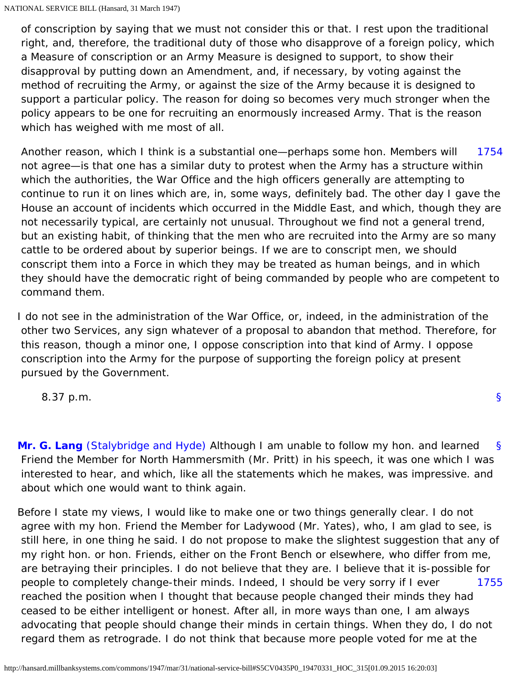of conscription by saying that we must not consider this or that. I rest upon the traditional right, and, therefore, the traditional duty of those who disapprove of a foreign policy, which a Measure of conscription or an Army Measure is designed to support, to show their disapproval by putting down an Amendment, and, if necessary, by voting against the method of recruiting the Army, or against the size of the Army because it is designed to support a particular policy. The reason for doing so becomes very much stronger when the policy appears to be one for recruiting an enormously increased Army. That is the reason which has weighed with me most of all.

<span id="page-59-0"></span>[1754](#page-59-0) Another reason, which I think is a substantial one—perhaps some hon. Members will not agree—is that one has a similar duty to protest when the Army has a structure within which the authorities, the War Office and the high officers generally are attempting to continue to run it on lines which are, in, some ways, definitely bad. The other day I gave the House an account of incidents which occurred in the Middle East, and which, though they are not necessarily typical, are certainly not unusual. Throughout we find not a general trend, but an existing habit, of thinking that the men who are recruited into the Army are so many cattle to be ordered about by superior beings. If we are to conscript men, we should conscript them into a Force in which they may be treated as human beings, and in which they should have the democratic right of being commanded by people who are competent to command them.

I do not see in the administration of the War Office, or, indeed, in the administration of the other two Services, any sign whatever of a proposal to abandon that method. Therefore, for this reason, though a minor one, I oppose conscription into that kind of Army. I oppose conscription into the Army for the purpose of supporting the foreign policy at present pursued by the Government.

[§](#page-0-0)

<span id="page-59-1"></span>[§](#page-59-1) **[Mr. G. Lang](http://hansard.millbanksystems.com/people/reverend-gordon-lang)** [\(Stalybridge and Hyde\)](http://hansard.millbanksystems.com/constituencies/stalybridge-and-hyde) Although I am unable to follow my hon. and learned Friend the Member for North Hammersmith (Mr. Pritt) in his speech, it was one which I was interested to hear, and which, like all the statements which he makes, was impressive. and about which one would want to think again.

<span id="page-59-2"></span>[1755](#page-59-2) Before I state my views, I would like to make one or two things generally clear. I do not agree with my hon. Friend the Member for Ladywood (Mr. Yates), who, I am glad to see, is still here, in one thing he said. I do not propose to make the slightest suggestion that any of my right hon. or hon. Friends, either on the Front Bench or elsewhere, who differ from me, are betraying their principles. I do not believe that they are. I believe that it is-possible for people to completely change-their minds. Indeed, I should be very sorry if I ever reached the position when I thought that because people changed their minds they had ceased to be either intelligent or honest. After all, in more ways than one, I am always advocating that people should change their minds in certain things. When they do, I do not regard them as retrograde. I do not think that because more people voted for me at the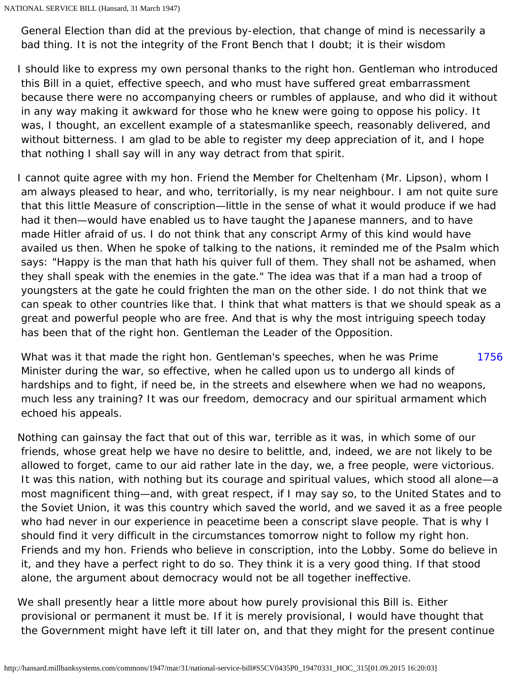General Election than did at the previous by-election, that change of mind is necessarily a bad thing. It is not the integrity of the Front Bench that I doubt; it is their wisdom

I should like to express my own personal thanks to the right hon. Gentleman who introduced this Bill in a quiet, effective speech, and who must have suffered great embarrassment because there were no accompanying cheers or rumbles of applause, and who did it without in any way making it awkward for those who he knew were going to oppose his policy. It was, I thought, an excellent example of a statesmanlike speech, reasonably delivered, and without bitterness. I am glad to be able to register my deep appreciation of it, and I hope that nothing I shall say will in any way detract from that spirit.

I cannot quite agree with my hon. Friend the Member for Cheltenham (Mr. Lipson), whom I am always pleased to hear, and who, territorially, is my near neighbour. I am not quite sure that this little Measure of conscription—little in the sense of what it would produce if we had had it then—would have enabled us to have taught the Japanese manners, and to have made Hitler afraid of us. I do not think that any conscript Army of this kind would have availed us then. When he spoke of talking to the nations, it reminded me of the Psalm which says: "Happy is the man that hath his quiver full of them. They shall not be ashamed, when they shall speak with the enemies in the gate." The idea was that if a man had a troop of youngsters at the gate he could frighten the man on the other side. I do not think that we can speak to other countries like that. I think that what matters is that we should speak as a great and powerful people who are free. And that is why the most intriguing speech today has been that of the right hon. Gentleman the Leader of the Opposition.

<span id="page-60-0"></span>[1756](#page-60-0) What was it that made the right hon. Gentleman's speeches, when he was Prime Minister during the war, so effective, when he called upon us to undergo all kinds of hardships and to fight, if need be, in the streets and elsewhere when we had no weapons, much less any training? It was our freedom, democracy and our spiritual armament which echoed his appeals.

Nothing can gainsay the fact that out of this war, terrible as it was, in which some of our friends, whose great help we have no desire to belittle, and, indeed, we are not likely to be allowed to forget, came to our aid rather late in the day, we, a free people, were victorious. It was this nation, with nothing but its courage and spiritual values, which stood all alone—a most magnificent thing—and, with great respect, if I may say so, to the United States and to the Soviet Union, it was this country which saved the world, and we saved it as a free people who had never in our experience in peacetime been a conscript slave people. That is why I should find it very difficult in the circumstances tomorrow night to follow my right hon. Friends and my hon. Friends who believe in conscription, into the Lobby. Some do believe in it, and they have a perfect right to do so. They think it is a very good thing. If that stood alone, the argument about democracy would not be all together ineffective.

We shall presently hear a little more about how purely provisional this Bill is. Either provisional or permanent it must be. If it is merely provisional, I would have thought that the Government might have left it till later on, and that they might for the present continue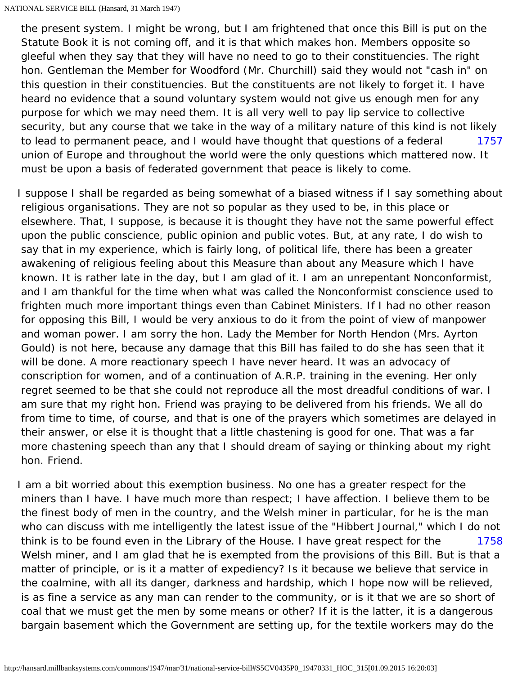[1757](#page-61-0) the present system. I might be wrong, but I am frightened that once this Bill is put on the Statute Book it is not coming off, and it is that which makes hon. Members opposite so gleeful when they say that they will have no need to go to their constituencies. The right hon. Gentleman the Member for Woodford (Mr. Churchill) said they would not "cash in" on this question in their constituencies. But the constituents are not likely to forget it. I have heard no evidence that a sound voluntary system would not give us enough men for any purpose for which we may need them. It is all very well to pay lip service to collective security, but any course that we take in the way of a military nature of this kind is not likely to lead to permanent peace, and I would have thought that questions of a federal union of Europe and throughout the world were the only questions which mattered now. It must be upon a basis of federated government that peace is likely to come.

<span id="page-61-0"></span>I suppose I shall be regarded as being somewhat of a biased witness if I say something about religious organisations. They are not so popular as they used to be, in this place or elsewhere. That, I suppose, is because it is thought they have not the same powerful effect upon the public conscience, public opinion and public votes. But, at any rate, I do wish to say that in my experience, which is fairly long, of political life, there has been a greater awakening of religious feeling about this Measure than about any Measure which I have known. It is rather late in the day, but I am glad of it. I am an unrepentant Nonconformist, and I am thankful for the time when what was called the Nonconformist conscience used to frighten much more important things even than Cabinet Ministers. If I had no other reason for opposing this Bill, I would be very anxious to do it from the point of view of manpower and woman power. I am sorry the hon. Lady the Member for North Hendon (Mrs. Ayrton Gould) is not here, because any damage that this Bill has failed to do she has seen that it will be done. A more reactionary speech I have never heard. It was an advocacy of conscription for women, and of a continuation of A.R.P. training in the evening. Her only regret seemed to be that she could not reproduce all the most dreadful conditions of war. I am sure that my right hon. Friend was praying to be delivered from his friends. We all do from time to time, of course, and that is one of the prayers which sometimes are delayed in their answer, or else it is thought that a little chastening is good for one. That was a far more chastening speech than any that I should dream of saying or thinking about my right hon. Friend.

<span id="page-61-1"></span>[1758](#page-61-1) I am a bit worried about this exemption business. No one has a greater respect for the miners than I have. I have much more than respect; I have affection. I believe them to be the finest body of men in the country, and the Welsh miner in particular, for he is the man who can discuss with me intelligently the latest issue of the "Hibbert Journal," which I do not think is to be found even in the Library of the House. I have great respect for the Welsh miner, and I am glad that he is exempted from the provisions of this Bill. But is that a matter of principle, or is it a matter of expediency? Is it because we believe that service in the coalmine, with all its danger, darkness and hardship, which I hope now will be relieved, is as fine a service as any man can render to the community, or is it that we are so short of coal that we must get the men by some means or other? If it is the latter, it is a dangerous bargain basement which the Government are setting up, for the textile workers may do the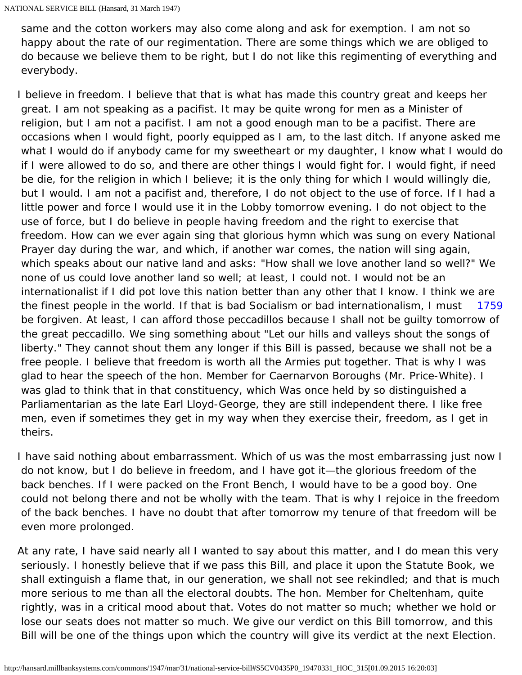same and the cotton workers may also come along and ask for exemption. I am not so happy about the rate of our regimentation. There are some things which we are obliged to do because we believe them to be right, but I do not like this regimenting of everything and everybody.

[1759](#page-62-0) I believe in freedom. I believe that that is what has made this country great and keeps her great. I am not speaking as a pacifist. It may be quite wrong for men as a Minister of religion, but I am not a pacifist. I am not a good enough man to be a pacifist. There are occasions when I would fight, poorly equipped as I am, to the last ditch. If anyone asked me what I would do if anybody came for my sweetheart or my daughter, I know what I would do if I were allowed to do so, and there are other things I would fight for. I would fight, if need be die, for the religion in which I believe; it is the only thing for which I would willingly die, but I would. I am not a pacifist and, therefore, I do not object to the use of force. If I had a little power and force I would use it in the Lobby tomorrow evening. I do not object to the use of force, but I do believe in people having freedom and the right to exercise that freedom. How can we ever again sing that glorious hymn which was sung on every National Prayer day during the war, and which, if another war comes, the nation will sing again, which speaks about our native land and asks: "How shall we love another land so well?" We none of us could love another land so well; at least, I could not. I would not be an internationalist if I did pot love this nation better than any other that I know. I think we are the finest people in the world. If that is bad Socialism or bad internationalism, I must be forgiven. At least, I can afford those peccadillos because I shall not be guilty tomorrow of the great peccadillo. We sing something about "Let our hills and valleys shout the songs of liberty." They cannot shout them any longer if this Bill is passed, because we shall not be a free people. I believe that freedom is worth all the Armies put together. That is why I was glad to hear the speech of the hon. Member for Caernarvon Boroughs (Mr. Price-White). I was glad to think that in that constituency, which Was once held by so distinguished a Parliamentarian as the late Earl Lloyd-George, they are still independent there. I like free men, even if sometimes they get in my way when they exercise their, freedom, as I get in theirs.

<span id="page-62-0"></span>I have said nothing about embarrassment. Which of us was the most embarrassing just now I do not know, but I do believe in freedom, and I have got it—the glorious freedom of the back benches. If I were packed on the Front Bench, I would have to be a good boy. One could not belong there and not be wholly with the team. That is why I rejoice in the freedom of the back benches. I have no doubt that after tomorrow my tenure of that freedom will be even more prolonged.

At any rate, I have said nearly all I wanted to say about this matter, and I do mean this very seriously. I honestly believe that if we pass this Bill, and place it upon the Statute Book, we shall extinguish a flame that, in our generation, we shall not see rekindled; and that is much more serious to me than all the electoral doubts. The hon. Member for Cheltenham, quite rightly, was in a critical mood about that. Votes do not matter so much; whether we hold or lose our seats does not matter so much. We give our verdict on this Bill tomorrow, and this Bill will be one of the things upon which the country will give its verdict at the next Election.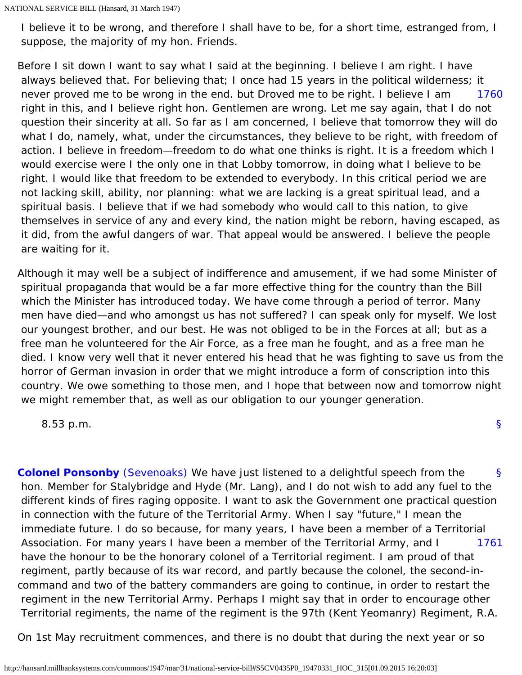I believe it to be wrong, and therefore I shall have to be, for a short time, estranged from, I suppose, the majority of my hon. Friends.

<span id="page-63-0"></span>[1760](#page-63-0) Before I sit down I want to say what I said at the beginning. I believe I am right. I have always believed that. For believing that; I once had 15 years in the political wilderness; it never proved me to be wrong in the end. but Droved me to be right. I believe I am right in this, and I believe right hon. Gentlemen are wrong. Let me say again, that I do not question their sincerity at all. So far as I am concerned, I believe that tomorrow they will do what I do, namely, what, under the circumstances, they believe to be right, with freedom of action. I believe in freedom—freedom to do what one thinks is right. It is a freedom which I would exercise were I the only one in that Lobby tomorrow, in doing what I believe to be right. I would like that freedom to be extended to everybody. In this critical period we are not lacking skill, ability, nor planning: what we are lacking is a great spiritual lead, and a spiritual basis. I believe that if we had somebody who would call to this nation, to give themselves in service of any and every kind, the nation might be reborn, having escaped, as it did, from the awful dangers of war. That appeal would be answered. I believe the people are waiting for it.

Although it may well be a subject of indifference and amusement, if we had some Minister of spiritual propaganda that would be a far more effective thing for the country than the Bill which the Minister has introduced today. We have come through a period of terror. Many men have died—and who amongst us has not suffered? I can speak only for myself. We lost our youngest brother, and our best. He was not obliged to be in the Forces at all; but as a free man he volunteered for the Air Force, as a free man he fought, and as a free man he died. I know very well that it never entered his head that he was fighting to save us from the horror of German invasion in order that we might introduce a form of conscription into this country. We owe something to those men, and I hope that between now and tomorrow night we might remember that, as well as our obligation to our younger generation.

[§](#page-0-0)

8.53 p.m.

<span id="page-63-2"></span><span id="page-63-1"></span>[§](#page-63-1) [1761](#page-63-2) **[Colonel Ponsonby](http://hansard.millbanksystems.com/people/colonel-charles-ponsonby)** [\(Sevenoaks\)](http://hansard.millbanksystems.com/constituencies/sevenoaks) We have just listened to a delightful speech from the hon. Member for Stalybridge and Hyde (Mr. Lang), and I do not wish to add any fuel to the different kinds of fires raging opposite. I want to ask the Government one practical question in connection with the future of the Territorial Army. When I say "future," I mean the immediate future. I do so because, for many years, I have been a member of a Territorial Association. For many years I have been a member of the Territorial Army, and I have the honour to be the honorary colonel of a Territorial regiment. I am proud of that regiment, partly because of its war record, and partly because the colonel, the second-incommand and two of the battery commanders are going to continue, in order to restart the regiment in the new Territorial Army. Perhaps I might say that in order to encourage other Territorial regiments, the name of the regiment is the 97th (Kent Yeomanry) Regiment, R.A.

On 1st May recruitment commences, and there is no doubt that during the next year or so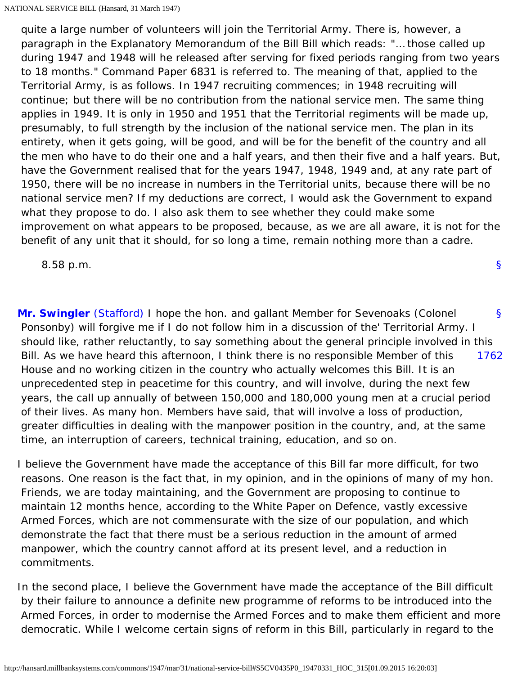quite a large number of volunteers will join the Territorial Army. There is, however, a paragraph in the Explanatory Memorandum of the Bill Bill which reads: "... those called up during 1947 and 1948 will he released after serving for fixed periods ranging from two years to 18 months." Command Paper 6831 is referred to. The meaning of that, applied to the Territorial Army, is as follows. In 1947 recruiting commences; in 1948 recruiting will continue; but there will be no contribution from the national service men. The same thing applies in 1949. It is only in 1950 and 1951 that the Territorial regiments will be made up, presumably, to full strength by the inclusion of the national service men. The plan in its entirety, when it gets going, will be good, and will be for the benefit of the country and all the men who have to do their one and a half years, and then their five and a half years. But, have the Government realised that for the years 1947, 1948, 1949 and, at any rate part of 1950, there will be no increase in numbers in the Territorial units, because there will be no national service men? If my deductions are correct, I would ask the Government to expand what they propose to do. I also ask them to see whether they could make some improvement on what appears to be proposed, because, as we are all aware, it is not for the benefit of any unit that it should, for so long a time, remain nothing more than a cadre.

8.58 p.m.

<span id="page-64-1"></span><span id="page-64-0"></span>[§](#page-64-0) [1762](#page-64-1) **[Mr. Swingler](http://hansard.millbanksystems.com/people/mr-stephen-swingler)** [\(Stafford\)](http://hansard.millbanksystems.com/constituencies/stafford) I hope the hon. and gallant Member for Sevenoaks (Colonel Ponsonby) will forgive me if I do not follow him in a discussion of the' Territorial Army. I should like, rather reluctantly, to say something about the general principle involved in this Bill. As we have heard this afternoon, I think there is no responsible Member of this House and no working citizen in the country who actually welcomes this Bill. It is an unprecedented step in peacetime for this country, and will involve, during the next few years, the call up annually of between 150,000 and 180,000 young men at a crucial period of their lives. As many hon. Members have said, that will involve a loss of production, greater difficulties in dealing with the manpower position in the country, and, at the same time, an interruption of careers, technical training, education, and so on.

I believe the Government have made the acceptance of this Bill far more difficult, for two reasons. One reason is the fact that, in my opinion, and in the opinions of many of my hon. Friends, we are today maintaining, and the Government are proposing to continue to maintain 12 months hence, according to the White Paper on Defence, vastly excessive Armed Forces, which are not commensurate with the size of our population, and which demonstrate the fact that there must be a serious reduction in the amount of armed manpower, which the country cannot afford at its present level, and a reduction in commitments.

In the second place, I believe the Government have made the acceptance of the Bill difficult by their failure to announce a definite new programme of reforms to be introduced into the Armed Forces, in order to modernise the Armed Forces and to make them efficient and more democratic. While I welcome certain signs of reform in this Bill, particularly in regard to the

[§](#page-0-0)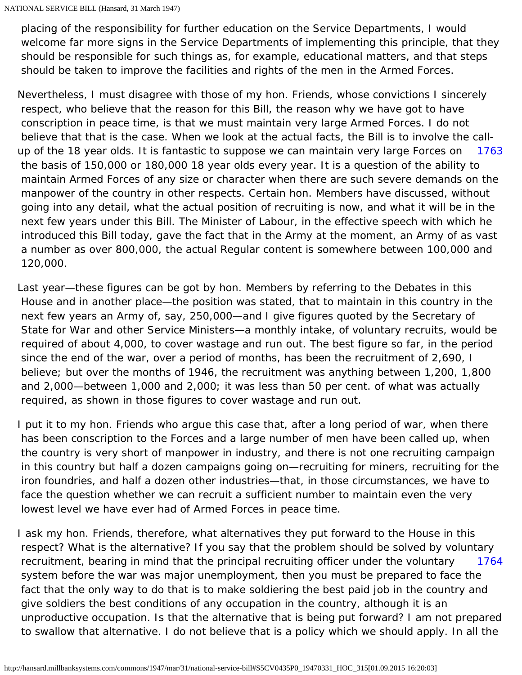placing of the responsibility for further education on the Service Departments, I would welcome far more signs in the Service Departments of implementing this principle, that they should be responsible for such things as, for example, educational matters, and that steps should be taken to improve the facilities and rights of the men in the Armed Forces.

- <span id="page-65-0"></span>[1763](#page-65-0) Nevertheless, I must disagree with those of my hon. Friends, whose convictions I sincerely respect, who believe that the reason for this Bill, the reason why we have got to have conscription in peace time, is that we must maintain very large Armed Forces. I do not believe that that is the case. When we look at the actual facts, the Bill is to involve the callup of the 18 year olds. It is fantastic to suppose we can maintain very large Forces on the basis of 150,000 or 180,000 18 year olds every year. It is a question of the ability to maintain Armed Forces of any size or character when there are such severe demands on the manpower of the country in other respects. Certain hon. Members have discussed, without going into any detail, what the actual position of recruiting is now, and what it will be in the next few years under this Bill. The Minister of Labour, in the effective speech with which he introduced this Bill today, gave the fact that in the Army at the moment, an Army of as vast a number as over 800,000, the actual Regular content is somewhere between 100,000 and 120,000.
- Last year—these figures can be got by hon. Members by referring to the Debates in this House and in another place—the position was stated, that to maintain in this country in the next few years an Army of, say, 250,000—and I give figures quoted by the Secretary of State for War and other Service Ministers—a monthly intake, of voluntary recruits, would be required of about 4,000, to cover wastage and run out. The best figure so far, in the period since the end of the war, over a period of months, has been the recruitment of 2,690, I believe; but over the months of 1946, the recruitment was anything between 1,200, 1,800 and 2,000—between 1,000 and 2,000; it was less than 50 per cent. of what was actually required, as shown in those figures to cover wastage and run out.
- I put it to my hon. Friends who argue this case that, after a long period of war, when there has been conscription to the Forces and a large number of men have been called up, when the country is very short of manpower in industry, and there is not one recruiting campaign in this country but half a dozen campaigns going on—recruiting for miners, recruiting for the iron foundries, and half a dozen other industries—that, in those circumstances, we have to face the question whether we can recruit a sufficient number to maintain even the very lowest level we have ever had of Armed Forces in peace time.
- <span id="page-65-1"></span>[1764](#page-65-1) I ask my hon. Friends, therefore, what alternatives they put forward to the House in this respect? What is the alternative? If you say that the problem should be solved by voluntary recruitment, bearing in mind that the principal recruiting officer under the voluntary system before the war was major unemployment, then you must be prepared to face the fact that the only way to do that is to make soldiering the best paid job in the country and give soldiers the best conditions of any occupation in the country, although it is an unproductive occupation. Is that the alternative that is being put forward? I am not prepared to swallow that alternative. I do not believe that is a policy which we should apply. In all the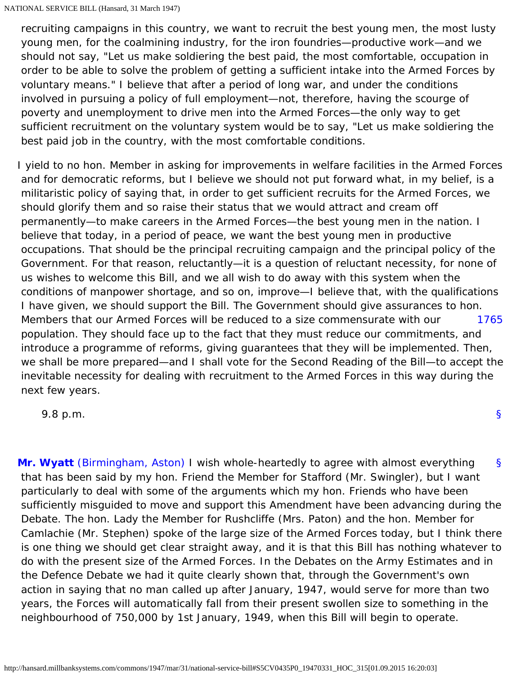recruiting campaigns in this country, we want to recruit the best young men, the most lusty young men, for the coalmining industry, for the iron foundries—productive work—and we should not say, "Let us make soldiering the best paid, the most comfortable, occupation in order to be able to solve the problem of getting a sufficient intake into the Armed Forces by voluntary means." I believe that after a period of long war, and under the conditions involved in pursuing a policy of full employment—not, therefore, having the scourge of poverty and unemployment to drive men into the Armed Forces—the only way to get sufficient recruitment on the voluntary system would be to say, "Let us make soldiering the best paid job in the country, with the most comfortable conditions.

[1765](#page-66-0) I yield to no hon. Member in asking for improvements in welfare facilities in the Armed Forces and for democratic reforms, but I believe we should not put forward what, in my belief, is a militaristic policy of saying that, in order to get sufficient recruits for the Armed Forces, we should glorify them and so raise their status that we would attract and cream off permanently—to make careers in the Armed Forces—the best young men in the nation. I believe that today, in a period of peace, we want the best young men in productive occupations. That should be the principal recruiting campaign and the principal policy of the Government. For that reason, reluctantly—it is a question of reluctant necessity, for none of us wishes to welcome this Bill, and we all wish to do away with this system when the conditions of manpower shortage, and so on, improve—I believe that, with the qualifications I have given, we should support the Bill. The Government should give assurances to hon. Members that our Armed Forces will be reduced to a size commensurate with our population. They should face up to the fact that they must reduce our commitments, and introduce a programme of reforms, giving guarantees that they will be implemented. Then, we shall be more prepared—and I shall vote for the Second Reading of the Bill—to accept the inevitable necessity for dealing with recruitment to the Armed Forces in this way during the next few years.

<span id="page-66-0"></span>9.8 p.m.

<span id="page-66-1"></span>[§](#page-66-1) **[Mr. Wyatt](http://hansard.millbanksystems.com/people/mr-woodrow-wyatt)** [\(Birmingham, Aston\)](http://hansard.millbanksystems.com/constituencies/birmingham-aston) I wish whole-heartedly to agree with almost everything that has been said by my hon. Friend the Member for Stafford (Mr. Swingler), but I want particularly to deal with some of the arguments which my hon. Friends who have been sufficiently misguided to move and support this Amendment have been advancing during the Debate. The hon. Lady the Member for Rushcliffe (Mrs. Paton) and the hon. Member for Camlachie (Mr. Stephen) spoke of the large size of the Armed Forces today, but I think there is one thing we should get clear straight away, and it is that this Bill has nothing whatever to do with the present size of the Armed Forces. In the Debates on the Army Estimates and in the Defence Debate we had it quite clearly shown that, through the Government's own action in saying that no man called up after January, 1947, would serve for more than two years, the Forces will automatically fall from their present swollen size to something in the neighbourhood of 750,000 by 1st January, 1949, when this Bill will begin to operate.

[§](#page-0-0)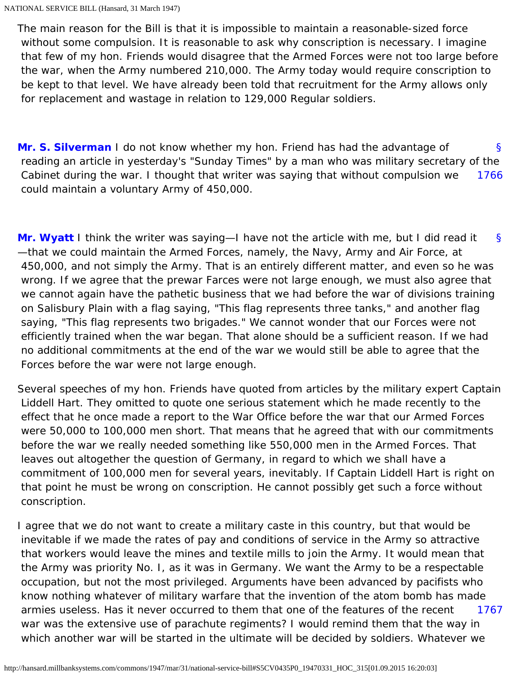The main reason for the Bill is that it is impossible to maintain a reasonable-sized force without some compulsion. It is reasonable to ask why conscription is necessary. I imagine that few of my hon. Friends would disagree that the Armed Forces were not too large before the war, when the Army numbered 210,000. The Army today would require conscription to be kept to that level. We have already been told that recruitment for the Army allows only for replacement and wastage in relation to 129,000 Regular soldiers.

<span id="page-67-1"></span><span id="page-67-0"></span>[§](#page-67-0) [1766](#page-67-1) **[Mr. S. Silverman](http://hansard.millbanksystems.com/people/mr-samuel-silverman)** I do not know whether my hon. Friend has had the advantage of reading an article in yesterday's "Sunday Times" by a man who was military secretary of the Cabinet during the war. I thought that writer was saying that without compulsion we could maintain a voluntary Army of 450,000.

<span id="page-67-2"></span>[§](#page-67-2) **[Mr. Wyatt](http://hansard.millbanksystems.com/people/mr-woodrow-wyatt)** I think the writer was saying—I have not the article with me, but I did read it —that we could maintain the Armed Forces, namely, the Navy, Army and Air Force, at 450,000, and not simply the Army. That is an entirely different matter, and even so he was wrong. If we agree that the prewar Farces were not large enough, we must also agree that we cannot again have the pathetic business that we had before the war of divisions training on Salisbury Plain with a flag saying, "This flag represents three tanks," and another flag saying, "This flag represents two brigades." We cannot wonder that our Forces were not efficiently trained when the war began. That alone should be a sufficient reason. If we had no additional commitments at the end of the war we would still be able to agree that the Forces before the war were not large enough.

Several speeches of my hon. Friends have quoted from articles by the military expert Captain Liddell Hart. They omitted to quote one serious statement which he made recently to the effect that he once made a report to the War Office before the war that our Armed Forces were 50,000 to 100,000 men short. That means that he agreed that with our commitments before the war we really needed something like 550,000 men in the Armed Forces. That leaves out altogether the question of Germany, in regard to which we shall have a commitment of 100,000 men for several years, inevitably. If Captain Liddell Hart is right on that point he must be wrong on conscription. He cannot possibly get such a force without conscription.

<span id="page-67-3"></span>[1767](#page-67-3) I agree that we do not want to create a military caste in this country, but that would be inevitable if we made the rates of pay and conditions of service in the Army so attractive that workers would leave the mines and textile mills to join the Army. It would mean that the Army was priority No. I, as it was in Germany. We want the Army to be a respectable occupation, but not the most privileged. Arguments have been advanced by pacifists who know nothing whatever of military warfare that the invention of the atom bomb has made armies useless. Has it never occurred to them that one of the features of the recent war was the extensive use of parachute regiments? I would remind them that the way in which another war will be started in the ultimate will be decided by soldiers. Whatever we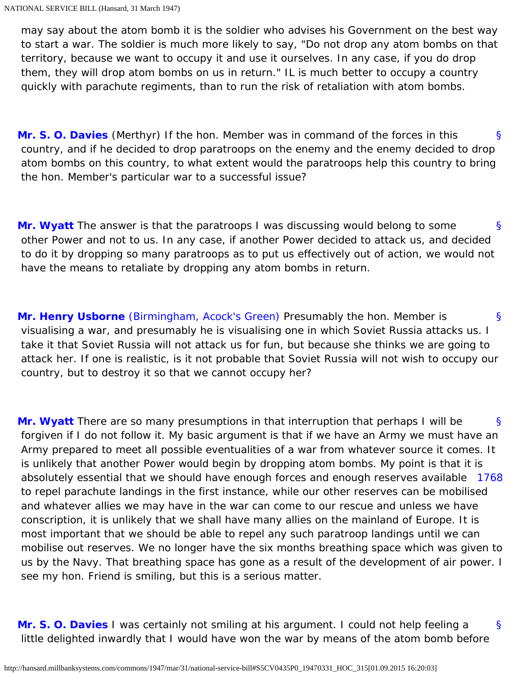may say about the atom bomb it is the soldier who advises his Government on the best way to start a war. The soldier is much more likely to say, "Do not drop any atom bombs on that territory, because we want to occupy it and use it ourselves. In any case, if you do drop them, they will drop atom bombs on us in return." IL is much better to occupy a country quickly with parachute regiments, than to run the risk of retaliation with atom bombs.

<span id="page-68-0"></span>[§](#page-68-0) **[Mr. S. O. Davies](http://hansard.millbanksystems.com/people/mr-stephen-davies)** (Merthyr) If the hon. Member was in command of the forces in this country, and if he decided to drop paratroops on the enemy and the enemy decided to drop atom bombs on this country, to what extent would the paratroops help this country to bring the hon. Member's particular war to a successful issue?

<span id="page-68-1"></span>[§](#page-68-1) **[Mr. Wyatt](http://hansard.millbanksystems.com/people/mr-woodrow-wyatt)** The answer is that the paratroops I was discussing would belong to some other Power and not to us. In any case, if another Power decided to attack us, and decided to do it by dropping so many paratroops as to put us effectively out of action, we would not have the means to retaliate by dropping any atom bombs in return.

<span id="page-68-2"></span>[§](#page-68-2) **[Mr. Henry Usborne](http://hansard.millbanksystems.com/people/mr-henry-usborne)** [\(Birmingham, Acock's Green\)](http://hansard.millbanksystems.com/constituencies/birmingham-acocks-green) Presumably the hon. Member is visualising a war, and presumably he is visualising one in which Soviet Russia attacks us. I take it that Soviet Russia will not attack us for fun, but because she thinks we are going to attack her. If one is realistic, is it not probable that Soviet Russia will not wish to occupy our country, but to destroy it so that we cannot occupy her?

<span id="page-68-4"></span><span id="page-68-3"></span>[§](#page-68-3) [1768](#page-68-4) **[Mr. Wyatt](http://hansard.millbanksystems.com/people/mr-woodrow-wyatt)** There are so many presumptions in that interruption that perhaps I will be forgiven if I do not follow it. My basic argument is that if we have an Army we must have an Army prepared to meet all possible eventualities of a war from whatever source it comes. It is unlikely that another Power would begin by dropping atom bombs. My point is that it is absolutely essential that we should have enough forces and enough reserves available to repel parachute landings in the first instance, while our other reserves can be mobilised and whatever allies we may have in the war can come to our rescue and unless we have conscription, it is unlikely that we shall have many allies on the mainland of Europe. It is most important that we should be able to repel any such paratroop landings until we can mobilise out reserves. We no longer have the six months breathing space which was given to us by the Navy. That breathing space has gone as a result of the development of air power. I see my hon. Friend is smiling, but this is a serious matter.

<span id="page-68-5"></span>[§](#page-68-5) **[Mr. S. O. Davies](http://hansard.millbanksystems.com/people/mr-stephen-davies)** I was certainly not smiling at his argument. I could not help feeling a little delighted inwardly that I would have won the war by means of the atom bomb before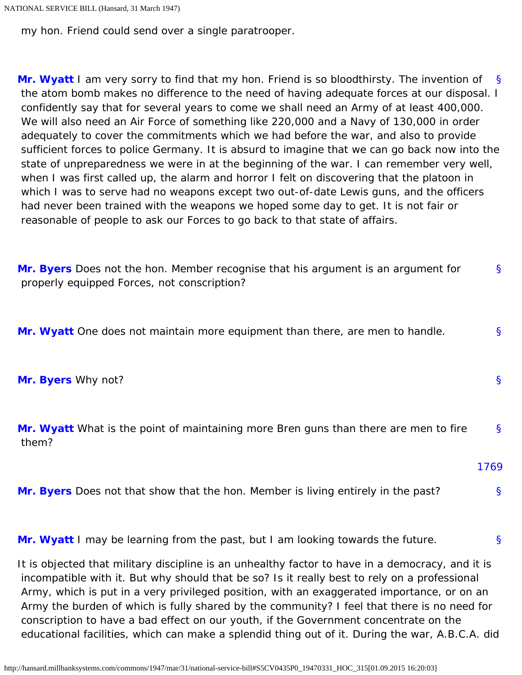```
NATIONAL SERVICE BILL (Hansard, 31 March 1947)
```
my hon. Friend could send over a single paratrooper.

<span id="page-69-0"></span>[§](#page-69-0) **[Mr. Wyatt](http://hansard.millbanksystems.com/people/mr-woodrow-wyatt)** I am very sorry to find that my hon. Friend is so bloodthirsty. The invention of the atom bomb makes no difference to the need of having adequate forces at our disposal. I confidently say that for several years to come we shall need an Army of at least 400,000. We will also need an Air Force of something like 220,000 and a Navy of 130,000 in order adequately to cover the commitments which we had before the war, and also to provide sufficient forces to police Germany. It is absurd to imagine that we can go back now into the state of unpreparedness we were in at the beginning of the war. I can remember very well, when I was first called up, the alarm and horror I felt on discovering that the platoon in which I was to serve had no weapons except two out-of-date Lewis guns, and the officers had never been trained with the weapons we hoped some day to get. It is not fair or reasonable of people to ask our Forces to go back to that state of affairs.

<span id="page-69-1"></span>[§](#page-69-1) **[Mr. Byers](http://hansard.millbanksystems.com/people/mr-charles-byers)** Does not the hon. Member recognise that his argument is an argument for properly equipped Forces, not conscription?

<span id="page-69-2"></span>**[Mr. Wyatt](http://hansard.millbanksystems.com/people/mr-woodrow-wyatt)** One does not maintain more equipment than there, are men to handle.

<span id="page-69-3"></span>**[Mr. Byers](http://hansard.millbanksystems.com/people/mr-charles-byers)** Why not?

<span id="page-69-4"></span>[§](#page-69-4) **[Mr. Wyatt](http://hansard.millbanksystems.com/people/mr-woodrow-wyatt)** What is the point of maintaining more Bren guns than there are men to fire them?

[1769](#page-69-7)

[§](#page-69-2)

[§](#page-69-3)

<span id="page-69-7"></span><span id="page-69-6"></span><span id="page-69-5"></span>[§](#page-69-5) **[Mr. Byers](http://hansard.millbanksystems.com/people/mr-charles-byers)** Does not that show that the hon. Member is living entirely in the past?

[§](#page-69-6) **[Mr. Wyatt](http://hansard.millbanksystems.com/people/mr-woodrow-wyatt)** I may be learning from the past, but I am looking towards the future.

It is objected that military discipline is an unhealthy factor to have in a democracy, and it is incompatible with it. But why should that be so? Is it really best to rely on a professional Army, which is put in a very privileged position, with an exaggerated importance, or on an Army the burden of which is fully shared by the community? I feel that there is no need for conscription to have a bad effect on our youth, if the Government concentrate on the educational facilities, which can make a splendid thing out of it. During the war, A.B.C.A. did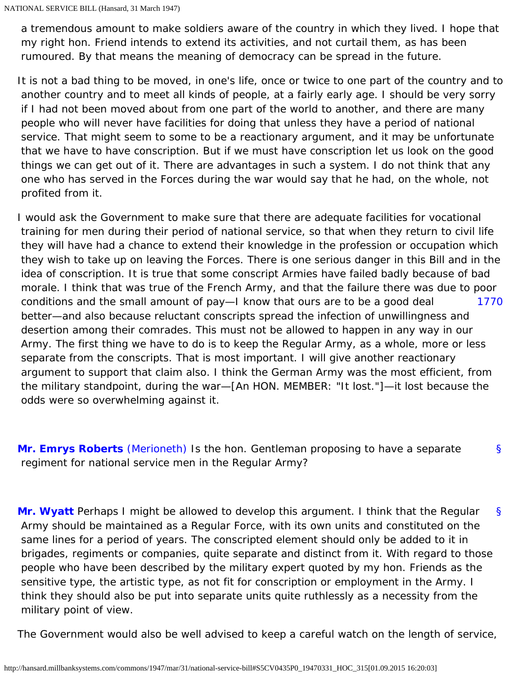a tremendous amount to make soldiers aware of the country in which they lived. I hope that my right hon. Friend intends to extend its activities, and not curtail them, as has been rumoured. By that means the meaning of democracy can be spread in the future.

It is not a bad thing to be moved, in one's life, once or twice to one part of the country and to another country and to meet all kinds of people, at a fairly early age. I should be very sorry if I had not been moved about from one part of the world to another, and there are many people who will never have facilities for doing that unless they have a period of national service. That might seem to some to be a reactionary argument, and it may be unfortunate that we have to have conscription. But if we must have conscription let us look on the good things we can get out of it. There are advantages in such a system. I do not think that any one who has served in the Forces during the war would say that he had, on the whole, not profited from it.

<span id="page-70-0"></span>[1770](#page-70-0) I would ask the Government to make sure that there are adequate facilities for vocational training for men during their period of national service, so that when they return to civil life they will have had a chance to extend their knowledge in the profession or occupation which they wish to take up on leaving the Forces. There is one serious danger in this Bill and in the idea of conscription. It is true that some conscript Armies have failed badly because of bad morale. I think that was true of the French Army, and that the failure there was due to poor conditions and the small amount of pay—I know that ours are to be a good deal better—and also because reluctant conscripts spread the infection of unwillingness and desertion among their comrades. This must not be allowed to happen in any way in our Army. The first thing we have to do is to keep the Regular Army, as a whole, more or less separate from the conscripts. That is most important. I will give another reactionary argument to support that claim also. I think the German Army was the most efficient, from the military standpoint, during the war—[An HON. MEMBER: "It lost."]—it lost because the odds were so overwhelming against it.

<span id="page-70-1"></span>[§](#page-70-1) **[Mr. Emrys Roberts](http://hansard.millbanksystems.com/people/mr-emrys-roberts)** [\(Merioneth\)](http://hansard.millbanksystems.com/constituencies/merionethshire) Is the hon. Gentleman proposing to have a separate regiment for national service men in the Regular Army?

<span id="page-70-2"></span>[§](#page-70-2) **[Mr. Wyatt](http://hansard.millbanksystems.com/people/mr-woodrow-wyatt)** Perhaps I might be allowed to develop this argument. I think that the Regular Army should be maintained as a Regular Force, with its own units and constituted on the same lines for a period of years. The conscripted element should only be added to it in brigades, regiments or companies, quite separate and distinct from it. With regard to those people who have been described by the military expert quoted by my hon. Friends as the sensitive type, the artistic type, as not fit for conscription or employment in the Army. I think they should also be put into separate units quite ruthlessly as a necessity from the military point of view.

The Government would also be well advised to keep a careful watch on the length of service,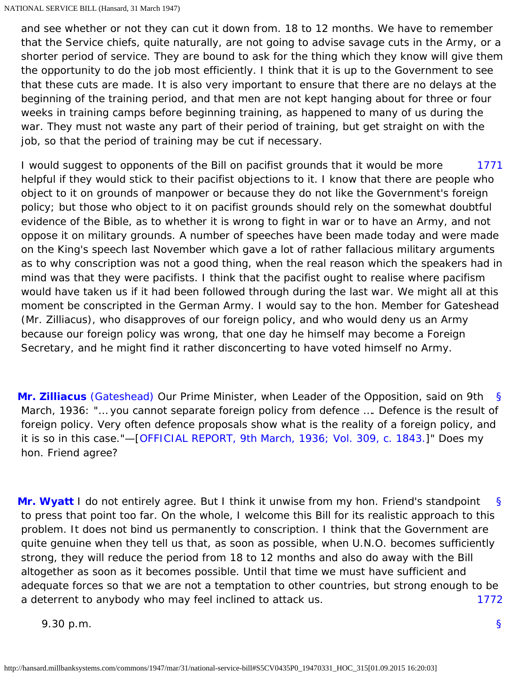and see whether or not they can cut it down from. 18 to 12 months. We have to remember that the Service chiefs, quite naturally, are not going to advise savage cuts in the Army, or a shorter period of service. They are bound to ask for the thing which they know will give them the opportunity to do the job most efficiently. I think that it is up to the Government to see that these cuts are made. It is also very important to ensure that there are no delays at the beginning of the training period, and that men are not kept hanging about for three or four weeks in training camps before beginning training, as happened to many of us during the war. They must not waste any part of their period of training, but get straight on with the job, so that the period of training may be cut if necessary.

<span id="page-71-0"></span>[1771](#page-71-0) I would suggest to opponents of the Bill on pacifist grounds that it would be more helpful if they would stick to their pacifist objections to it. I know that there are people who object to it on grounds of manpower or because they do not like the Government's foreign policy; but those who object to it on pacifist grounds should rely on the somewhat doubtful evidence of the Bible, as to whether it is wrong to fight in war or to have an Army, and not oppose it on military grounds. A number of speeches have been made today and were made on the King's speech last November which gave a lot of rather fallacious military arguments as to why conscription was not a good thing, when the real reason which the speakers had in mind was that they were pacifists. I think that the pacifist ought to realise where pacifism would have taken us if it had been followed through during the last war. We might all at this moment be conscripted in the German Army. I would say to the hon. Member for Gateshead (Mr. Zilliacus), who disapproves of our foreign policy, and who would deny us an Army because our foreign policy was wrong, that one day he himself may become a Foreign Secretary, and he might find it rather disconcerting to have voted himself no Army.

<span id="page-71-1"></span>[§](#page-71-1) **[Mr. Zilliacus](http://hansard.millbanksystems.com/people/mr-konni-zilliacus)** [\(Gateshead\)](http://hansard.millbanksystems.com/constituencies/gateshead) Our Prime Minister, when Leader of the Opposition, said on 9th March, 1936: "… you cannot separate foreign policy from defence …. Defence is the result of foreign policy. Very often defence proposals show what is the reality of a foreign policy, and it is so in this case."—[[OFFICIAL REPORT, 9th March, 1936; Vol. 309, c. 1843.](http://hansard.millbanksystems.com/commons/1936/mar/09/defence-1#column_1843)]" Does my hon. Friend agree?

<span id="page-71-2"></span>[§](#page-71-2) [1772](#page-71-3) **[Mr. Wyatt](http://hansard.millbanksystems.com/people/mr-woodrow-wyatt)** I do not entirely agree. But I think it unwise from my hon. Friend's standpoint to press that point too far. On the whole, I welcome this Bill for its realistic approach to this problem. It does not bind us permanently to conscription. I think that the Government are quite genuine when they tell us that, as soon as possible, when U.N.O. becomes sufficiently strong, they will reduce the period from 18 to 12 months and also do away with the Bill altogether as soon as it becomes possible. Until that time we must have sufficient and adequate forces so that we are not a temptation to other countries, but strong enough to be a deterrent to anybody who may feel inclined to attack us.

<span id="page-71-3"></span>9.30 p.m.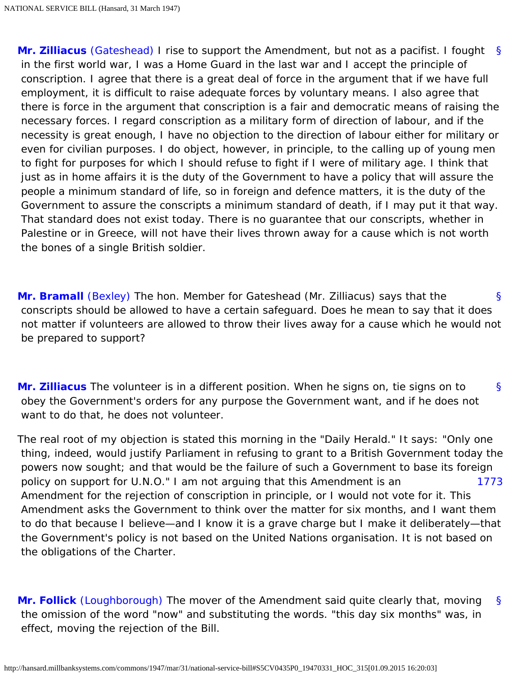[§](#page-0-0) **[Mr. Zilliacus](http://hansard.millbanksystems.com/people/mr-konni-zilliacus)** [\(Gateshead\)](http://hansard.millbanksystems.com/constituencies/gateshead) I rise to support the Amendment, but not as a pacifist. I fought in the first world war, I was a Home Guard in the last war and I accept the principle of conscription. I agree that there is a great deal of force in the argument that if we have full employment, it is difficult to raise adequate forces by voluntary means. I also agree that there is force in the argument that conscription is a fair and democratic means of raising the necessary forces. I regard conscription as a military form of direction of labour, and if the necessity is great enough, I have no objection to the direction of labour either for military or even for civilian purposes. I do object, however, in principle, to the calling up of young men to fight for purposes for which I should refuse to fight if I were of military age. I think that just as in home affairs it is the duty of the Government to have a policy that will assure the people a minimum standard of life, so in foreign and defence matters, it is the duty of the Government to assure the conscripts a minimum standard of death, if I may put it that way. That standard does not exist today. There is no guarantee that our conscripts, whether in Palestine or in Greece, will not have their lives thrown away for a cause which is not worth the bones of a single British soldier.

<span id="page-72-0"></span>[§](#page-72-0) **[Mr. Bramall](http://hansard.millbanksystems.com/people/major-ernest-bramall)** [\(Bexley\)](http://hansard.millbanksystems.com/constituencies/bexley) The hon. Member for Gateshead (Mr. Zilliacus) says that the conscripts should be allowed to have a certain safeguard. Does he mean to say that it does not matter if volunteers are allowed to throw their lives away for a cause which he would not be prepared to support?

<span id="page-72-1"></span>[§](#page-72-1) **[Mr. Zilliacus](http://hansard.millbanksystems.com/people/mr-konni-zilliacus)** The volunteer is in a different position. When he signs on, tie signs on to obey the Government's orders for any purpose the Government want, and if he does not want to do that, he does not volunteer.

<span id="page-72-2"></span>[1773](#page-72-2) The real root of my objection is stated this morning in the "Daily Herald." It says: "Only one thing, indeed, would justify Parliament in refusing to grant to a British Government today the powers now sought; and that would be the failure of such a Government to base its foreign policy on support for U.N.O." I am not arguing that this Amendment is an Amendment for the rejection of conscription in principle, or I would not vote for it. This Amendment asks the Government to think over the matter for six months, and I want them to do that because I believe—and I know it is a grave charge but I make it deliberately—that the Government's policy is not based on the United Nations organisation. It is not based on the obligations of the Charter.

<span id="page-72-3"></span>[§](#page-72-3) **[Mr. Follick](http://hansard.millbanksystems.com/people/dr-mont-follick)** [\(Loughborough\)](http://hansard.millbanksystems.com/constituencies/loughborough) The mover of the Amendment said quite clearly that, moving the omission of the word "now" and substituting the words. "this day six months" was, in effect, moving the rejection of the Bill.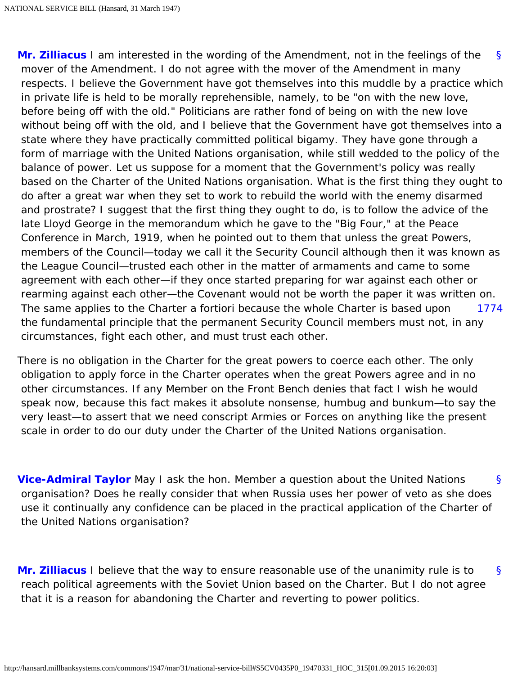<span id="page-73-0"></span>[§](#page-73-0) [1774](#page-73-1) **[Mr. Zilliacus](http://hansard.millbanksystems.com/people/mr-konni-zilliacus)** I am interested in the wording of the Amendment, not in the feelings of the mover of the Amendment. I do not agree with the mover of the Amendment in many respects. I believe the Government have got themselves into this muddle by a practice which in private life is held to be morally reprehensible, namely, to be "on with the new love, before being off with the old." Politicians are rather fond of being on with the new love without being off with the old, and I believe that the Government have got themselves into a state where they have practically committed political bigamy. They have gone through a form of marriage with the United Nations organisation, while still wedded to the policy of the balance of power. Let us suppose for a moment that the Government's policy was really based on the Charter of the United Nations organisation. What is the first thing they ought to do after a great war when they set to work to rebuild the world with the enemy disarmed and prostrate? I suggest that the first thing they ought to do, is to follow the advice of the late Lloyd George in the memorandum which he gave to the "Big Four," at the Peace Conference in March, 1919, when he pointed out to them that unless the great Powers, members of the Council—today we call it the Security Council although then it was known as the League Council—trusted each other in the matter of armaments and came to some agreement with each other—if they once started preparing for war against each other or rearming against each other—the Covenant would not be worth the paper it was written on. The same applies to the Charter a fortiori because the whole Charter is based upon the fundamental principle that the permanent Security Council members must not, in any circumstances, fight each other, and must trust each other.

<span id="page-73-1"></span>There is no obligation in the Charter for the great powers to coerce each other. The only obligation to apply force in the Charter operates when the great Powers agree and in no other circumstances. If any Member on the Front Bench denies that fact I wish he would speak now, because this fact makes it absolute nonsense, humbug and bunkum—to say the very least—to assert that we need conscript Armies or Forces on anything like the present scale in order to do our duty under the Charter of the United Nations organisation.

<span id="page-73-2"></span>[§](#page-73-2) **[Vice-Admiral Taylor](http://hansard.millbanksystems.com/people/vice-admiral-ernest-taylor)** May I ask the hon. Member a question about the United Nations organisation? Does he really consider that when Russia uses her power of veto as she does use it continually any confidence can be placed in the practical application of the Charter of the United Nations organisation?

<span id="page-73-4"></span><span id="page-73-3"></span>[§](#page-73-3) **[Mr. Zilliacus](http://hansard.millbanksystems.com/people/mr-konni-zilliacus)** I believe that the way to ensure reasonable use of the unanimity rule is to reach political agreements with the Soviet Union based on the Charter. But I do not agree that it is a reason for abandoning the Charter and reverting to power politics.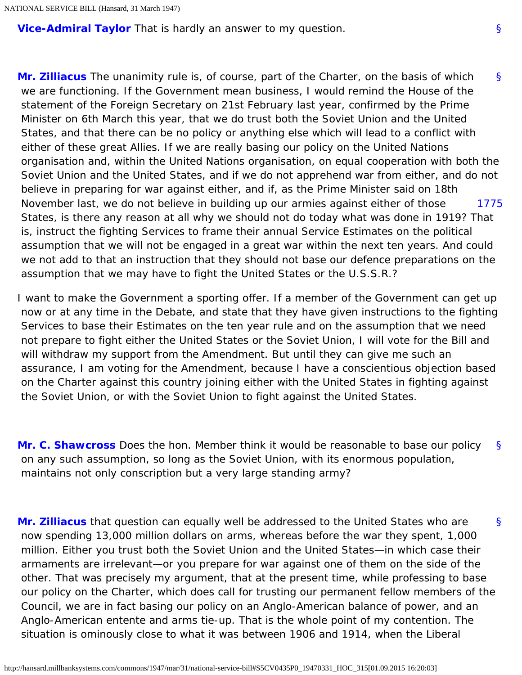<span id="page-74-0"></span>**[Vice-Admiral Taylor](http://hansard.millbanksystems.com/people/vice-admiral-ernest-taylor)** That is hardly an answer to my question.

[§](#page-74-0) [1775](#page-74-1) **[Mr. Zilliacus](http://hansard.millbanksystems.com/people/mr-konni-zilliacus)** The unanimity rule is, of course, part of the Charter, on the basis of which we are functioning. If the Government mean business, I would remind the House of the statement of the Foreign Secretary on 21st February last year, confirmed by the Prime Minister on 6th March this year, that we do trust both the Soviet Union and the United States, and that there can be no policy or anything else which will lead to a conflict with either of these great Allies. If we are really basing our policy on the United Nations organisation and, within the United Nations organisation, on equal cooperation with both the Soviet Union and the United States, and if we do not apprehend war from either, and do not believe in preparing for war against either, and if, as the Prime Minister said on 18th November last, we do not believe in building up our armies against either of those States, is there any reason at all why we should not do today what was done in 1919? That is, instruct the fighting Services to frame their annual Service Estimates on the political assumption that we will not be engaged in a great war within the next ten years. And could we not add to that an instruction that they should not base our defence preparations on the assumption that we may have to fight the United States or the U.S.S.R.?

<span id="page-74-1"></span>I want to make the Government a sporting offer. If a member of the Government can get up now or at any time in the Debate, and state that they have given instructions to the fighting Services to base their Estimates on the ten year rule and on the assumption that we need not prepare to fight either the United States or the Soviet Union, I will vote for the Bill and will withdraw my support from the Amendment. But until they can give me such an assurance, I am voting for the Amendment, because I have a conscientious objection based on the Charter against this country joining either with the United States in fighting against the Soviet Union, or with the Soviet Union to fight against the United States.

<span id="page-74-2"></span>[§](#page-74-2) **[Mr. C. Shawcross](http://hansard.millbanksystems.com/people/mr-christopher-shawcross)** Does the hon. Member think it would be reasonable to base our policy on any such assumption, so long as the Soviet Union, with its enormous population, maintains not only conscription but a very large standing army?

<span id="page-74-3"></span>[§](#page-74-3) **[Mr. Zilliacus](http://hansard.millbanksystems.com/people/mr-konni-zilliacus)** that question can equally well be addressed to the United States who are now spending 13,000 million dollars on arms, whereas before the war they spent, 1,000 million. Either you trust both the Soviet Union and the United States—in which case their armaments are irrelevant—or you prepare for war against one of them on the side of the other. That was precisely my argument, that at the present time, while professing to base our policy on the Charter, which does call for trusting our permanent fellow members of the Council, we are in fact basing our policy on an Anglo-American balance of power, and an Anglo-American entente and arms tie-up. That is the whole point of my contention. The situation is ominously close to what it was between 1906 and 1914, when the Liberal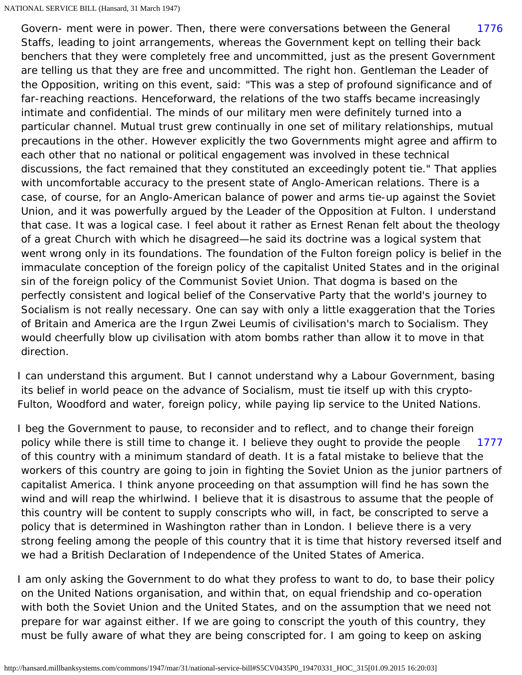<span id="page-75-0"></span>[1776](#page-75-0) Govern- ment were in power. Then, there were conversations between the General Staffs, leading to joint arrangements, whereas the Government kept on telling their back benchers that they were completely free and uncommitted, just as the present Government are telling us that they are free and uncommitted. The right hon. Gentleman the Leader of the Opposition, writing on this event, said: "This was a step of profound significance and of far-reaching reactions. Henceforward, the relations of the two staffs became increasingly intimate and confidential. The minds of our military men were definitely turned into a particular channel. Mutual trust grew continually in one set of military relationships, mutual precautions in the other. However explicitly the two Governments might agree and affirm to each other that no national or political engagement was involved in these technical discussions, the fact remained that they constituted an exceedingly potent tie." That applies with uncomfortable accuracy to the present state of Anglo-American relations. There is a case, of course, for an Anglo-American balance of power and arms tie-up against the Soviet Union, and it was powerfully argued by the Leader of the Opposition at Fulton. I understand that case. It was a logical case. I feel about it rather as Ernest Renan felt about the theology of a great Church with which he disagreed—he said its doctrine was a logical system that went wrong only in its foundations. The foundation of the Fulton foreign policy is belief in the immaculate conception of the foreign policy of the capitalist United States and in the original sin of the foreign policy of the Communist Soviet Union. That dogma is based on the perfectly consistent and logical belief of the Conservative Party that the world's journey to Socialism is not really necessary. One can say with only a little exaggeration that the Tories of Britain and America are the Irgun Zwei Leumis of civilisation's march to Socialism. They would cheerfully blow up civilisation with atom bombs rather than allow it to move in that direction.

I can understand this argument. But I cannot understand why a Labour Government, basing its belief in world peace on the advance of Socialism, must tie itself up with this crypto-Fulton, Woodford and water, foreign policy, while paying lip service to the United Nations.

<span id="page-75-1"></span>[1777](#page-75-1) I beg the Government to pause, to reconsider and to reflect, and to change their foreign policy while there is still time to change it. I believe they ought to provide the people of this country with a minimum standard of death. It is a fatal mistake to believe that the workers of this country are going to join in fighting the Soviet Union as the junior partners of capitalist America. I think anyone proceeding on that assumption will find he has sown the wind and will reap the whirlwind. I believe that it is disastrous to assume that the people of this country will be content to supply conscripts who will, in fact, be conscripted to serve a policy that is determined in Washington rather than in London. I believe there is a very strong feeling among the people of this country that it is time that history reversed itself and we had a British Declaration of Independence of the United States of America.

I am only asking the Government to do what they profess to want to do, to base their policy on the United Nations organisation, and within that, on equal friendship and co-operation with both the Soviet Union and the United States, and on the assumption that we need not prepare for war against either. If we are going to conscript the youth of this country, they must be fully aware of what they are being conscripted for. I am going to keep on asking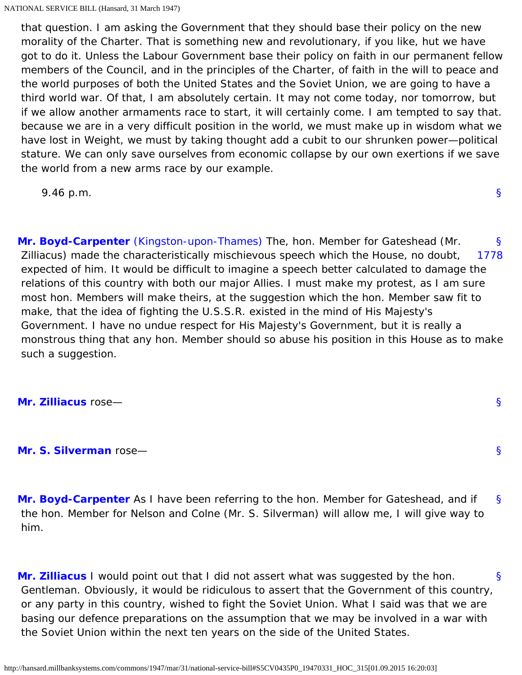NATIONAL SERVICE BILL (Hansard, 31 March 1947)

 that question. I am asking the Government that they should base their policy on the new morality of the Charter. That is something new and revolutionary, if you like, hut we have got to do it. Unless the Labour Government base their policy on faith in our permanent fellow members of the Council, and in the principles of the Charter, of faith in the will to peace and the world purposes of both the United States and the Soviet Union, we are going to have a third world war. Of that, I am absolutely certain. It may not come today, nor tomorrow, but if we allow another armaments race to start, it will certainly come. I am tempted to say that. because we are in a very difficult position in the world, we must make up in wisdom what we have lost in Weight, we must by taking thought add a cubit to our shrunken power—political stature. We can only save ourselves from economic collapse by our own exertions if we save the world from a new arms race by our example.

[§](#page-0-0)

[§](#page-76-2)

[§](#page-76-3)

9.46 p.m.

<span id="page-76-1"></span><span id="page-76-0"></span>[§](#page-76-0) [1778](#page-76-1) **[Mr. Boyd-Carpenter](http://hansard.millbanksystems.com/people/mr-john-boyd-carpenter)** [\(Kingston-upon-Thames\)](http://hansard.millbanksystems.com/constituencies/kingston-upon-thames) The, hon. Member for Gateshead (Mr. Zilliacus) made the characteristically mischievous speech which the House, no doubt, expected of him. It would be difficult to imagine a speech better calculated to damage the relations of this country with both our major Allies. I must make my protest, as I am sure most hon. Members will make theirs, at the suggestion which the hon. Member saw fit to make, that the idea of fighting the U.S.S.R. existed in the mind of His Majesty's Government. I have no undue respect for His Majesty's Government, but it is really a monstrous thing that any hon. Member should so abuse his position in this House as to make such a suggestion.

<span id="page-76-3"></span><span id="page-76-2"></span>**[Mr. Zilliacus](http://hansard.millbanksystems.com/people/mr-konni-zilliacus)** rose—

## **[Mr. S. Silverman](http://hansard.millbanksystems.com/people/mr-samuel-silverman)** rose—

<span id="page-76-4"></span>[§](#page-76-4) **[Mr. Boyd-Carpenter](http://hansard.millbanksystems.com/people/mr-john-boyd-carpenter)** As I have been referring to the hon. Member for Gateshead, and if the hon. Member for Nelson and Colne (Mr. S. Silverman) will allow me, I will give way to him.

<span id="page-76-5"></span>[§](#page-76-5) **[Mr. Zilliacus](http://hansard.millbanksystems.com/people/mr-konni-zilliacus)** I would point out that I did not assert what was suggested by the hon. Gentleman. Obviously, it would be ridiculous to assert that the Government of this country, or any party in this country, wished to fight the Soviet Union. What I said was that we are basing our defence preparations on the assumption that we may be involved in a war with the Soviet Union within the next ten years on the side of the United States.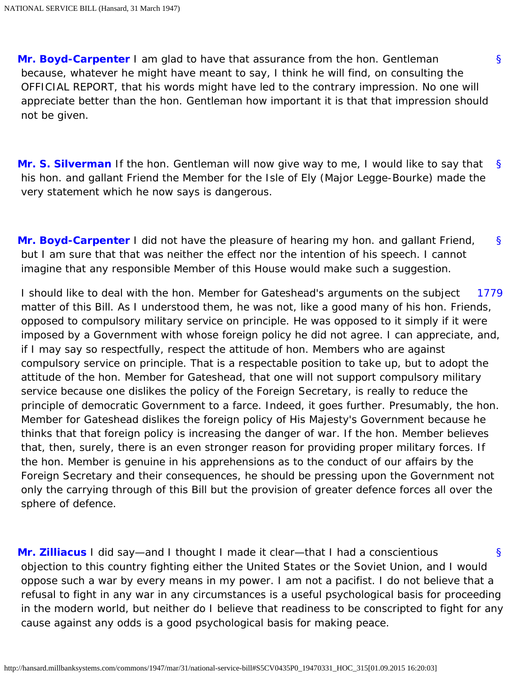<span id="page-77-0"></span>**[Mr. Boyd-Carpenter](http://hansard.millbanksystems.com/people/mr-john-boyd-carpenter)** I am glad to have that assurance from the hon. Gentleman because, whatever he might have meant to say, I think he will find, on consulting the OFFICIAL REPORT, that his words might have led to the contrary impression. No one will appreciate better than the hon. Gentleman how important it is that that impression should not be given.

[§](#page-77-0)

<span id="page-77-1"></span>[§](#page-77-1) **[Mr. S. Silverman](http://hansard.millbanksystems.com/people/mr-samuel-silverman)** If the hon. Gentleman will now give way to me, I would like to say that his hon. and gallant Friend the Member for the Isle of Ely (Major Legge-Bourke) made the very statement which he now says is dangerous.

<span id="page-77-2"></span>[§](#page-77-2) **[Mr. Boyd-Carpenter](http://hansard.millbanksystems.com/people/mr-john-boyd-carpenter)** I did not have the pleasure of hearing my hon. and gallant Friend, but I am sure that that was neither the effect nor the intention of his speech. I cannot imagine that any responsible Member of this House would make such a suggestion.

<span id="page-77-3"></span>[1779](#page-77-3) I should like to deal with the hon. Member for Gateshead's arguments on the subject matter of this Bill. As I understood them, he was not, like a good many of his hon. Friends, opposed to compulsory military service on principle. He was opposed to it simply if it were imposed by a Government with whose foreign policy he did not agree. I can appreciate, and, if I may say so respectfully, respect the attitude of hon. Members who are against compulsory service on principle. That is a respectable position to take up, but to adopt the attitude of the hon. Member for Gateshead, that one will not support compulsory military service because one dislikes the policy of the Foreign Secretary, is really to reduce the principle of democratic Government to a farce. Indeed, it goes further. Presumably, the hon. Member for Gateshead dislikes the foreign policy of His Majesty's Government because he thinks that that foreign policy is increasing the danger of war. If the hon. Member believes that, then, surely, there is an even stronger reason for providing proper military forces. If the hon. Member is genuine in his apprehensions as to the conduct of our affairs by the Foreign Secretary and their consequences, he should be pressing upon the Government not only the carrying through of this Bill but the provision of greater defence forces all over the sphere of defence.

<span id="page-77-4"></span>[§](#page-77-4) **[Mr. Zilliacus](http://hansard.millbanksystems.com/people/mr-konni-zilliacus)** I did say—and I thought I made it clear—that I had a conscientious objection to this country fighting either the United States or the Soviet Union, and I would oppose such a war by every means in my power. I am not a pacifist. I do not believe that a refusal to fight in any war in any circumstances is a useful psychological basis for proceeding in the modern world, but neither do I believe that readiness to be conscripted to fight for any cause against any odds is a good psychological basis for making peace.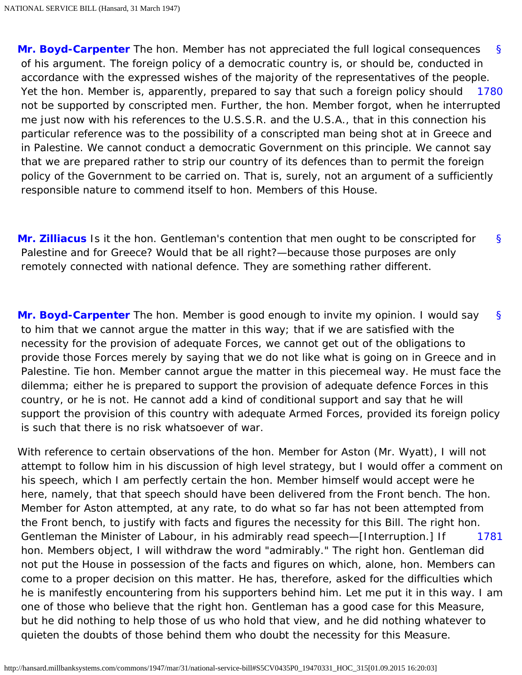<span id="page-78-0"></span>[§](#page-0-0) [1780](#page-78-0) **[Mr. Boyd-Carpenter](http://hansard.millbanksystems.com/people/mr-john-boyd-carpenter)** The hon. Member has not appreciated the full logical consequences of his argument. The foreign policy of a democratic country is, or should be, conducted in accordance with the expressed wishes of the majority of the representatives of the people. Yet the hon. Member is, apparently, prepared to say that such a foreign policy should not be supported by conscripted men. Further, the hon. Member forgot, when he interrupted me just now with his references to the U.S.S.R. and the U.S.A., that in this connection his particular reference was to the possibility of a conscripted man being shot at in Greece and in Palestine. We cannot conduct a democratic Government on this principle. We cannot say that we are prepared rather to strip our country of its defences than to permit the foreign policy of the Government to be carried on. That is, surely, not an argument of a sufficiently responsible nature to commend itself to hon. Members of this House.

<span id="page-78-1"></span>[§](#page-78-1) **[Mr. Zilliacus](http://hansard.millbanksystems.com/people/mr-konni-zilliacus)** Is it the hon. Gentleman's contention that men ought to be conscripted for Palestine and for Greece? Would that be all right?—because those purposes are only remotely connected with national defence. They are something rather different.

<span id="page-78-2"></span>[§](#page-78-2) **[Mr. Boyd-Carpenter](http://hansard.millbanksystems.com/people/mr-john-boyd-carpenter)** The hon. Member is good enough to invite my opinion. I would say to him that we cannot argue the matter in this way; that if we are satisfied with the necessity for the provision of adequate Forces, we cannot get out of the obligations to provide those Forces merely by saying that we do not like what is going on in Greece and in Palestine. Tie hon. Member cannot argue the matter in this piecemeal way. He must face the dilemma; either he is prepared to support the provision of adequate defence Forces in this country, or he is not. He cannot add a kind of conditional support and say that he will support the provision of this country with adequate Armed Forces, provided its foreign policy is such that there is no risk whatsoever of war.

<span id="page-78-3"></span>[1781](#page-78-3) With reference to certain observations of the hon. Member for Aston (Mr. Wyatt), I will not attempt to follow him in his discussion of high level strategy, but I would offer a comment on his speech, which I am perfectly certain the hon. Member himself would accept were he here, namely, that that speech should have been delivered from the Front bench. The hon. Member for Aston attempted, at any rate, to do what so far has not been attempted from the Front bench, to justify with facts and figures the necessity for this Bill. The right hon. Gentleman the Minister of Labour, in his admirably read speech—[Interruption.] If hon. Members object, I will withdraw the word "admirably." The right hon. Gentleman did not put the House in possession of the facts and figures on which, alone, hon. Members can come to a proper decision on this matter. He has, therefore, asked for the difficulties which he is manifestly encountering from his supporters behind him. Let me put it in this way. I am one of those who believe that the right hon. Gentleman has a good case for this Measure, but he did nothing to help those of us who hold that view, and he did nothing whatever to quieten the doubts of those behind them who doubt the necessity for this Measure.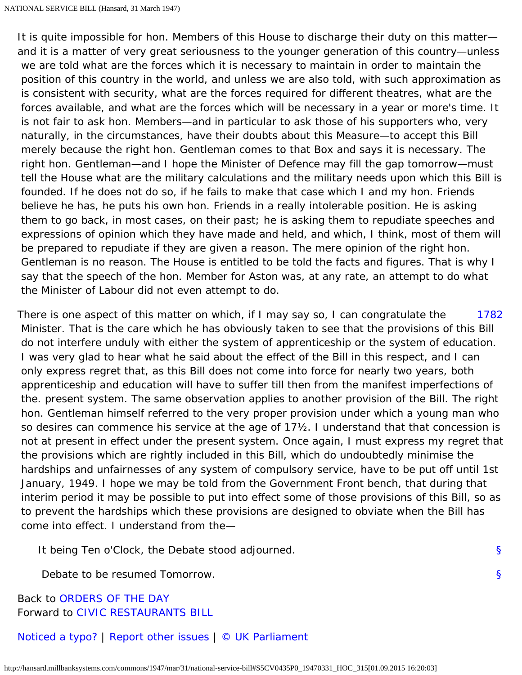It is quite impossible for hon. Members of this House to discharge their duty on this matter and it is a matter of very great seriousness to the younger generation of this country—unless we are told what are the forces which it is necessary to maintain in order to maintain the position of this country in the world, and unless we are also told, with such approximation as is consistent with security, what are the forces required for different theatres, what are the forces available, and what are the forces which will be necessary in a year or more's time. It is not fair to ask hon. Members—and in particular to ask those of his supporters who, very naturally, in the circumstances, have their doubts about this Measure—to accept this Bill merely because the right hon. Gentleman comes to that Box and says it is necessary. The right hon. Gentleman—and I hope the Minister of Defence may fill the gap tomorrow—must tell the House what are the military calculations and the military needs upon which this Bill is founded. If he does not do so, if he fails to make that case which I and my hon. Friends believe he has, he puts his own hon. Friends in a really intolerable position. He is asking them to go back, in most cases, on their past; he is asking them to repudiate speeches and expressions of opinion which they have made and held, and which, I think, most of them will be prepared to repudiate if they are given a reason. The mere opinion of the right hon. Gentleman is no reason. The House is entitled to be told the facts and figures. That is why I say that the speech of the hon. Member for Aston was, at any rate, an attempt to do what the Minister of Labour did not even attempt to do.

<span id="page-79-0"></span>[1782](#page-79-0) There is one aspect of this matter on which, if I may say so, I can congratulate the Minister. That is the care which he has obviously taken to see that the provisions of this Bill do not interfere unduly with either the system of apprenticeship or the system of education. I was very glad to hear what he said about the effect of the Bill in this respect, and I can only express regret that, as this Bill does not come into force for nearly two years, both apprenticeship and education will have to suffer till then from the manifest imperfections of the. present system. The same observation applies to another provision of the Bill. The right hon. Gentleman himself referred to the very proper provision under which a young man who so desires can commence his service at the age of 17½. I understand that that concession is not at present in effect under the present system. Once again, I must express my regret that the provisions which are rightly included in this Bill, which do undoubtedly minimise the hardships and unfairnesses of any system of compulsory service, have to be put off until 1st January, 1949. I hope we may be told from the Government Front bench, that during that interim period it may be possible to put into effect some of those provisions of this Bill, so as to prevent the hardships which these provisions are designed to obviate when the Bill has come into effect. I understand from the—

[§](#page-0-0)

[§](#page-0-0)

It being Ten o'Clock, the Debate stood adjourned.

Debate to be resumed Tomorrow.

Back to [ORDERS OF THE DAY](http://hansard.millbanksystems.com/commons/1947/mar/31/orders-of-the-day) Forward to [CIVIC RESTAURANTS BILL](http://hansard.millbanksystems.com/commons/1947/mar/31/civic-restaurants-bill)

[Noticed a typo?](http://hansard.millbanksystems.com/typos) | [Report other issues](https://spreadsheets.google.com/viewform?key=p_zCPmAX1qx1llDkHKzRlNQ) | [© UK Parliament](http://www.parliament.uk/site_information/parliamentary_copyright.cfm)